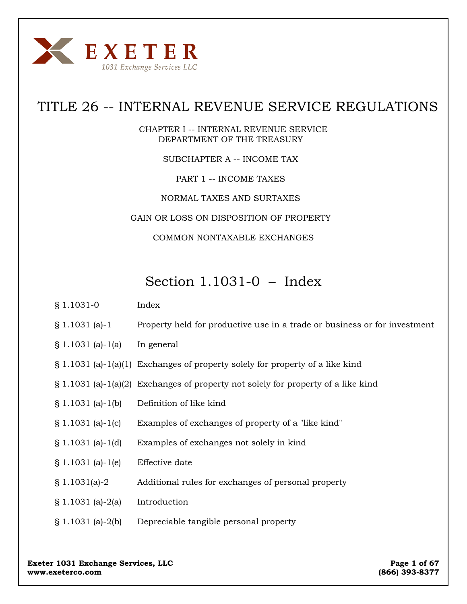

# TITLE 26 -- INTERNAL REVENUE SERVICE REGULATIONS

CHAPTER I -- INTERNAL REVENUE SERVICE DEPARTMENT OF THE TREASURY

SUBCHAPTER A -- INCOME TAX

PART 1 -- INCOME TAXES

NORMAL TAXES AND SURTAXES

GAIN OR LOSS ON DISPOSITION OF PROPERTY

COMMON NONTAXABLE EXCHANGES

# Section 1.1031-0 – Index

- § 1.1031-0 Index
- § 1.1031 (a)-1 Property held for productive use in a trade or business or for investment
- § 1.1031 (a)-1(a) In general
- § 1.1031 (a)-1(a)(1) Exchanges of property solely for property of a like kind
- § 1.1031 (a)-1(a)(2) Exchanges of property not solely for property of a like kind
- § 1.1031 (a)-1(b) Definition of like kind
- § 1.1031 (a)-1(c) Examples of exchanges of property of a "like kind"
- § 1.1031 (a)-1(d) Examples of exchanges not solely in kind
- § 1.1031 (a)-1(e) Effective date
- § 1.1031(a)-2 Additional rules for exchanges of personal property
- $§ 1.1031$  (a)-2(a) Introduction
- § 1.1031 (a)-2(b) Depreciable tangible personal property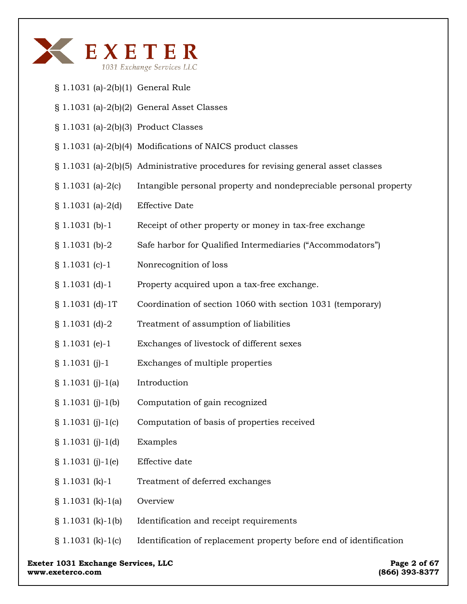

- § 1.1031 (a)-2(b)(1) General Rule
- § 1.1031 (a)-2(b)(2) General Asset Classes
- § 1.1031 (a)-2(b)(3) Product Classes
- § 1.1031 (a)-2(b)(4) Modifications of NAICS product classes
- § 1.1031 (a)-2(b)(5) Administrative procedures for revising general asset classes
- § 1.1031 (a)-2(c) Intangible personal property and nondepreciable personal property
- § 1.1031 (a)-2(d) Effective Date
- § 1.1031 (b)-1 Receipt of other property or money in tax-free exchange
- § 1.1031 (b)-2 Safe harbor for Qualified Intermediaries ("Accommodators")
- § 1.1031 (c)-1 Nonrecognition of loss
- § 1.1031 (d)-1 Property acquired upon a tax-free exchange.
- § 1.1031 (d)-1T Coordination of section 1060 with section 1031 (temporary)
- § 1.1031 (d)-2 Treatment of assumption of liabilities
- § 1.1031 (e)-1 Exchanges of livestock of different sexes
- § 1.1031 (j)-1 Exchanges of multiple properties
- $§ 1.1031 (i)-1(a)$  Introduction
- § 1.1031 (j)-1(b) Computation of gain recognized
- § 1.1031 (j)-1(c) Computation of basis of properties received
- § 1.1031 (j)-1(d) Examples
- § 1.1031 (j)-1(e) Effective date
- § 1.1031 (k)-1 Treatment of deferred exchanges
- § 1.1031 (k)-1(a) Overview
- § 1.1031 (k)-1(b) Identification and receipt requirements
- § 1.1031 (k)-1(c) Identification of replacement property before end of identification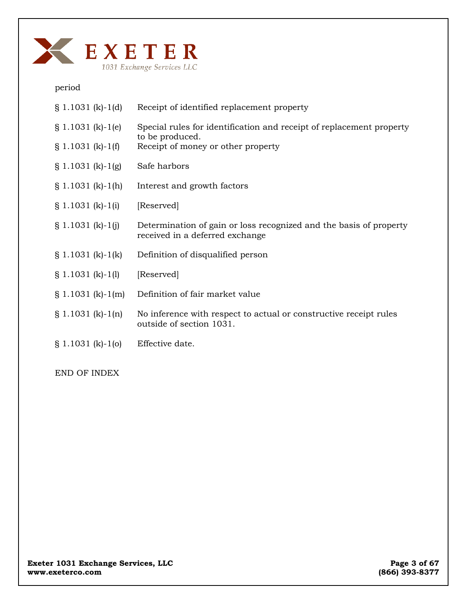

period

| $$1.1031 (k)-1(d)$       | Receipt of identified replacement property                                                            |
|--------------------------|-------------------------------------------------------------------------------------------------------|
| $$1.1031 (k)-1(e)$       | Special rules for identification and receipt of replacement property                                  |
| $\S$ 1.1031 (k)-1(f)     | to be produced.<br>Receipt of money or other property                                                 |
| $\S 1.1031 (k) - 1(g)$   | Safe harbors                                                                                          |
| $\S 1.1031 (k) - 1(h)$   | Interest and growth factors                                                                           |
| $\S 1.1031 (k) - 1(i)$   | [Reserved]                                                                                            |
| $\S$ 1.1031 (k)-1(j)     | Determination of gain or loss recognized and the basis of property<br>received in a deferred exchange |
| $\S 1.1031 (k) - 1(k)$   | Definition of disqualified person                                                                     |
| $$1.1031 (k)-1(l)$       | [Reserved]                                                                                            |
| $\S 1.1031 (k) - 1(m)$   | Definition of fair market value                                                                       |
| $\{ \} 1.1031(k) - 1(n)$ | No inference with respect to actual or constructive receipt rules<br>outside of section 1031.         |
| $$1.1031 (k)-1(0)$       | Effective date.                                                                                       |

END OF INDEX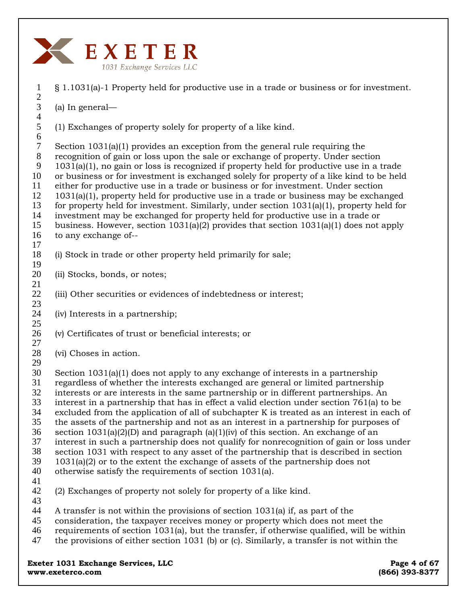

- § 1.1031(a)-1 Property held for productive use in a trade or business or for investment.
- (a) In general—

(1) Exchanges of property solely for property of a like kind.

7 8 9 10 11 12 13 14 15 16 Section 1031(a)(1) provides an exception from the general rule requiring the recognition of gain or loss upon the sale or exchange of property. Under section 1031(a)(1), no gain or loss is recognized if property held for productive use in a trade or business or for investment is exchanged solely for property of a like kind to be held either for productive use in a trade or business or for investment. Under section 1031(a)(1), property held for productive use in a trade or business may be exchanged for property held for investment. Similarly, under section  $1031(a)(1)$ , property held for investment may be exchanged for property held for productive use in a trade or business. However, section 1031(a)(2) provides that section 1031(a)(1) does not apply to any exchange of--

- 18 19 (i) Stock in trade or other property held primarily for sale;
- 20 (ii) Stocks, bonds, or notes;
- 22 (iii) Other securities or evidences of indebtedness or interest;
- 24 (iv) Interests in a partnership;
- 26 (v) Certificates of trust or beneficial interests; or
- 28 (vi) Choses in action.
- 29

27

17

21

23

25

30 31 32 Section  $1031(a)(1)$  does not apply to any exchange of interests in a partnership regardless of whether the interests exchanged are general or limited partnership interests or are interests in the same partnership or in different partnerships. An

- 33 interest in a partnership that has in effect a valid election under section 761(a) to be
- 34 excluded from the application of all of subchapter K is treated as an interest in each of
- 35 the assets of the partnership and not as an interest in a partnership for purposes of
- 36 section  $1031(a)(2)(D)$  and paragraph  $(a)(1)(iv)$  of this section. An exchange of an
- 37 interest in such a partnership does not qualify for nonrecognition of gain or loss under
- 38 39 section 1031 with respect to any asset of the partnership that is described in section 1031(a)(2) or to the extent the exchange of assets of the partnership does not
- 40 otherwise satisfy the requirements of section 1031(a).
- 41
- 42 43 (2) Exchanges of property not solely for property of a like kind.
- 44 A transfer is not within the provisions of section 1031(a) if, as part of the
- 45 consideration, the taxpayer receives money or property which does not meet the
- 46 requirements of section 1031(a), but the transfer, if otherwise qualified, will be within
- 47 the provisions of either section 1031 (b) or (c). Similarly, a transfer is not within the

**Exeter 1031 Exchange Services, LLC** 2004 **Page 4 of 67 Page 4 of 67 www.exeterco.com (866) 393-8377**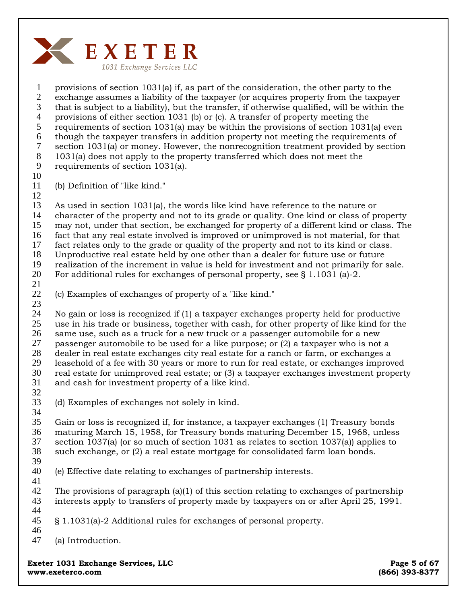

1 2 3 4 5 6 7 8 9 10 provisions of section 1031(a) if, as part of the consideration, the other party to the exchange assumes a liability of the taxpayer (or acquires property from the taxpayer that is subject to a liability), but the transfer, if otherwise qualified, will be within the provisions of either section 1031 (b) or (c). A transfer of property meeting the requirements of section 1031(a) may be within the provisions of section 1031(a) even though the taxpayer transfers in addition property not meeting the requirements of section 1031(a) or money. However, the nonrecognition treatment provided by section 1031(a) does not apply to the property transferred which does not meet the requirements of section 1031(a).

11

(b) Definition of "like kind."

12

13 14 15 16 17 18 19 As used in section 1031(a), the words like kind have reference to the nature or character of the property and not to its grade or quality. One kind or class of property may not, under that section, be exchanged for property of a different kind or class. The fact that any real estate involved is improved or unimproved is not material, for that fact relates only to the grade or quality of the property and not to its kind or class. Unproductive real estate held by one other than a dealer for future use or future realization of the increment in value is held for investment and not primarily for sale.

For additional rules for exchanges of personal property, see § 1.1031 (a)-2.

20 21

22 (c) Examples of exchanges of property of a "like kind."

23 24 25 26 27 28 29 30 31 No gain or loss is recognized if (1) a taxpayer exchanges property held for productive use in his trade or business, together with cash, for other property of like kind for the same use, such as a truck for a new truck or a passenger automobile for a new passenger automobile to be used for a like purpose; or (2) a taxpayer who is not a dealer in real estate exchanges city real estate for a ranch or farm, or exchanges a leasehold of a fee with 30 years or more to run for real estate, or exchanges improved real estate for unimproved real estate; or (3) a taxpayer exchanges investment property and cash for investment property of a like kind.

32 33

34 (d) Examples of exchanges not solely in kind.

35 36 37 38 39 Gain or loss is recognized if, for instance, a taxpayer exchanges (1) Treasury bonds maturing March 15, 1958, for Treasury bonds maturing December 15, 1968, unless section 1037(a) (or so much of section 1031 as relates to section 1037(a)) applies to such exchange, or (2) a real estate mortgage for consolidated farm loan bonds.

- 40 (e) Effective date relating to exchanges of partnership interests.
- 41

42 43 The provisions of paragraph (a)(1) of this section relating to exchanges of partnership interests apply to transfers of property made by taxpayers on or after April 25, 1991.

- 44 45 § 1.1031(a)-2 Additional rules for exchanges of personal property.
- 46

47 (a) Introduction.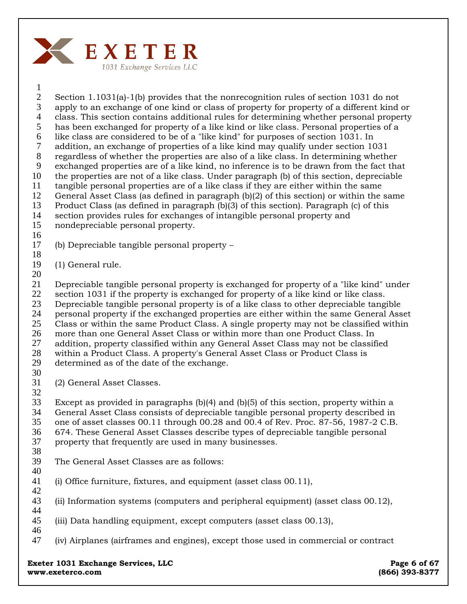

1

2 3 4 5 6 7 8 9 10 11 12 13 14 Section 1.1031(a)-1(b) provides that the nonrecognition rules of section 1031 do not apply to an exchange of one kind or class of property for property of a different kind or class. This section contains additional rules for determining whether personal property has been exchanged for property of a like kind or like class. Personal properties of a like class are considered to be of a "like kind" for purposes of section 1031. In addition, an exchange of properties of a like kind may qualify under section 1031 regardless of whether the properties are also of a like class. In determining whether exchanged properties are of a like kind, no inference is to be drawn from the fact that the properties are not of a like class. Under paragraph (b) of this section, depreciable tangible personal properties are of a like class if they are either within the same General Asset Class (as defined in paragraph (b)(2) of this section) or within the same Product Class (as defined in paragraph (b)(3) of this section). Paragraph (c) of this section provides rules for exchanges of intangible personal property and nondepreciable personal property.

- 15
- 16
- 17 (b) Depreciable tangible personal property –
- 18
- 19 (1) General rule.
- 20

21 22 23 24 25 26 27 28 29 Depreciable tangible personal property is exchanged for property of a "like kind" under section 1031 if the property is exchanged for property of a like kind or like class. Depreciable tangible personal property is of a like class to other depreciable tangible personal property if the exchanged properties are either within the same General Asset Class or within the same Product Class. A single property may not be classified within more than one General Asset Class or within more than one Product Class. In addition, property classified within any General Asset Class may not be classified within a Product Class. A property's General Asset Class or Product Class is determined as of the date of the exchange.

- 30
- 31 (2) General Asset Classes.
- 32

33 34 35 36 37 Except as provided in paragraphs (b)(4) and (b)(5) of this section, property within a General Asset Class consists of depreciable tangible personal property described in one of asset classes 00.11 through 00.28 and 00.4 of Rev. Proc. 87-56, 1987-2 C.B. 674. These General Asset Classes describe types of depreciable tangible personal property that frequently are used in many businesses.

### 38 39

40 The General Asset Classes are as follows:

- 41 42 (i) Office furniture, fixtures, and equipment (asset class 00.11),
- 43 (ii) Information systems (computers and peripheral equipment) (asset class 00.12),
- 45 (iii) Data handling equipment, except computers (asset class 00.13),
- 46

44

47 (iv) Airplanes (airframes and engines), except those used in commercial or contract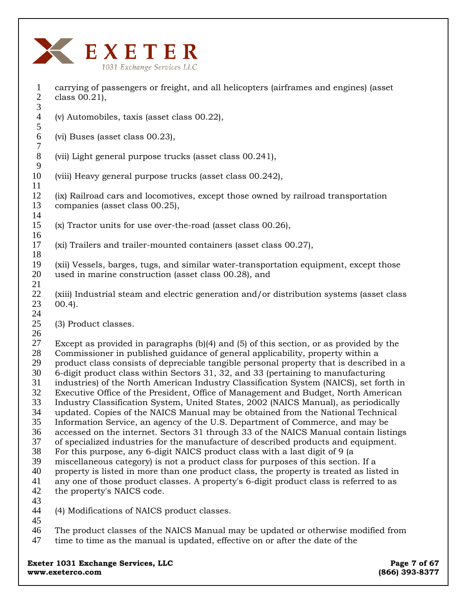

1

2 3 4 5 6 7 8 9 10 11 12 13 14 15 16 17 18 19 20 21 22 23 24 25 26 27 28 29 30 31 32 33 34 35 36 37 38 39 40 41 42 43 44 45 46 47 class 00.21), (v) Automobiles, taxis (asset class 00.22), (vi) Buses (asset class 00.23), (vii) Light general purpose trucks (asset class 00.241), (viii) Heavy general purpose trucks (asset class 00.242), (ix) Railroad cars and locomotives, except those owned by railroad transportation companies (asset class 00.25), (x) Tractor units for use over-the-road (asset class 00.26), (xi) Trailers and trailer-mounted containers (asset class 00.27), (xii) Vessels, barges, tugs, and similar water-transportation equipment, except those used in marine construction (asset class 00.28), and (xiii) Industrial steam and electric generation and/or distribution systems (asset class 00.4). (3) Product classes. Except as provided in paragraphs (b)(4) and (5) of this section, or as provided by the Commissioner in published guidance of general applicability, property within a product class consists of depreciable tangible personal property that is described in a 6-digit product class within Sectors 31, 32, and 33 (pertaining to manufacturing industries) of the North American Industry Classification System (NAICS), set forth in Executive Office of the President, Office of Management and Budget, North American Industry Classification System, United States, 2002 (NAICS Manual), as periodically updated. Copies of the NAICS Manual may be obtained from the National Technical Information Service, an agency of the U.S. Department of Commerce, and may be accessed on the internet. Sectors 31 through 33 of the NAICS Manual contain listings of specialized industries for the manufacture of described products and equipment. For this purpose, any 6-digit NAICS product class with a last digit of 9 (a miscellaneous category) is not a product class for purposes of this section. If a property is listed in more than one product class, the property is treated as listed in any one of those product classes. A property's 6-digit product class is referred to as the property's NAICS code. (4) Modifications of NAICS product classes. **Exeter 1031 Exchange Services, LLC Page 7 of 67 Page 7 of 67** The product classes of the NAICS Manual may be updated or otherwise modified from time to time as the manual is updated, effective on or after the date of the

carrying of passengers or freight, and all helicopters (airframes and engines) (asset

**www.exeterco.com (866) 393-8377**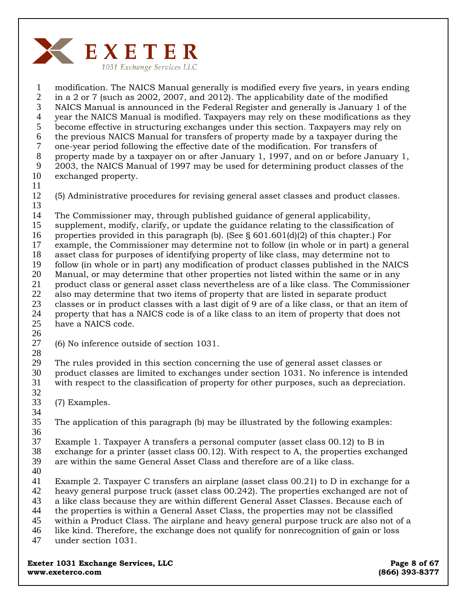

1 2 3 4 5 6 7 8 9 10 11 12 13 14 15 16 17 18 19 20 21 22 23 24 25 26 27 modification. The NAICS Manual generally is modified every five years, in years ending in a 2 or 7 (such as 2002, 2007, and 2012). The applicability date of the modified NAICS Manual is announced in the Federal Register and generally is January 1 of the year the NAICS Manual is modified. Taxpayers may rely on these modifications as they become effective in structuring exchanges under this section. Taxpayers may rely on the previous NAICS Manual for transfers of property made by a taxpayer during the one-year period following the effective date of the modification. For transfers of property made by a taxpayer on or after January 1, 1997, and on or before January 1, 2003, the NAICS Manual of 1997 may be used for determining product classes of the exchanged property. (5) Administrative procedures for revising general asset classes and product classes. The Commissioner may, through published guidance of general applicability, supplement, modify, clarify, or update the guidance relating to the classification of properties provided in this paragraph (b). (See § 601.601(d)(2) of this chapter.) For example, the Commissioner may determine not to follow (in whole or in part) a general asset class for purposes of identifying property of like class, may determine not to follow (in whole or in part) any modification of product classes published in the NAICS Manual, or may determine that other properties not listed within the same or in any product class or general asset class nevertheless are of a like class. The Commissioner also may determine that two items of property that are listed in separate product classes or in product classes with a last digit of 9 are of a like class, or that an item of property that has a NAICS code is of a like class to an item of property that does not have a NAICS code. (6) No inference outside of section 1031.

- 
- 28

29 30 The rules provided in this section concerning the use of general asset classes or product classes are limited to exchanges under section 1031. No inference is intended

31 with respect to the classification of property for other purposes, such as depreciation.

32

34

33 (7) Examples.

35 36 The application of this paragraph (b) may be illustrated by the following examples:

37 Example 1. Taxpayer A transfers a personal computer (asset class 00.12) to B in

38 exchange for a printer (asset class 00.12). With respect to A, the properties exchanged

39 are within the same General Asset Class and therefore are of a like class.

40

41 Example 2. Taxpayer C transfers an airplane (asset class 00.21) to D in exchange for a

42 heavy general purpose truck (asset class 00.242). The properties exchanged are not of

43 a like class because they are within different General Asset Classes. Because each of

- 44 the properties is within a General Asset Class, the properties may not be classified
- 45 within a Product Class. The airplane and heavy general purpose truck are also not of a
- 46 like kind. Therefore, the exchange does not qualify for nonrecognition of gain or loss
- 47 under section 1031.

**Exeter 1031 Exchange Services, LLC Page 8 of 67 Page 8 of 67 www.exeterco.com (866) 393-8377**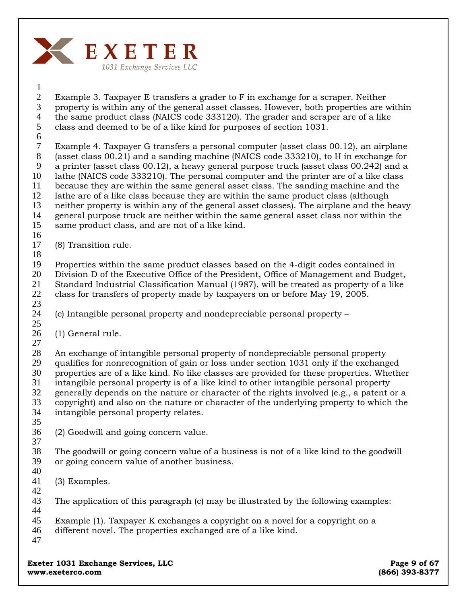

2 3 4 5 Example 3. Taxpayer E transfers a grader to F in exchange for a scraper. Neither property is within any of the general asset classes. However, both properties are within the same product class (NAICS code 333120). The grader and scraper are of a like class and deemed to be of a like kind for purposes of section 1031.

6 7 8 9 10 11 12 13 14 15 Example 4. Taxpayer G transfers a personal computer (asset class 00.12), an airplane (asset class 00.21) and a sanding machine (NAICS code 333210), to H in exchange for a printer (asset class 00.12), a heavy general purpose truck (asset class 00.242) and a lathe (NAICS code 333210). The personal computer and the printer are of a like class because they are within the same general asset class. The sanding machine and the lathe are of a like class because they are within the same product class (although neither property is within any of the general asset classes). The airplane and the heavy general purpose truck are neither within the same general asset class nor within the same product class, and are not of a like kind.

16

1

- 17 (8) Transition rule.
- 18

19 20 21 22 Properties within the same product classes based on the 4-digit codes contained in Division D of the Executive Office of the President, Office of Management and Budget, Standard Industrial Classification Manual (1987), will be treated as property of a like class for transfers of property made by taxpayers on or before May 19, 2005.

23

24 25 (c) Intangible personal property and nondepreciable personal property –

- 26 (1) General rule.
- 27

28 29 30 31 32 33 34 An exchange of intangible personal property of nondepreciable personal property qualifies for nonrecognition of gain or loss under section 1031 only if the exchanged properties are of a like kind. No like classes are provided for these properties. Whether intangible personal property is of a like kind to other intangible personal property generally depends on the nature or character of the rights involved (e.g., a patent or a copyright) and also on the nature or character of the underlying property to which the intangible personal property relates.

35

36 (2) Goodwill and going concern value.

37

38 39 40 The goodwill or going concern value of a business is not of a like kind to the goodwill or going concern value of another business.

41 (3) Examples.

42

43 44 The application of this paragraph (c) may be illustrated by the following examples:

45 Example (1). Taxpayer K exchanges a copyright on a novel for a copyright on a

46 different novel. The properties exchanged are of a like kind.

47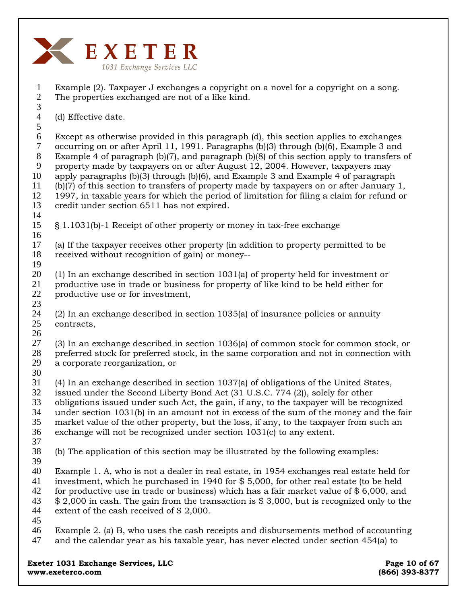

1 2 3 Example (2). Taxpayer J exchanges a copyright on a novel for a copyright on a song. The properties exchanged are not of a like kind.

4 (d) Effective date.

5 6 7 8 9 10 11 12 13 Except as otherwise provided in this paragraph (d), this section applies to exchanges occurring on or after April 11, 1991. Paragraphs (b)(3) through (b)(6), Example 3 and Example 4 of paragraph (b)(7), and paragraph (b)(8) of this section apply to transfers of property made by taxpayers on or after August 12, 2004. However, taxpayers may apply paragraphs (b)(3) through (b)(6), and Example 3 and Example 4 of paragraph (b)(7) of this section to transfers of property made by taxpayers on or after January 1, 1997, in taxable years for which the period of limitation for filing a claim for refund or credit under section 6511 has not expired.

15 16 § 1.1031(b)-1 Receipt of other property or money in tax-free exchange

17 18 19 (a) If the taxpayer receives other property (in addition to property permitted to be received without recognition of gain) or money--

20 21 22 (1) In an exchange described in section 1031(a) of property held for investment or productive use in trade or business for property of like kind to be held either for productive use or for investment,

24 25 (2) In an exchange described in section 1035(a) of insurance policies or annuity contracts,

27 28 29 (3) In an exchange described in section 1036(a) of common stock for common stock, or preferred stock for preferred stock, in the same corporation and not in connection with a corporate reorganization, or

30

23

26

14

31 32 33 34 (4) In an exchange described in section 1037(a) of obligations of the United States, issued under the Second Liberty Bond Act (31 U.S.C. 774 (2)), solely for other obligations issued under such Act, the gain, if any, to the taxpayer will be recognized under section 1031(b) in an amount not in excess of the sum of the money and the fair

35 market value of the other property, but the loss, if any, to the taxpayer from such an

36 37 exchange will not be recognized under section 1031(c) to any extent.

38 (b) The application of this section may be illustrated by the following examples:

39 40 41 42 43 44 Example 1. A, who is not a dealer in real estate, in 1954 exchanges real estate held for investment, which he purchased in 1940 for \$ 5,000, for other real estate (to be held for productive use in trade or business) which has a fair market value of  $$6,000$ , and \$ 2,000 in cash. The gain from the transaction is \$ 3,000, but is recognized only to the extent of the cash received of \$ 2,000.

45

46 47 Example 2. (a) B, who uses the cash receipts and disbursements method of accounting and the calendar year as his taxable year, has never elected under section 454(a) to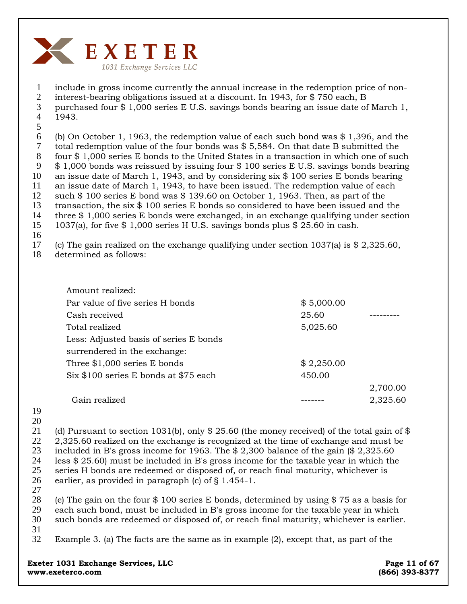

1 include in gross income currently the annual increase in the redemption price of non-

2 interest-bearing obligations issued at a discount. In 1943, for \$ 750 each, B

3 4 purchased four \$ 1,000 series E U.S. savings bonds bearing an issue date of March 1, 1943.

5

6 7 8 9 10 11 12 13 14 15 (b) On October 1, 1963, the redemption value of each such bond was \$ 1,396, and the total redemption value of the four bonds was \$ 5,584. On that date B submitted the four \$ 1,000 series E bonds to the United States in a transaction in which one of such \$ 1,000 bonds was reissued by issuing four \$ 100 series E U.S. savings bonds bearing an issue date of March 1, 1943, and by considering six \$ 100 series E bonds bearing an issue date of March 1, 1943, to have been issued. The redemption value of each such \$ 100 series E bond was \$ 139.60 on October 1, 1963. Then, as part of the transaction, the six \$ 100 series E bonds so considered to have been issued and the three \$ 1,000 series E bonds were exchanged, in an exchange qualifying under section 1037(a), for five \$ 1,000 series H U.S. savings bonds plus \$ 25.60 in cash.

16

17 (c) The gain realized on the exchange qualifying under section 1037(a) is \$ 2,325.60,

18 determined as follows:

| Amount realized:                       |            |          |
|----------------------------------------|------------|----------|
| Par value of five series H bonds       | \$5,000.00 |          |
| Cash received                          | 25.60      |          |
| Total realized                         | 5,025.60   |          |
| Less: Adjusted basis of series E bonds |            |          |
| surrendered in the exchange:           |            |          |
| Three \$1,000 series E bonds           | \$2,250.00 |          |
| Six \$100 series E bonds at \$75 each  | 450.00     |          |
|                                        |            | 2,700.00 |
| Gain realized                          |            | 2,325.60 |

- 19
- 20

21 22 23 24 25 26 (d) Pursuant to section 1031(b), only  $$25.60$  (the money received) of the total gain of  $$$ 2,325.60 realized on the exchange is recognized at the time of exchange and must be included in B's gross income for 1963. The \$ 2,300 balance of the gain (\$ 2,325.60 less \$ 25.60) must be included in B's gross income for the taxable year in which the series H bonds are redeemed or disposed of, or reach final maturity, whichever is earlier, as provided in paragraph (c) of § 1.454-1.

27

28 29 30 31 (e) The gain on the four \$ 100 series E bonds, determined by using \$ 75 as a basis for each such bond, must be included in B's gross income for the taxable year in which such bonds are redeemed or disposed of, or reach final maturity, whichever is earlier.

32 Example 3. (a) The facts are the same as in example (2), except that, as part of the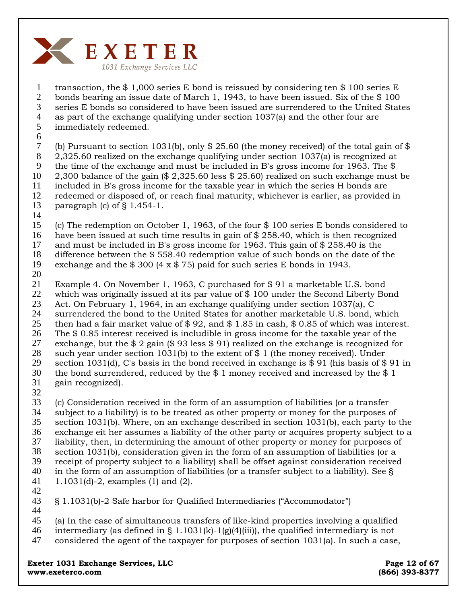

1 2 3 4 5 transaction, the \$ 1,000 series E bond is reissued by considering ten \$ 100 series E bonds bearing an issue date of March 1, 1943, to have been issued. Six of the \$ 100 series E bonds so considered to have been issued are surrendered to the United States as part of the exchange qualifying under section 1037(a) and the other four are immediately redeemed.

6

7 8 9 10 11 12 13 (b) Pursuant to section 1031(b), only  $$25.60$  (the money received) of the total gain of  $$$ 2,325.60 realized on the exchange qualifying under section 1037(a) is recognized at the time of the exchange and must be included in B's gross income for 1963. The \$ 2,300 balance of the gain (\$ 2,325.60 less \$ 25.60) realized on such exchange must be included in B's gross income for the taxable year in which the series H bonds are redeemed or disposed of, or reach final maturity, whichever is earlier, as provided in paragraph (c) of  $\S$  1.454-1.

14

15 16 (c) The redemption on October 1, 1963, of the four \$ 100 series E bonds considered to have been issued at such time results in gain of \$ 258.40, which is then recognized

17 and must be included in B's gross income for 1963. This gain of \$ 258.40 is the

18 difference between the \$ 558.40 redemption value of such bonds on the date of the

19 exchange and the  $$300 (4 \times $75)$  paid for such series E bonds in 1943.

20

21 22 23 24 25 26 27 28 29 30 31 Example 4. On November 1, 1963, C purchased for \$ 91 a marketable U.S. bond which was originally issued at its par value of \$ 100 under the Second Liberty Bond Act. On February 1, 1964, in an exchange qualifying under section 1037(a), C surrendered the bond to the United States for another marketable U.S. bond, which then had a fair market value of \$ 92, and \$ 1.85 in cash, \$ 0.85 of which was interest. The \$ 0.85 interest received is includible in gross income for the taxable year of the exchange, but the  $$ 2$  gain ( $$ 93$  less  $$ 91$ ) realized on the exchange is recognized for such year under section 1031(b) to the extent of  $$1$  (the money received). Under section 1031(d), C's basis in the bond received in exchange is \$ 91 (his basis of \$ 91 in the bond surrendered, reduced by the \$ 1 money received and increased by the \$ 1 gain recognized).

32

33 34 35 36 37 38 39 40 41 (c) Consideration received in the form of an assumption of liabilities (or a transfer subject to a liability) is to be treated as other property or money for the purposes of section 1031(b). Where, on an exchange described in section 1031(b), each party to the exchange eit her assumes a liability of the other party or acquires property subject to a liability, then, in determining the amount of other property or money for purposes of section 1031(b), consideration given in the form of an assumption of liabilities (or a receipt of property subject to a liability) shall be offset against consideration received in the form of an assumption of liabilities (or a transfer subject to a liability). See § 1.1031(d)-2, examples (1) and (2).

42

43 44 § 1.1031(b)-2 Safe harbor for Qualified Intermediaries ("Accommodator")

45 (a) In the case of simultaneous transfers of like-kind properties involving a qualified

- 46 intermediary (as defined in § 1.1031(k)-1(g)(4)(iii)), the qualified intermediary is not
- 47 considered the agent of the taxpayer for purposes of section 1031(a). In such a case,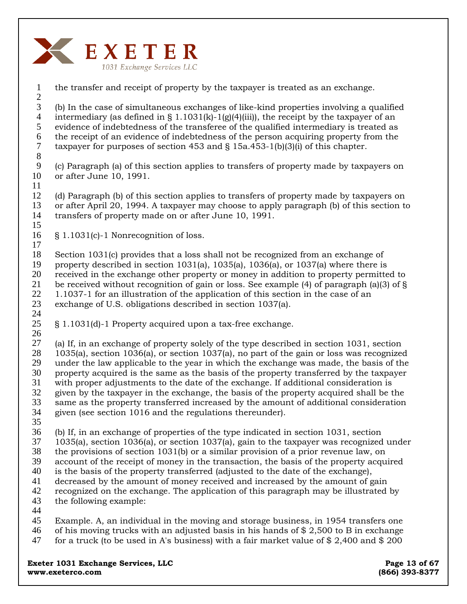

2 3 4 5 6 7 8 (b) In the case of simultaneous exchanges of like-kind properties involving a qualified intermediary (as defined in § 1.1031(k)-1(g)(4)(iii)), the receipt by the taxpayer of an evidence of indebtedness of the transferee of the qualified intermediary is treated as the receipt of an evidence of indebtedness of the person acquiring property from the taxpayer for purposes of section 453 and § 15a.453-1(b)(3)(i) of this chapter.

the transfer and receipt of property by the taxpayer is treated as an exchange.

9 10 11 (c) Paragraph (a) of this section applies to transfers of property made by taxpayers on or after June 10, 1991.

12 13 14 15 (d) Paragraph (b) of this section applies to transfers of property made by taxpayers on or after April 20, 1994. A taxpayer may choose to apply paragraph (b) of this section to transfers of property made on or after June 10, 1991.

16 § 1.1031(c)-1 Nonrecognition of loss.

18 19 20 21 22 23 Section 1031(c) provides that a loss shall not be recognized from an exchange of property described in section 1031(a), 1035(a), 1036(a), or 1037(a) where there is received in the exchange other property or money in addition to property permitted to be received without recognition of gain or loss. See example (4) of paragraph (a)(3) of § 1.1037-1 for an illustration of the application of this section in the case of an exchange of U.S. obligations described in section 1037(a).

25 26 § 1.1031(d)-1 Property acquired upon a tax-free exchange.

27 28 29 30 31 32 33 34 (a) If, in an exchange of property solely of the type described in section 1031, section 1035(a), section 1036(a), or section 1037(a), no part of the gain or loss was recognized under the law applicable to the year in which the exchange was made, the basis of the property acquired is the same as the basis of the property transferred by the taxpayer with proper adjustments to the date of the exchange. If additional consideration is given by the taxpayer in the exchange, the basis of the property acquired shall be the same as the property transferred increased by the amount of additional consideration given (see section 1016 and the regulations thereunder).

35

1

17

24

36 (b) If, in an exchange of properties of the type indicated in section 1031, section

- 37 1035(a), section 1036(a), or section 1037(a), gain to the taxpayer was recognized under
- 38 the provisions of section 1031(b) or a similar provision of a prior revenue law, on
- 39 account of the receipt of money in the transaction, the basis of the property acquired
- 40 is the basis of the property transferred (adjusted to the date of the exchange),
- 41 decreased by the amount of money received and increased by the amount of gain
- 42 43 recognized on the exchange. The application of this paragraph may be illustrated by the following example:
- 44

45 46 47 Example. A, an individual in the moving and storage business, in 1954 transfers one of his moving trucks with an adjusted basis in his hands of \$ 2,500 to B in exchange for a truck (to be used in A's business) with a fair market value of  $$2,400$  and  $$200$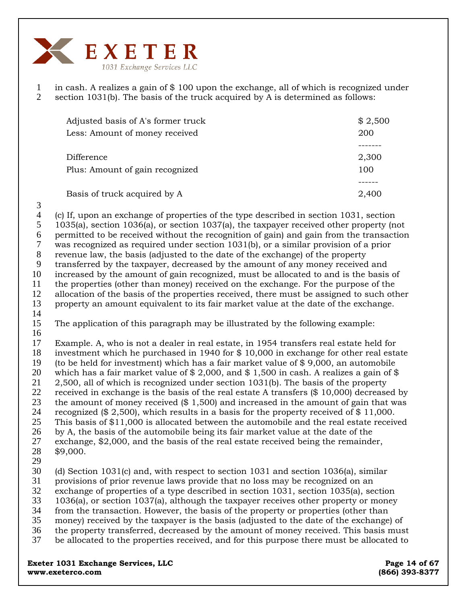

1 2 in cash. A realizes a gain of \$ 100 upon the exchange, all of which is recognized under section 1031(b). The basis of the truck acquired by A is determined as follows:

| Adjusted basis of A's former truck<br>Less: Amount of money received | \$2,500<br>200 |
|----------------------------------------------------------------------|----------------|
|                                                                      |                |
| Difference                                                           | 2,300          |
| Plus: Amount of gain recognized                                      | 100            |
|                                                                      |                |
| Basis of truck acquired by A                                         | 2,400          |

3 4

(c) If, upon an exchange of properties of the type described in section 1031, section 1035(a), section 1036(a), or section 1037(a), the taxpayer received other property (not permitted to be received without the recognition of gain) and gain from the transaction was recognized as required under section 1031(b), or a similar provision of a prior revenue law, the basis (adjusted to the date of the exchange) of the property transferred by the taxpayer, decreased by the amount of any money received and increased by the amount of gain recognized, must be allocated to and is the basis of the properties (other than money) received on the exchange. For the purpose of the allocation of the basis of the properties received, there must be assigned to such other property an amount equivalent to its fair market value at the date of the exchange.

- 15 The application of this paragraph may be illustrated by the following example:
- 

16 17 18 19 Example. A, who is not a dealer in real estate, in 1954 transfers real estate held for investment which he purchased in 1940 for \$ 10,000 in exchange for other real estate (to be held for investment) which has a fair market value of \$ 9,000, an automobile

20 21 which has a fair market value of  $$ 2,000$ , and  $$ 1,500$  in cash. A realizes a gain of  $$$ 2,500, all of which is recognized under section 1031(b). The basis of the property

22 received in exchange is the basis of the real estate A transfers (\$ 10,000) decreased by

23 the amount of money received (\$ 1,500) and increased in the amount of gain that was

24 25 recognized (\$ 2,500), which results in a basis for the property received of \$ 11,000. This basis of \$11,000 is allocated between the automobile and the real estate received

26 by A, the basis of the automobile being its fair market value at the date of the

27 28 exchange, \$2,000, and the basis of the real estate received being the remainder, \$9,000.

29

30 31 (d) Section 1031(c) and, with respect to section 1031 and section 1036(a), similar provisions of prior revenue laws provide that no loss may be recognized on an

32 exchange of properties of a type described in section 1031, section 1035(a), section

- 33 1036(a), or section 1037(a), although the taxpayer receives other property or money
- 34 from the transaction. However, the basis of the property or properties (other than
- 35 money) received by the taxpayer is the basis (adjusted to the date of the exchange) of
- 36 the property transferred, decreased by the amount of money received. This basis must
- 37 be allocated to the properties received, and for this purpose there must be allocated to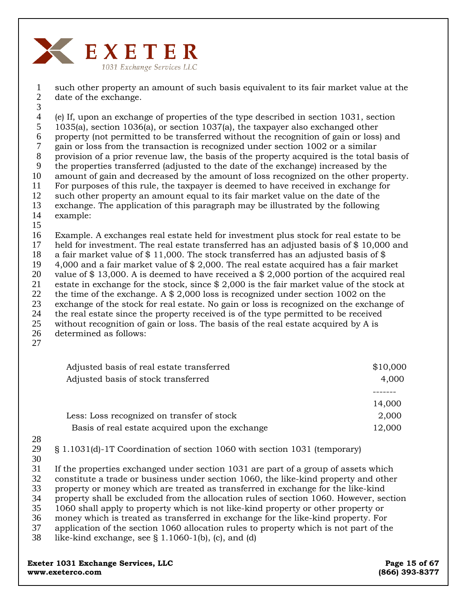

1 2 such other property an amount of such basis equivalent to its fair market value at the date of the exchange.

3

4 5 6 7 8 9 10 11 12 13 14 (e) If, upon an exchange of properties of the type described in section 1031, section 1035(a), section 1036(a), or section 1037(a), the taxpayer also exchanged other property (not permitted to be transferred without the recognition of gain or loss) and gain or loss from the transaction is recognized under section 1002 or a similar provision of a prior revenue law, the basis of the property acquired is the total basis of the properties transferred (adjusted to the date of the exchange) increased by the amount of gain and decreased by the amount of loss recognized on the other property. For purposes of this rule, the taxpayer is deemed to have received in exchange for such other property an amount equal to its fair market value on the date of the exchange. The application of this paragraph may be illustrated by the following example:

15

16 17 18 19 20 21 22 23 24 25 26 Example. A exchanges real estate held for investment plus stock for real estate to be held for investment. The real estate transferred has an adjusted basis of \$10,000 and a fair market value of  $\frac{6}{3}$  11,000. The stock transferred has an adjusted basis of  $\frac{6}{3}$ 4,000 and a fair market value of \$ 2,000. The real estate acquired has a fair market value of \$ 13,000. A is deemed to have received a \$ 2,000 portion of the acquired real estate in exchange for the stock, since \$ 2,000 is the fair market value of the stock at the time of the exchange. A \$ 2,000 loss is recognized under section 1002 on the exchange of the stock for real estate. No gain or loss is recognized on the exchange of the real estate since the property received is of the type permitted to be received without recognition of gain or loss. The basis of the real estate acquired by A is determined as follows:

27

| \$10,000 |
|----------|
| 4,000    |
|          |
| 14,000   |
| 2,000    |
| 12,000   |
|          |

- 28
- 29

§ 1.1031(d)-1T Coordination of section 1060 with section 1031 (temporary)

30

31 If the properties exchanged under section 1031 are part of a group of assets which

32 constitute a trade or business under section 1060, the like-kind property and other

33 property or money which are treated as transferred in exchange for the like-kind

34 property shall be excluded from the allocation rules of section 1060. However, section

35 1060 shall apply to property which is not like-kind property or other property or

36 money which is treated as transferred in exchange for the like-kind property. For

37 application of the section 1060 allocation rules to property which is not part of the

38 like-kind exchange, see  $\S$  1.1060-1(b), (c), and (d)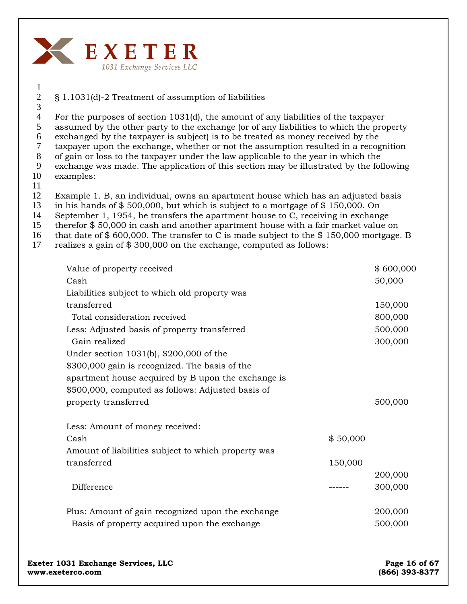

## § 1.1031(d)-2 Treatment of assumption of liabilities

4 5 6 For the purposes of section 1031(d), the amount of any liabilities of the taxpayer assumed by the other party to the exchange (or of any liabilities to which the property exchanged by the taxpayer is subject) is to be treated as money received by the

7 taxpayer upon the exchange, whether or not the assumption resulted in a recognition

8 of gain or loss to the taxpayer under the law applicable to the year in which the

9 exchange was made. The application of this section may be illustrated by the following

10 examples:

1 2 3

11

12 Example 1. B, an individual, owns an apartment house which has an adjusted basis

- 13 in his hands of \$ 500,000, but which is subject to a mortgage of \$ 150,000. On
- 14 September 1, 1954, he transfers the apartment house to C, receiving in exchange
- 15 therefor \$ 50,000 in cash and another apartment house with a fair market value on
- 16 that date of \$ 600,000. The transfer to C is made subject to the \$ 150,000 mortgage. B
- 17 realizes a gain of \$ 300,000 on the exchange, computed as follows:

| Value of property received                          |          | \$600,000 |
|-----------------------------------------------------|----------|-----------|
| Cash                                                |          | 50,000    |
| Liabilities subject to which old property was       |          |           |
| transferred                                         |          | 150,000   |
| Total consideration received                        |          | 800,000   |
| Less: Adjusted basis of property transferred        |          | 500,000   |
| Gain realized                                       |          | 300,000   |
| Under section 1031(b), \$200,000 of the             |          |           |
| \$300,000 gain is recognized. The basis of the      |          |           |
| apartment house acquired by B upon the exchange is  |          |           |
| \$500,000, computed as follows: Adjusted basis of   |          |           |
| property transferred                                |          | 500,000   |
|                                                     |          |           |
| Less: Amount of money received:                     |          |           |
| Cash                                                | \$50,000 |           |
| Amount of liabilities subject to which property was |          |           |
| transferred                                         | 150,000  |           |
|                                                     |          | 200,000   |
| Difference                                          |          | 300,000   |
|                                                     |          |           |
| Plus: Amount of gain recognized upon the exchange   |          | 200,000   |
| Basis of property acquired upon the exchange        |          | 500,000   |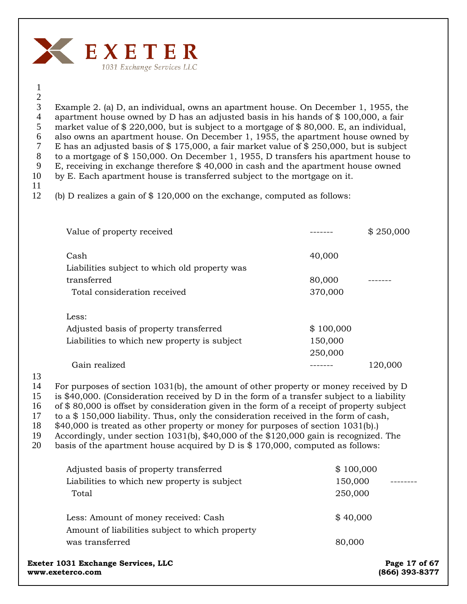

### 1 2

3 4 5 6 7 8 9 10 Example 2. (a) D, an individual, owns an apartment house. On December 1, 1955, the apartment house owned by D has an adjusted basis in his hands of  $$100,000$ , a fair market value of \$ 220,000, but is subject to a mortgage of \$ 80,000. E, an individual, also owns an apartment house. On December 1, 1955, the apartment house owned by E has an adjusted basis of  $$ 175,000$ , a fair market value of  $$ 250,000$ , but is subject to a mortgage of \$ 150,000. On December 1, 1955, D transfers his apartment house to E, receiving in exchange therefore \$ 40,000 in cash and the apartment house owned by E. Each apartment house is transferred subject to the mortgage on it.

11

12 (b) D realizes a gain of \$ 120,000 on the exchange, computed as follows:

| Value of property received                            |           | \$250,000 |
|-------------------------------------------------------|-----------|-----------|
| Cash<br>Liabilities subject to which old property was | 40,000    |           |
| transferred                                           | 80,000    |           |
| Total consideration received                          | 370,000   |           |
| Less:                                                 |           |           |
| Adjusted basis of property transferred                | \$100,000 |           |
| Liabilities to which new property is subject          | 150,000   |           |
|                                                       | 250,000   |           |
| Gain realized                                         |           | 120.000   |

13

14 For purposes of section 1031(b), the amount of other property or money received by D

15 is \$40,000. (Consideration received by D in the form of a transfer subject to a liability

16 of \$ 80,000 is offset by consideration given in the form of a receipt of property subject

17 to a \$ 150,000 liability. Thus, only the consideration received in the form of cash,

18 \$40,000 is treated as other property or money for purposes of section 1031(b).)

19 Accordingly, under section 1031(b), \$40,000 of the \$120,000 gain is recognized. The

20 basis of the apartment house acquired by D is \$ 170,000, computed as follows:

|       | Exeter 1031 Exchange Services, LLC              |           | Page 17 of 67 |
|-------|-------------------------------------------------|-----------|---------------|
|       | was transferred                                 | 80,000    |               |
|       | Amount of liabilities subject to which property |           |               |
|       | Less: Amount of money received: Cash            | \$40,000  |               |
| Total |                                                 | 250,000   |               |
|       | Liabilities to which new property is subject    | 150,000   |               |
|       | Adjusted basis of property transferred          | \$100,000 |               |

**www.exeterco.com (866) 393-8377**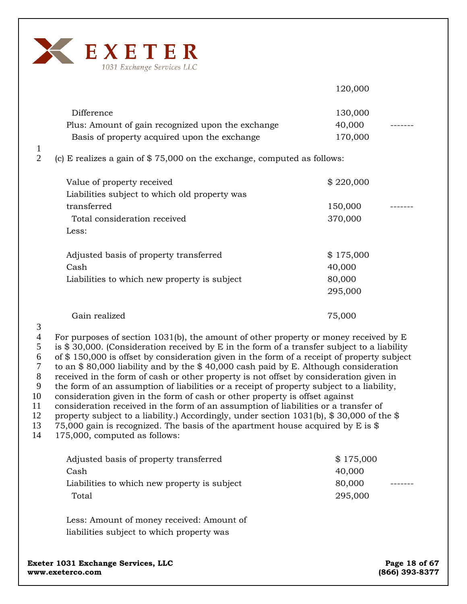

120,000 Difference 130,000 Plus: Amount of gain recognized upon the exchange 40,000 Basis of property acquired upon the exchange 170,000 (c) E realizes a gain of \$ 75,000 on the exchange, computed as follows: Value of property received  $$ 220,000$ Liabilities subject to which old property was transferred 150,000  $\sim$ Total consideration received 370,000 Less: Adjusted basis of property transferred  $$175,000$  $\cosh$  40,000 Liabilities to which new property is subject 80,000 295,000 Gain realized 75,000

3

1 2

4 5 6 7 8 9 10 11 For purposes of section 1031(b), the amount of other property or money received by E is \$ 30,000. (Consideration received by E in the form of a transfer subject to a liability of \$ 150,000 is offset by consideration given in the form of a receipt of property subject to an \$ 80,000 liability and by the \$ 40,000 cash paid by E. Although consideration received in the form of cash or other property is not offset by consideration given in the form of an assumption of liabilities or a receipt of property subject to a liability, consideration given in the form of cash or other property is offset against consideration received in the form of an assumption of liabilities or a transfer of

12 property subject to a liability.) Accordingly, under section 1031(b),  $$30,000$  of the  $$$ 

13 75,000 gain is recognized. The basis of the apartment house acquired by E is \$

14 175,000, computed as follows:

| Adjusted basis of property transferred       | \$175,000 |
|----------------------------------------------|-----------|
| Cash                                         | 40,000    |
| Liabilities to which new property is subject | 80,000    |
| Total                                        | 295,000   |
|                                              |           |

Less: Amount of money received: Amount of liabilities subject to which property was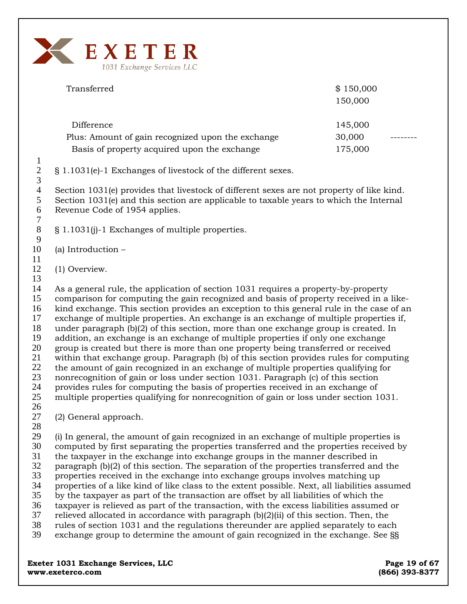

| Transferred                                       | \$150,000 |  |
|---------------------------------------------------|-----------|--|
|                                                   | 150,000   |  |
|                                                   |           |  |
| Difference                                        | 145,000   |  |
| Plus: Amount of gain recognized upon the exchange | 30,000    |  |
| Basis of property acquired upon the exchange      | 175,000   |  |
|                                                   |           |  |

§ 1.1031(e)-1 Exchanges of livestock of the different sexes.

4 5 6 7 Section 1031(e) provides that livestock of different sexes are not property of like kind. Section 1031(e) and this section are applicable to taxable years to which the Internal Revenue Code of 1954 applies.

- 8 9 § 1.1031(j)-1 Exchanges of multiple properties.
- 10 (a) Introduction –
- 11

1 2 3

- 12 (1) Overview.
- 13

14 15 16 17 18 19 20 21 22 23 24 25 As a general rule, the application of section 1031 requires a property-by-property comparison for computing the gain recognized and basis of property received in a likekind exchange. This section provides an exception to this general rule in the case of an exchange of multiple properties. An exchange is an exchange of multiple properties if, under paragraph (b)(2) of this section, more than one exchange group is created. In addition, an exchange is an exchange of multiple properties if only one exchange group is created but there is more than one property being transferred or received within that exchange group. Paragraph (b) of this section provides rules for computing the amount of gain recognized in an exchange of multiple properties qualifying for nonrecognition of gain or loss under section 1031. Paragraph (c) of this section provides rules for computing the basis of properties received in an exchange of multiple properties qualifying for nonrecognition of gain or loss under section 1031.

26

27 (2) General approach.

28

29 30 31 32 33 34 35 36 37 38 39 (i) In general, the amount of gain recognized in an exchange of multiple properties is computed by first separating the properties transferred and the properties received by the taxpayer in the exchange into exchange groups in the manner described in paragraph (b)(2) of this section. The separation of the properties transferred and the properties received in the exchange into exchange groups involves matching up properties of a like kind of like class to the extent possible. Next, all liabilities assumed by the taxpayer as part of the transaction are offset by all liabilities of which the taxpayer is relieved as part of the transaction, with the excess liabilities assumed or relieved allocated in accordance with paragraph  $(b)(2)(ii)$  of this section. Then, the rules of section 1031 and the regulations thereunder are applied separately to each exchange group to determine the amount of gain recognized in the exchange. See §§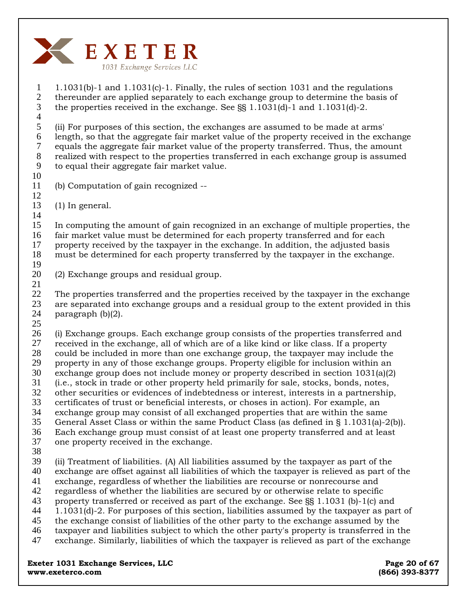

1 2 3 4 5 6 7 8 9 10 11 12 13 14 15 16 17 18 19 20 21 22 23 24 25 26 27 28 29 30 31 32 33 34 35 36 37 38 39 40 41 42 43 44 45 46 47 1.1031(b)-1 and 1.1031(c)-1. Finally, the rules of section 1031 and the regulations thereunder are applied separately to each exchange group to determine the basis of the properties received in the exchange. See §§ 1.1031(d)-1 and 1.1031(d)-2. (ii) For purposes of this section, the exchanges are assumed to be made at arms' length, so that the aggregate fair market value of the property received in the exchange equals the aggregate fair market value of the property transferred. Thus, the amount realized with respect to the properties transferred in each exchange group is assumed to equal their aggregate fair market value. (b) Computation of gain recognized -- (1) In general. In computing the amount of gain recognized in an exchange of multiple properties, the fair market value must be determined for each property transferred and for each property received by the taxpayer in the exchange. In addition, the adjusted basis must be determined for each property transferred by the taxpayer in the exchange. (2) Exchange groups and residual group. The properties transferred and the properties received by the taxpayer in the exchange are separated into exchange groups and a residual group to the extent provided in this paragraph (b)(2). (i) Exchange groups. Each exchange group consists of the properties transferred and received in the exchange, all of which are of a like kind or like class. If a property could be included in more than one exchange group, the taxpayer may include the property in any of those exchange groups. Property eligible for inclusion within an exchange group does not include money or property described in section 1031(a)(2) (i.e., stock in trade or other property held primarily for sale, stocks, bonds, notes, other securities or evidences of indebtedness or interest, interests in a partnership, certificates of trust or beneficial interests, or choses in action). For example, an exchange group may consist of all exchanged properties that are within the same General Asset Class or within the same Product Class (as defined in § 1.1031(a)-2(b)). Each exchange group must consist of at least one property transferred and at least one property received in the exchange. (ii) Treatment of liabilities. (A) All liabilities assumed by the taxpayer as part of the exchange are offset against all liabilities of which the taxpayer is relieved as part of the exchange, regardless of whether the liabilities are recourse or nonrecourse and regardless of whether the liabilities are secured by or otherwise relate to specific property transferred or received as part of the exchange. See §§ 1.1031 (b)-1(c) and 1.1031(d)-2. For purposes of this section, liabilities assumed by the taxpayer as part of the exchange consist of liabilities of the other party to the exchange assumed by the taxpayer and liabilities subject to which the other party's property is transferred in the exchange. Similarly, liabilities of which the taxpayer is relieved as part of the exchange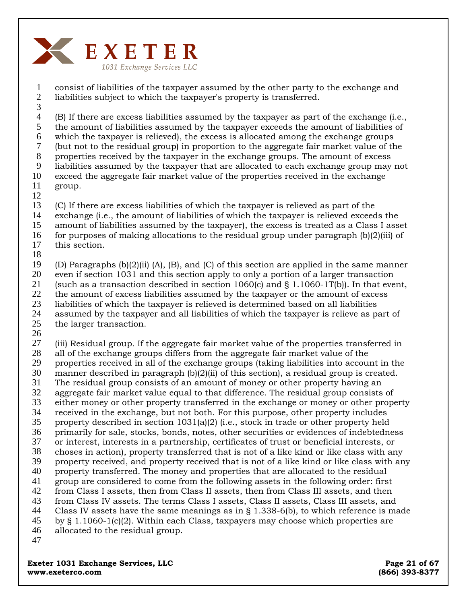

consist of liabilities of the taxpayer assumed by the other party to the exchange and liabilities subject to which the taxpayer's property is transferred. 1 2

3

(B) If there are excess liabilities assumed by the taxpayer as part of the exchange (i.e., the amount of liabilities assumed by the taxpayer exceeds the amount of liabilities of which the taxpayer is relieved), the excess is allocated among the exchange groups (but not to the residual group) in proportion to the aggregate fair market value of the properties received by the taxpayer in the exchange groups. The amount of excess liabilities assumed by the taxpayer that are allocated to each exchange group may not exceed the aggregate fair market value of the properties received in the exchange 4 5 6 7 8 9 10

11

group.

12

(C) If there are excess liabilities of which the taxpayer is relieved as part of the 13

- exchange (i.e., the amount of liabilities of which the taxpayer is relieved exceeds the 14
- amount of liabilities assumed by the taxpayer), the excess is treated as a Class I asset 15
- for purposes of making allocations to the residual group under paragraph (b)(2)(iii) of this section. 16
- 17 18

(D) Paragraphs (b)(2)(ii) (A), (B), and (C) of this section are applied in the same manner even if section 1031 and this section apply to only a portion of a larger transaction (such as a transaction described in section  $1060(c)$  and § 1.1060-1T(b)). In that event, the amount of excess liabilities assumed by the taxpayer or the amount of excess liabilities of which the taxpayer is relieved is determined based on all liabilities assumed by the taxpayer and all liabilities of which the taxpayer is relieve as part of 19 20 21 22 23 24

the larger transaction. 25

26

(iii) Residual group. If the aggregate fair market value of the properties transferred in all of the exchange groups differs from the aggregate fair market value of the properties received in all of the exchange groups (taking liabilities into account in the manner described in paragraph (b)(2)(ii) of this section), a residual group is created. The residual group consists of an amount of money or other property having an aggregate fair market value equal to that difference. The residual group consists of either money or other property transferred in the exchange or money or other property received in the exchange, but not both. For this purpose, other property includes property described in section 1031(a)(2) (i.e., stock in trade or other property held primarily for sale, stocks, bonds, notes, other securities or evidences of indebtedness or interest, interests in a partnership, certificates of trust or beneficial interests, or choses in action), property transferred that is not of a like kind or like class with any property received, and property received that is not of a like kind or like class with any property transferred. The money and properties that are allocated to the residual group are considered to come from the following assets in the following order: first from Class I assets, then from Class II assets, then from Class III assets, and then from Class IV assets. The terms Class I assets, Class II assets, Class III assets, and Class IV assets have the same meanings as in  $\S$  1.338-6(b), to which reference is made by § 1.1060-1(c)(2). Within each Class, taxpayers may choose which properties are allocated to the residual group. 27 28 29 30 31 32 33 34 35 36 37 38 39 40 41 42 43 44 45 46 47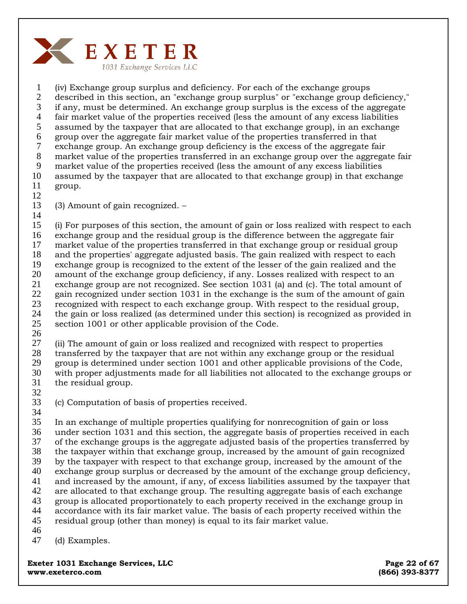

1 2 3 4 5 6 7 8 9 10 11 12 (iv) Exchange group surplus and deficiency. For each of the exchange groups described in this section, an "exchange group surplus" or "exchange group deficiency," if any, must be determined. An exchange group surplus is the excess of the aggregate fair market value of the properties received (less the amount of any excess liabilities assumed by the taxpayer that are allocated to that exchange group), in an exchange group over the aggregate fair market value of the properties transferred in that exchange group. An exchange group deficiency is the excess of the aggregate fair market value of the properties transferred in an exchange group over the aggregate fair market value of the properties received (less the amount of any excess liabilities assumed by the taxpayer that are allocated to that exchange group) in that exchange group.

- 13 (3) Amount of gain recognized. –
- 14

15 16 17 18 19 20 21 22 23 24 25 (i) For purposes of this section, the amount of gain or loss realized with respect to each exchange group and the residual group is the difference between the aggregate fair market value of the properties transferred in that exchange group or residual group and the properties' aggregate adjusted basis. The gain realized with respect to each exchange group is recognized to the extent of the lesser of the gain realized and the amount of the exchange group deficiency, if any. Losses realized with respect to an exchange group are not recognized. See section 1031 (a) and (c). The total amount of gain recognized under section 1031 in the exchange is the sum of the amount of gain recognized with respect to each exchange group. With respect to the residual group, the gain or loss realized (as determined under this section) is recognized as provided in section 1001 or other applicable provision of the Code.

26

27 28 29 30 (ii) The amount of gain or loss realized and recognized with respect to properties transferred by the taxpayer that are not within any exchange group or the residual group is determined under section 1001 and other applicable provisions of the Code, with proper adjustments made for all liabilities not allocated to the exchange groups or

31 32

(c) Computation of basis of properties received.

33 34

35 36 37 38 39 40 41 42 43 44 45 46 In an exchange of multiple properties qualifying for nonrecognition of gain or loss under section 1031 and this section, the aggregate basis of properties received in each of the exchange groups is the aggregate adjusted basis of the properties transferred by the taxpayer within that exchange group, increased by the amount of gain recognized by the taxpayer with respect to that exchange group, increased by the amount of the exchange group surplus or decreased by the amount of the exchange group deficiency, and increased by the amount, if any, of excess liabilities assumed by the taxpayer that are allocated to that exchange group. The resulting aggregate basis of each exchange group is allocated proportionately to each property received in the exchange group in accordance with its fair market value. The basis of each property received within the residual group (other than money) is equal to its fair market value.

47 (d) Examples.

**Exeter 1031 Exchange Services, LLC Exeter 1031 Exchange Services, LLC www.exeterco.com (866) 393-8377** 

the residual group.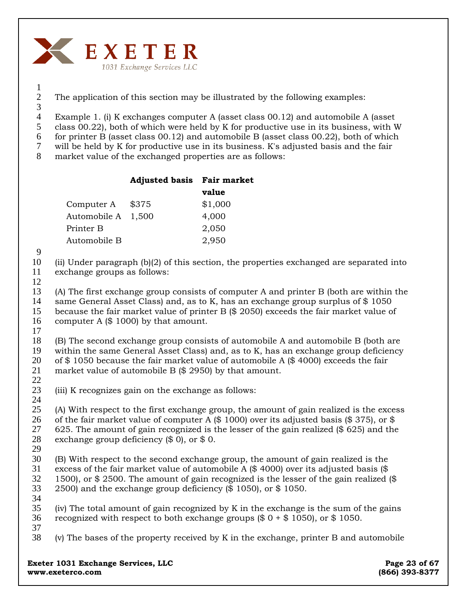

1 2 3

The application of this section may be illustrated by the following examples:

4 Example 1. (i) K exchanges computer A (asset class 00.12) and automobile A (asset

5 class 00.22), both of which were held by K for productive use in its business, with W

6 for printer B (asset class 00.12) and automobile B (asset class 00.22), both of which

7 will be held by K for productive use in its business. K's adjusted basis and the fair

8 market value of the exchanged properties are as follows:

|                    | <b>Adjusted basis</b> Fair market |         |
|--------------------|-----------------------------------|---------|
|                    |                                   | value   |
| Computer A         | \$375                             | \$1,000 |
| Automobile A 1,500 |                                   | 4,000   |
| Printer B          |                                   | 2,050   |
| Automobile B       |                                   | 2,950   |

9

10 11 (ii) Under paragraph (b)(2) of this section, the properties exchanged are separated into exchange groups as follows:

12

13 14 15 16 (A) The first exchange group consists of computer A and printer B (both are within the same General Asset Class) and, as to K, has an exchange group surplus of \$1050 because the fair market value of printer B (\$ 2050) exceeds the fair market value of computer A (\$ 1000) by that amount.

17

22

24

18 19 20 21 (B) The second exchange group consists of automobile A and automobile B (both are within the same General Asset Class) and, as to K, has an exchange group deficiency of \$1050 because the fair market value of automobile A (\$4000) exceeds the fair market value of automobile B (\$ 2950) by that amount.

23 (iii) K recognizes gain on the exchange as follows:

25 26 27 28 29 (A) With respect to the first exchange group, the amount of gain realized is the excess of the fair market value of computer A  $(\$ 1000)$  over its adjusted basis  $(\$ 375)$ , or \$ 625. The amount of gain recognized is the lesser of the gain realized (\$ 625) and the exchange group deficiency (\$ 0), or \$ 0.

30 31 32 33 (B) With respect to the second exchange group, the amount of gain realized is the excess of the fair market value of automobile A (\$ 4000) over its adjusted basis (\$ 1500), or \$ 2500. The amount of gain recognized is the lesser of the gain realized (\$ 2500) and the exchange group deficiency (\$ 1050), or \$ 1050.

34

35 36 37 (iv) The total amount of gain recognized by K in the exchange is the sum of the gains recognized with respect to both exchange groups  $(\$ 0 + \$ 1050)$ , or  $\$ 1050$ .

38 (v) The bases of the property received by K in the exchange, printer B and automobile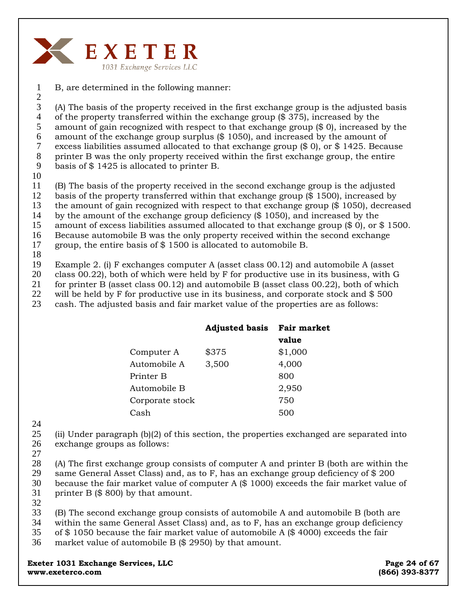

1 B, are determined in the following manner:

2 3 4 5 6 7 8 9 (A) The basis of the property received in the first exchange group is the adjusted basis of the property transferred within the exchange group (\$ 375), increased by the amount of gain recognized with respect to that exchange group (\$ 0), increased by the amount of the exchange group surplus (\$ 1050), and increased by the amount of excess liabilities assumed allocated to that exchange group (\$ 0), or \$ 1425. Because printer B was the only property received within the first exchange group, the entire basis of \$ 1425 is allocated to printer B.

10

11 (B) The basis of the property received in the second exchange group is the adjusted

12 basis of the property transferred within that exchange group (\$ 1500), increased by

13 the amount of gain recognized with respect to that exchange group (\$ 1050), decreased

14 by the amount of the exchange group deficiency (\$ 1050), and increased by the

15 16 amount of excess liabilities assumed allocated to that exchange group (\$ 0), or \$ 1500. Because automobile B was the only property received within the second exchange

17 group, the entire basis of \$ 1500 is allocated to automobile B.

18

19 Example 2. (i) F exchanges computer A (asset class 00.12) and automobile A (asset

20 class 00.22), both of which were held by F for productive use in its business, with G

21 for printer B (asset class 00.12) and automobile B (asset class 00.22), both of which

22 will be held by F for productive use in its business, and corporate stock and \$ 500

23 cash. The adjusted basis and fair market value of the properties are as follows:

|                 | <b>Adjusted basis</b> | <b>Fair market</b> |
|-----------------|-----------------------|--------------------|
|                 |                       | value              |
| Computer A      | \$375                 | \$1,000            |
| Automobile A    | 3,500                 | 4,000              |
| Printer B       |                       | 800                |
| Automobile B    |                       | 2,950              |
| Corporate stock |                       | 750                |
| Cash            |                       |                    |

24

25 26 (ii) Under paragraph (b)(2) of this section, the properties exchanged are separated into exchange groups as follows:

27

28 29 30 31 (A) The first exchange group consists of computer A and printer B (both are within the same General Asset Class) and, as to F, has an exchange group deficiency of \$ 200 because the fair market value of computer A (\$ 1000) exceeds the fair market value of printer B (\$ 800) by that amount.

32

33 34 (B) The second exchange group consists of automobile A and automobile B (both are within the same General Asset Class) and, as to F, has an exchange group deficiency

- 35 of \$ 1050 because the fair market value of automobile A (\$ 4000) exceeds the fair
- 36 market value of automobile B (\$ 2950) by that amount.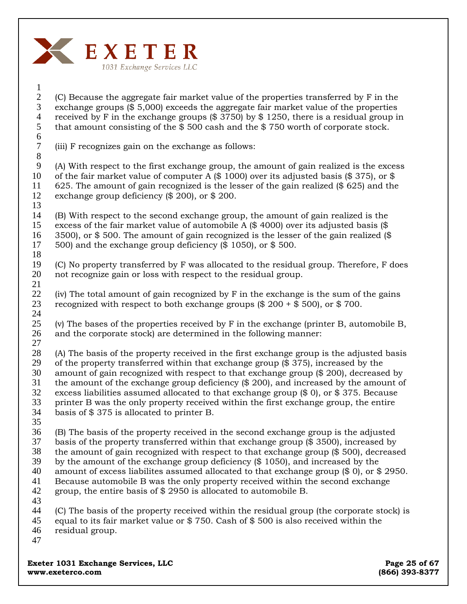

#### (C) Because the aggregate fair market value of the properties transferred by F in the exchange groups (\$ 5,000) exceeds the aggregate fair market value of the properties received by F in the exchange groups (\$ 3750) by \$ 1250, there is a residual group in that amount consisting of the \$ 500 cash and the \$ 750 worth of corporate stock. 1 2 3 4 5 6

(iii) F recognizes gain on the exchange as follows: 7 8

(A) With respect to the first exchange group, the amount of gain realized is the excess of the fair market value of computer A (\$ 1000) over its adjusted basis (\$ 375), or \$ 625. The amount of gain recognized is the lesser of the gain realized (\$ 625) and the exchange group deficiency (\$ 200), or \$ 200. 9 10 11 12 13

(B) With respect to the second exchange group, the amount of gain realized is the excess of the fair market value of automobile A (\$ 4000) over its adjusted basis (\$ 3500), or \$ 500. The amount of gain recognized is the lesser of the gain realized (\$ 500) and the exchange group deficiency (\$ 1050), or \$ 500. 14 15 16 17

- (C) No property transferred by F was allocated to the residual group. Therefore, F does not recognize gain or loss with respect to the residual group. 19 20
- (iv) The total amount of gain recognized by F in the exchange is the sum of the gains recognized with respect to both exchange groups  $(\$ 200 + \$ 500)$ , or  $\$ 700$ . 22 23 24
- (v) The bases of the properties received by F in the exchange (printer B, automobile B, and the corporate stock) are determined in the following manner: 25 26
- (A) The basis of the property received in the first exchange group is the adjusted basis of the property transferred within that exchange group (\$ 375), increased by the amount of gain recognized with respect to that exchange group (\$ 200), decreased by the amount of the exchange group deficiency (\$ 200), and increased by the amount of excess liabilities assumed allocated to that exchange group (\$ 0), or \$ 375. Because printer B was the only property received within the first exchange group, the entire basis of \$ 375 is allocated to printer B. 27 28 29 30 31 32 33 34
- 35

18

21

(B) The basis of the property received in the second exchange group is the adjusted basis of the property transferred within that exchange group (\$ 3500), increased by 36 37

- the amount of gain recognized with respect to that exchange group (\$ 500), decreased 38
- by the amount of the exchange group deficiency (\$ 1050), and increased by the 39
- amount of excess liabilites assumed allocated to that exchange group (\$ 0), or \$ 2950. 40
- Because automobile B was the only property received within the second exchange 41
- group, the entire basis of \$ 2950 is allocated to automobile B. 42 43
- (C) The basis of the property received within the residual group (the corporate stock) is equal to its fair market value or \$ 750. Cash of \$ 500 is also received within the residual group. 44 45 46
- 47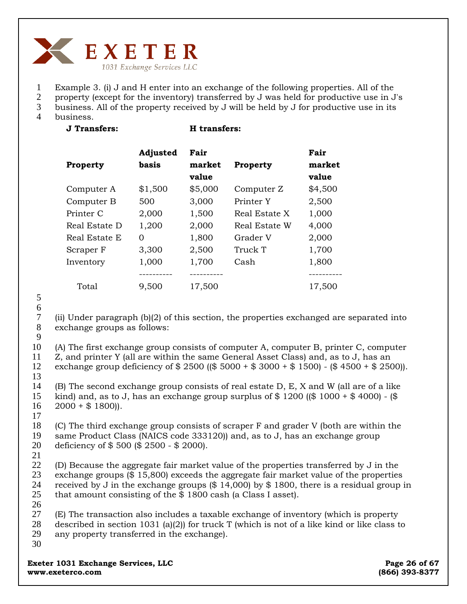

- 1 2 Example 3. (i) J and H enter into an exchange of the following properties. All of the
- 3 property (except for the inventory) transferred by J was held for productive use in J's business. All of the property received by J will be held by J for productive use in its
- 4 business.
- 

**J Transfers: H transfers:** 

| <b>Property</b> | Adjusted<br>basis | Fair<br>market<br>value | Property      | Fair<br>market<br>value |
|-----------------|-------------------|-------------------------|---------------|-------------------------|
| Computer A      | \$1,500           | \$5,000                 | Computer Z    | \$4,500                 |
| Computer B      | 500               | 3,000                   | Printer Y     | 2,500                   |
| Printer C       | 2,000             | 1,500                   | Real Estate X | 1,000                   |
| Real Estate D   | 1,200             | 2,000                   | Real Estate W | 4,000                   |
| Real Estate E   | 0                 | 1,800                   | Grader V      | 2,000                   |
| Scraper F       | 3,300             | 2,500                   | Truck T       | 1,700                   |
| Inventory       | 1,000             | 1,700                   | Cash          | 1,800                   |
|                 | ---------         | ---------               |               | --------                |
| Total           | 9,500             | 17,500                  |               | 17,500                  |

5

6 7

> 8 9

(ii) Under paragraph (b)(2) of this section, the properties exchanged are separated into exchange groups as follows:

10 11 12 (A) The first exchange group consists of computer A, computer B, printer C, computer Z, and printer Y (all are within the same General Asset Class) and, as to J, has an exchange group deficiency of \$ 2500 ((\$ 5000 + \$ 3000 + \$ 1500) - (\$ 4500 + \$ 2500)).

13

14 15 16 17 (B) The second exchange group consists of real estate D, E, X and W (all are of a like kind) and, as to J, has an exchange group surplus of  $$1200$  (( $$1000 + $4000$ ) - ( $$$  $2000 + $1800$ ).

18 19 20 (C) The third exchange group consists of scraper F and grader V (both are within the same Product Class (NAICS code 333120)) and, as to J, has an exchange group deficiency of \$ 500 (\$ 2500 - \$ 2000).

21

22 23 24 25 (D) Because the aggregate fair market value of the properties transferred by J in the exchange groups (\$ 15,800) exceeds the aggregate fair market value of the properties received by J in the exchange groups (\$ 14,000) by \$ 1800, there is a residual group in that amount consisting of the \$ 1800 cash (a Class I asset).

- 26 27 28 29 (E) The transaction also includes a taxable exchange of inventory (which is property described in section 1031 (a)(2)) for truck T (which is not of a like kind or like class to any property transferred in the exchange).
- 30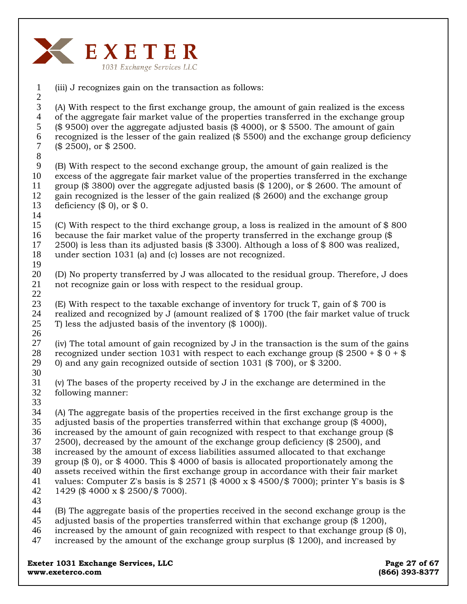

(iii) J recognizes gain on the transaction as follows: (A) With respect to the first exchange group, the amount of gain realized is the excess of the aggregate fair market value of the properties transferred in the exchange group (\$ 9500) over the aggregate adjusted basis (\$ 4000), or \$ 5500. The amount of gain recognized is the lesser of the gain realized (\$ 5500) and the exchange group deficiency (\$ 2500), or \$ 2500. (B) With respect to the second exchange group, the amount of gain realized is the excess of the aggregate fair market value of the properties transferred in the exchange group (\$ 3800) over the aggregate adjusted basis (\$ 1200), or \$ 2600. The amount of gain recognized is the lesser of the gain realized (\$ 2600) and the exchange group deficiency  $(\$ 0)$ , or  $\$ 0$ . (C) With respect to the third exchange group, a loss is realized in the amount of \$ 800 because the fair market value of the property transferred in the exchange group (\$ 2500) is less than its adjusted basis (\$ 3300). Although a loss of \$ 800 was realized, under section 1031 (a) and (c) losses are not recognized. (D) No property transferred by J was allocated to the residual group. Therefore, J does not recognize gain or loss with respect to the residual group. (E) With respect to the taxable exchange of inventory for truck T, gain of \$ 700 is realized and recognized by J (amount realized of \$ 1700 (the fair market value of truck T) less the adjusted basis of the inventory (\$ 1000)). (iv) The total amount of gain recognized by J in the transaction is the sum of the gains recognized under section 1031 with respect to each exchange group  $(\$ 2500 + \$ 0 + \$$ 0) and any gain recognized outside of section 1031 (\$ 700), or \$ 3200. (v) The bases of the property received by J in the exchange are determined in the following manner: (A) The aggregate basis of the properties received in the first exchange group is the adjusted basis of the properties transferred within that exchange group (\$ 4000), increased by the amount of gain recognized with respect to that exchange group (\$ 2500), decreased by the amount of the exchange group deficiency (\$ 2500), and increased by the amount of excess liabilities assumed allocated to that exchange group (\$ 0), or \$ 4000. This \$ 4000 of basis is allocated proportionately among the assets received within the first exchange group in accordance with their fair market values: Computer Z's basis is  $$2571 ($4000 \times $4500/$7000)$ ; printer Y's basis is \$ 1429 (\$ 4000 x \$ 2500/\$ 7000). (B) The aggregate basis of the properties received in the second exchange group is the adjusted basis of the properties transferred within that exchange group (\$ 1200), increased by the amount of gain recognized with respect to that exchange group  $(\$ 0)$ , increased by the amount of the exchange group surplus (\$ 1200), and increased by 1 2 3 4 5 6 7 8 9 10 11 12 13 14 15 16 17 18 19 20 21 22 23 24 25 26 27 28 29 30 31 32 33 34 35 36 37 38 39 40 41 42 43 44 45 46 47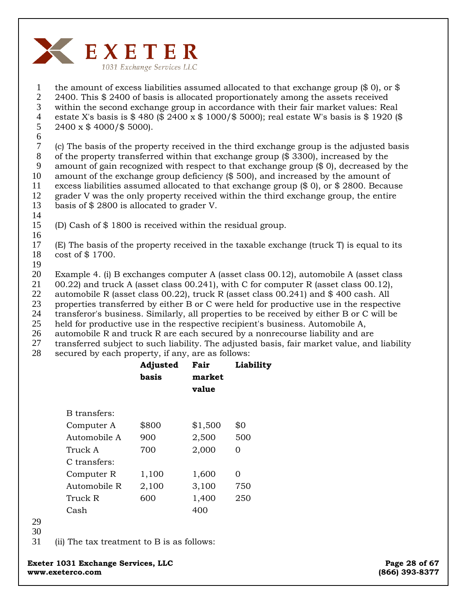

1 2 3 4 5 the amount of excess liabilities assumed allocated to that exchange group  $(\$ 0)$ , or  $\$$ 2400. This \$ 2400 of basis is allocated proportionately among the assets received within the second exchange group in accordance with their fair market values: Real estate X's basis is \$ 480 (\$ 2400 x \$ 1000/\$ 5000); real estate W's basis is \$ 1920 (\$ 2400 x \$ 4000/\$ 5000).

6

7 8 9 10 11 12 (c) The basis of the property received in the third exchange group is the adjusted basis of the property transferred within that exchange group (\$ 3300), increased by the amount of gain recognized with respect to that exchange group (\$ 0), decreased by the amount of the exchange group deficiency (\$ 500), and increased by the amount of excess liabilities assumed allocated to that exchange group (\$ 0), or \$ 2800. Because grader V was the only property received within the third exchange group, the entire

- 13 basis of \$ 2800 is allocated to grader V.
- 14

15 16 (D) Cash of \$ 1800 is received within the residual group.

17 18 (E) The basis of the property received in the taxable exchange (truck T) is equal to its cost of \$ 1700.

19

20 Example 4. (i) B exchanges computer A (asset class 00.12), automobile A (asset class

21 00.22) and truck A (asset class 00.241), with C for computer R (asset class 00.12),

22 automobile R (asset class 00.22), truck R (asset class 00.241) and \$ 400 cash. All

23 properties transferred by either B or C were held for productive use in the respective

24 transferor's business. Similarly, all properties to be received by either B or C will be

25 held for productive use in the respective recipient's business. Automobile A,

26 automobile R and truck R are each secured by a nonrecourse liability and are

27 transferred subject to such liability. The adjusted basis, fair market value, and liability

28 secured by each property, if any, are as follows:

|              | Adjusted<br>basis | Fair<br>market<br>value | Liability |
|--------------|-------------------|-------------------------|-----------|
| B transfers: |                   |                         |           |
| Computer A   | \$800             | \$1,500                 | \$0       |
| Automobile A | 900               | 2,500                   | 500       |
| Truck A      | 700               | 2,000                   | 0         |
| C transfers: |                   |                         |           |
| Computer R   | 1,100             | 1,600                   | Ω         |
| Automobile R | 2,100             | 3,100                   | 750       |
| Truck R      | 600               | 1,400                   | 250       |
| Cash         |                   | 400                     |           |
|              |                   |                         |           |

29

30

31 (ii) The tax treatment to B is as follows: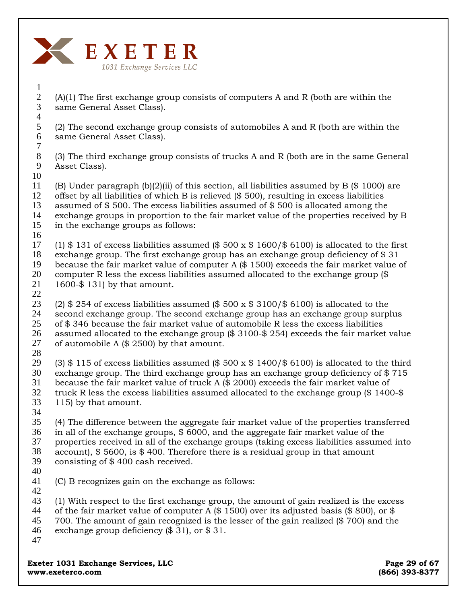

(A)(1) The first exchange group consists of computers A and R (both are within the same General Asset Class). 2 3 4

(2) The second exchange group consists of automobiles A and R (both are within the same General Asset Class).

(3) The third exchange group consists of trucks A and R (both are in the same General Asset Class). 8 9

(B) Under paragraph (b)(2)(ii) of this section, all liabilities assumed by B (\$ 1000) are offset by all liabilities of which B is relieved (\$ 500), resulting in excess liabilities assumed of \$ 500. The excess liabilities assumed of \$ 500 is allocated among the exchange groups in proportion to the fair market value of the properties received by B in the exchange groups as follows: 10 11 12 13 14 15 16

(1) \$ 131 of excess liabilities assumed (\$ 500 x  $$1600$ / $$6100$ ) is allocated to the first exchange group. The first exchange group has an exchange group deficiency of  $$31$ because the fair market value of computer A (\$ 1500) exceeds the fair market value of computer R less the excess liabilities assumed allocated to the exchange group (\$ 1600-\$ 131) by that amount. 17 18 19 20 21 22

(2)  $$254$  of excess liabilities assumed ( $$500 \times $3100$ ) is allocated to the second exchange group. The second exchange group has an exchange group surplus of \$ 346 because the fair market value of automobile R less the excess liabilities assumed allocated to the exchange group (\$ 3100-\$ 254) exceeds the fair market value of automobile A (\$ 2500) by that amount. 23 24 25 26 27

28

1

5 6 7

(3)  $$ 115$  of excess liabilities assumed ( $$ 500 \times $ 1400 / $ 6100$ ) is allocated to the third exchange group. The third exchange group has an exchange group deficiency of \$ 715 because the fair market value of truck A (\$ 2000) exceeds the fair market value of truck R less the excess liabilities assumed allocated to the exchange group (\$ 1400-\$ 115) by that amount. 29 30 31 32 33 34

(4) The difference between the aggregate fair market value of the properties transferred in all of the exchange groups, \$ 6000, and the aggregate fair market value of the properties received in all of the exchange groups (taking excess liabilities assumed into account), \$ 5600, is \$ 400. Therefore there is a residual group in that amount consisting of \$ 400 cash received. 35 36 37 38 39

40

(C) B recognizes gain on the exchange as follows: 41

(1) With respect to the first exchange group, the amount of gain realized is the excess of the fair market value of computer A (\$ 1500) over its adjusted basis (\$ 800), or \$ 700. The amount of gain recognized is the lesser of the gain realized (\$ 700) and the exchange group deficiency (\$ 31), or \$ 31. 42 43 44 45 46 47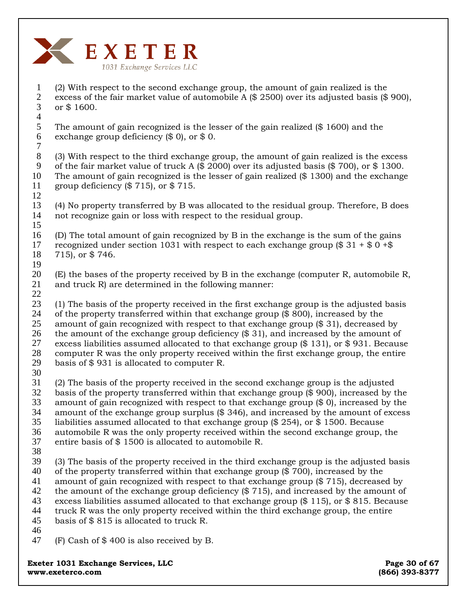

(2) With respect to the second exchange group, the amount of gain realized is the excess of the fair market value of automobile A (\$ 2500) over its adjusted basis (\$ 900), or \$ 1600. 1 2 3

The amount of gain recognized is the lesser of the gain realized (\$ 1600) and the exchange group deficiency (\$ 0), or \$ 0. 5 6 7

(3) With respect to the third exchange group, the amount of gain realized is the excess of the fair market value of truck A  $(\$ 2000)$  over its adjusted basis  $(\$ 700)$ , or  $\$ 1300$ . The amount of gain recognized is the lesser of gain realized (\$ 1300) and the exchange group deficiency  $(\$715)$ , or  $\$715$ . 8 9 10 11 12

(4) No property transferred by B was allocated to the residual group. Therefore, B does not recognize gain or loss with respect to the residual group. 13 14 15

(D) The total amount of gain recognized by B in the exchange is the sum of the gains recognized under section 1031 with respect to each exchange group  $\textcircled{ } 31 + \textcircled{ } 9 + \textcircled{ } 8$ 715), or \$ 746. 16 17 18 19

(E) the bases of the property received by B in the exchange (computer R, automobile R, and truck R) are determined in the following manner: 20 21 22

(1) The basis of the property received in the first exchange group is the adjusted basis of the property transferred within that exchange group (\$ 800), increased by the amount of gain recognized with respect to that exchange group (\$ 31), decreased by the amount of the exchange group deficiency (\$ 31), and increased by the amount of excess liabilities assumed allocated to that exchange group (\$ 131), or \$ 931. Because computer R was the only property received within the first exchange group, the entire basis of \$ 931 is allocated to computer R. 23 24 25 26 27 28 29

30

4

(2) The basis of the property received in the second exchange group is the adjusted basis of the property transferred within that exchange group (\$ 900), increased by the amount of gain recognized with respect to that exchange group (\$ 0), increased by the amount of the exchange group surplus (\$ 346), and increased by the amount of excess liabilities assumed allocated to that exchange group (\$ 254), or \$ 1500. Because automobile R was the only property received within the second exchange group, the entire basis of \$ 1500 is allocated to automobile R. 31 32 33 34 35 36 37

38

(3) The basis of the property received in the third exchange group is the adjusted basis of the property transferred within that exchange group (\$ 700), increased by the amount of gain recognized with respect to that exchange group (\$ 715), decreased by the amount of the exchange group deficiency (\$ 715), and increased by the amount of excess liabilities assumed allocated to that exchange group (\$ 115), or \$ 815. Because truck R was the only property received within the third exchange group, the entire basis of \$ 815 is allocated to truck R. 39 40 41 42 43 44 45

46

(F) Cash of \$ 400 is also received by B. 47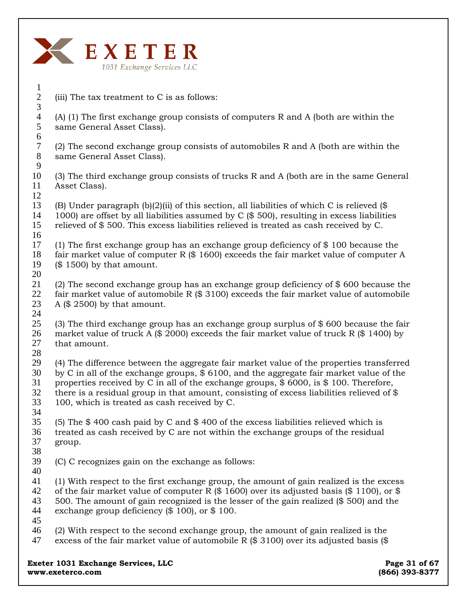

(iii) The tax treatment to C is as follows: (A) (1) The first exchange group consists of computers R and A (both are within the same General Asset Class). (2) The second exchange group consists of automobiles R and A (both are within the same General Asset Class). (3) The third exchange group consists of trucks R and A (both are in the same General Asset Class). (B) Under paragraph  $(b)(2)(ii)$  of this section, all liabilities of which C is relieved  $(\$$ 1000) are offset by all liabilities assumed by C (\$ 500), resulting in excess liabilities relieved of \$ 500. This excess liabilities relieved is treated as cash received by C. (1) The first exchange group has an exchange group deficiency of \$ 100 because the fair market value of computer R  $(\$ 1600)$  exceeds the fair market value of computer A (\$ 1500) by that amount. (2) The second exchange group has an exchange group deficiency of \$ 600 because the fair market value of automobile R (\$ 3100) exceeds the fair market value of automobile A (\$ 2500) by that amount. (3) The third exchange group has an exchange group surplus of \$ 600 because the fair market value of truck A (\$ 2000) exceeds the fair market value of truck R (\$ 1400) by that amount. (4) The difference between the aggregate fair market value of the properties transferred by C in all of the exchange groups, \$ 6100, and the aggregate fair market value of the properties received by C in all of the exchange groups, \$ 6000, is \$ 100. Therefore, there is a residual group in that amount, consisting of excess liabilities relieved of \$ 100, which is treated as cash received by C. (5) The \$ 400 cash paid by C and \$ 400 of the excess liabilities relieved which is treated as cash received by C are not within the exchange groups of the residual group. (C) C recognizes gain on the exchange as follows: (1) With respect to the first exchange group, the amount of gain realized is the excess of the fair market value of computer R  $(\frac{6}{1600})$  over its adjusted basis  $(\frac{6}{100})$ , or  $\frac{6}{100}$ 500. The amount of gain recognized is the lesser of the gain realized (\$ 500) and the exchange group deficiency (\$ 100), or \$ 100. (2) With respect to the second exchange group, the amount of gain realized is the excess of the fair market value of automobile R  $(\$ 3100)$  over its adjusted basis  $(\$$ 1 2 3 4 5 6 7 8 9 10 11 12 13 14 15 16 17 18 19 20 21 22 23 24 25 26 27 28 29 30 31 32 33 34 35 36 37 38 39 40 41 42 43 44 45 46 47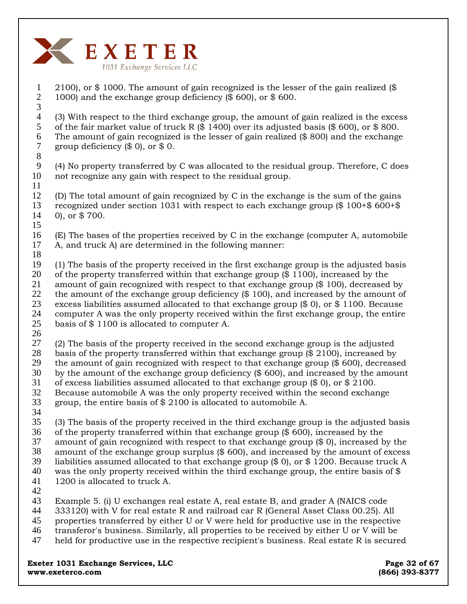

2100), or \$ 1000. The amount of gain recognized is the lesser of the gain realized (\$ 1000) and the exchange group deficiency (\$ 600), or \$ 600. (3) With respect to the third exchange group, the amount of gain realized is the excess of the fair market value of truck R  $(\frac{6}{1400})$  over its adjusted basis  $(\frac{6}{1400})$ , or  $\frac{6}{1400}$ . The amount of gain recognized is the lesser of gain realized (\$ 800) and the exchange group deficiency  $(\$ 0)$ , or  $\$ 0$ . (4) No property transferred by C was allocated to the residual group. Therefore, C does not recognize any gain with respect to the residual group. (D) The total amount of gain recognized by C in the exchange is the sum of the gains recognized under section 1031 with respect to each exchange group (\$ 100+\$ 600+\$ 0), or \$ 700. (E) The bases of the properties received by C in the exchange (computer A, automobile A, and truck A) are determined in the following manner: (1) The basis of the property received in the first exchange group is the adjusted basis of the property transferred within that exchange group  $(\$ 1100)$ , increased by the amount of gain recognized with respect to that exchange group (\$ 100), decreased by the amount of the exchange group deficiency (\$ 100), and increased by the amount of excess liabilities assumed allocated to that exchange group (\$ 0), or \$ 1100. Because computer A was the only property received within the first exchange group, the entire basis of \$ 1100 is allocated to computer A. (2) The basis of the property received in the second exchange group is the adjusted basis of the property transferred within that exchange group (\$ 2100), increased by the amount of gain recognized with respect to that exchange group (\$ 600), decreased by the amount of the exchange group deficiency (\$ 600), and increased by the amount of excess liabilities assumed allocated to that exchange group (\$ 0), or \$ 2100. Because automobile A was the only property received within the second exchange group, the entire basis of \$ 2100 is allocated to automobile A. (3) The basis of the property received in the third exchange group is the adjusted basis of the property transferred within that exchange group (\$ 600), increased by the amount of gain recognized with respect to that exchange group (\$ 0), increased by the amount of the exchange group surplus (\$ 600), and increased by the amount of excess liabilities assumed allocated to that exchange group (\$ 0), or \$ 1200. Because truck A was the only property received within the third exchange group, the entire basis of  $\$\$ 1200 is allocated to truck A. Example 5. (i) U exchanges real estate A, real estate B, and grader A (NAICS code 333120) with V for real estate R and railroad car R (General Asset Class 00.25). All properties transferred by either U or V were held for productive use in the respective transferor's business. Similarly, all properties to be received by either U or V will be held for productive use in the respective recipient's business. Real estate R is secured 1 2 3 4 5 6 7 8 9 10 11 12 13 14 15 16 17 18 19 20 21 22 23 24 25 26 27 28 29 30 31 32 33 34 35 36 37 38 39 40 41 42 43 44 45 46 47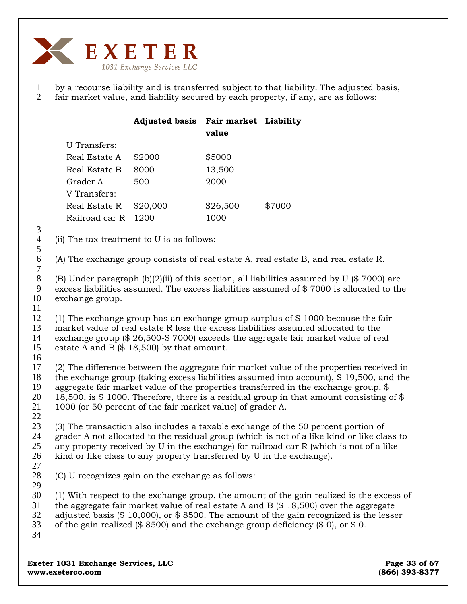

1 2 by a recourse liability and is transferred subject to that liability. The adjusted basis, fair market value, and liability secured by each property, if any, are as follows:

|                            |                                                                                                                                                                                                                                                                                                                                                                                                                                                | <b>Adjusted basis Fair market Liability</b> | value    |                                                                                     |  |  |  |
|----------------------------|------------------------------------------------------------------------------------------------------------------------------------------------------------------------------------------------------------------------------------------------------------------------------------------------------------------------------------------------------------------------------------------------------------------------------------------------|---------------------------------------------|----------|-------------------------------------------------------------------------------------|--|--|--|
|                            | <b>U</b> Transfers:                                                                                                                                                                                                                                                                                                                                                                                                                            |                                             |          |                                                                                     |  |  |  |
|                            | Real Estate A                                                                                                                                                                                                                                                                                                                                                                                                                                  | \$2000                                      | \$5000   |                                                                                     |  |  |  |
|                            | Real Estate B                                                                                                                                                                                                                                                                                                                                                                                                                                  | 8000                                        | 13,500   |                                                                                     |  |  |  |
|                            | Grader A                                                                                                                                                                                                                                                                                                                                                                                                                                       | 500                                         | 2000     |                                                                                     |  |  |  |
|                            | V Transfers:                                                                                                                                                                                                                                                                                                                                                                                                                                   |                                             |          |                                                                                     |  |  |  |
|                            | Real Estate R                                                                                                                                                                                                                                                                                                                                                                                                                                  | \$20,000                                    | \$26,500 | \$7000                                                                              |  |  |  |
|                            | Railroad car R                                                                                                                                                                                                                                                                                                                                                                                                                                 | 1200                                        | 1000     |                                                                                     |  |  |  |
| 3                          |                                                                                                                                                                                                                                                                                                                                                                                                                                                |                                             |          |                                                                                     |  |  |  |
| $\overline{4}$<br>5        | (ii) The tax treatment to U is as follows:                                                                                                                                                                                                                                                                                                                                                                                                     |                                             |          |                                                                                     |  |  |  |
| 6<br>$\boldsymbol{7}$      |                                                                                                                                                                                                                                                                                                                                                                                                                                                |                                             |          | (A) The exchange group consists of real estate A, real estate B, and real estate R. |  |  |  |
| $8\,$<br>9<br>10<br>11     | (B) Under paragraph (b)(2)(ii) of this section, all liabilities assumed by U (\$ 7000) are<br>excess liabilities assumed. The excess liabilities assumed of \$7000 is allocated to the<br>exchange group.                                                                                                                                                                                                                                      |                                             |          |                                                                                     |  |  |  |
| 12<br>13<br>14<br>15<br>16 | (1) The exchange group has an exchange group surplus of \$ 1000 because the fair<br>market value of real estate R less the excess liabilities assumed allocated to the<br>exchange group (\$ 26,500-\$ 7000) exceeds the aggregate fair market value of real<br>estate A and B $(\$ 18,500)$ by that amount.                                                                                                                                   |                                             |          |                                                                                     |  |  |  |
| 17<br>18<br>19<br>20<br>21 | (2) The difference between the aggregate fair market value of the properties received in<br>the exchange group (taking excess liabilities assumed into account), $\frac{6}{3}$ 19,500, and the<br>aggregate fair market value of the properties transferred in the exchange group, \$<br>18,500, is \$1000. Therefore, there is a residual group in that amount consisting of \$<br>1000 (or 50 percent of the fair market value) of grader A. |                                             |          |                                                                                     |  |  |  |
| 22                         |                                                                                                                                                                                                                                                                                                                                                                                                                                                |                                             |          |                                                                                     |  |  |  |
| 23                         | (3) The transaction also includes a taxable exchange of the 50 percent portion of                                                                                                                                                                                                                                                                                                                                                              |                                             |          |                                                                                     |  |  |  |
| 24<br>25                   | grader A not allocated to the residual group (which is not of a like kind or like class to<br>any property received by U in the exchange) for railroad car R (which is not of a like                                                                                                                                                                                                                                                           |                                             |          |                                                                                     |  |  |  |
| 26<br>27                   | kind or like class to any property transferred by U in the exchange).                                                                                                                                                                                                                                                                                                                                                                          |                                             |          |                                                                                     |  |  |  |
| 28<br>29                   | (C) U recognizes gain on the exchange as follows:                                                                                                                                                                                                                                                                                                                                                                                              |                                             |          |                                                                                     |  |  |  |
| 30<br>31<br>32<br>33<br>34 | (1) With respect to the exchange group, the amount of the gain realized is the excess of<br>the aggregate fair market value of real estate A and B $(\$ 18,500)$ over the aggregate<br>adjusted basis (\$ 10,000), or \$ 8500. The amount of the gain recognized is the lesser<br>of the gain realized (\$ 8500) and the exchange group deficiency (\$ 0), or \$ 0.                                                                            |                                             |          |                                                                                     |  |  |  |
|                            |                                                                                                                                                                                                                                                                                                                                                                                                                                                |                                             |          |                                                                                     |  |  |  |

**Exeter 1031 Exchange Services, LLC** Page 33 of 67 **www.exeterco.com (866) 393-8377**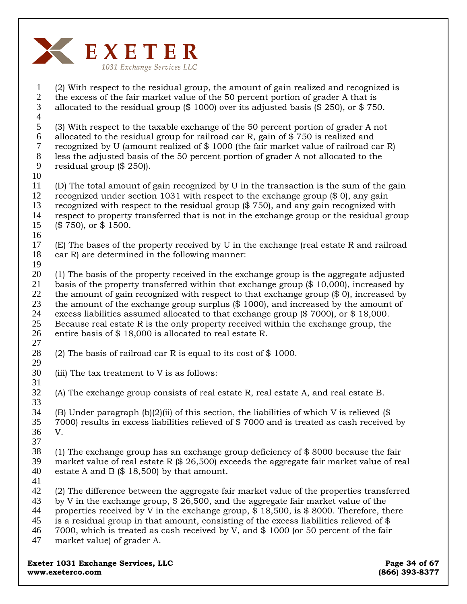

(2) With respect to the residual group, the amount of gain realized and recognized is the excess of the fair market value of the 50 percent portion of grader A that is allocated to the residual group (\$ 1000) over its adjusted basis (\$ 250), or \$ 750. (3) With respect to the taxable exchange of the 50 percent portion of grader A not allocated to the residual group for railroad car R, gain of \$ 750 is realized and recognized by U (amount realized of \$ 1000 (the fair market value of railroad car R) less the adjusted basis of the 50 percent portion of grader A not allocated to the residual group (\$ 250)). (D) The total amount of gain recognized by U in the transaction is the sum of the gain recognized under section 1031 with respect to the exchange group (\$ 0), any gain recognized with respect to the residual group (\$ 750), and any gain recognized with respect to property transferred that is not in the exchange group or the residual group (\$ 750), or \$ 1500. (E) The bases of the property received by U in the exchange (real estate R and railroad car R) are determined in the following manner: (1) The basis of the property received in the exchange group is the aggregate adjusted basis of the property transferred within that exchange group (\$ 10,000), increased by the amount of gain recognized with respect to that exchange group (\$ 0), increased by the amount of the exchange group surplus (\$ 1000), and increased by the amount of excess liabilities assumed allocated to that exchange group (\$ 7000), or \$ 18,000. Because real estate R is the only property received within the exchange group, the entire basis of \$ 18,000 is allocated to real estate R. (2) The basis of railroad car R is equal to its cost of  $$1000$ . (iii) The tax treatment to V is as follows: (A) The exchange group consists of real estate R, real estate A, and real estate B. (B) Under paragraph (b)(2)(ii) of this section, the liabilities of which V is relieved (\$) 7000) results in excess liabilities relieved of \$ 7000 and is treated as cash received by V. (1) The exchange group has an exchange group deficiency of \$ 8000 because the fair market value of real estate R  $(\$ 26,500)$  exceeds the aggregate fair market value of real estate A and B  $(\$ 18,500)$  by that amount. (2) The difference between the aggregate fair market value of the properties transferred by V in the exchange group, \$ 26,500, and the aggregate fair market value of the properties received by V in the exchange group, \$ 18,500, is \$ 8000. Therefore, there is a residual group in that amount, consisting of the excess liabilities relieved of \$ 7000, which is treated as cash received by V, and \$ 1000 (or 50 percent of the fair market value) of grader A. 1 2 3 4 5 6 7 8 9 10 11 12 13 14 15 16 17 18 19 20 21 22 23 24 25 26 27 28 29 30 31 32 33 34 35 36 37 38 39 40 41 42 43 44 45 46 47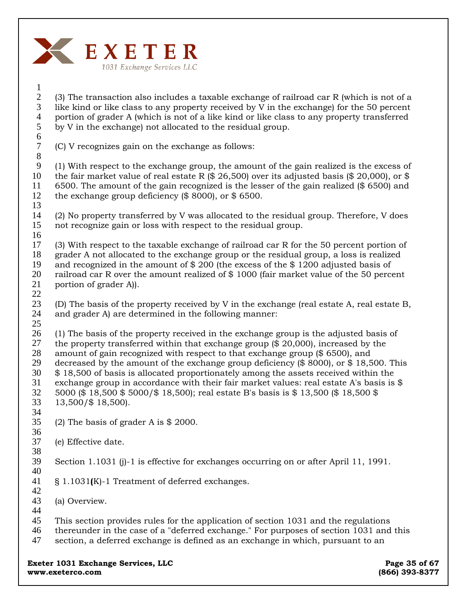

#### 1 2 3 4 5 6 (3) The transaction also includes a taxable exchange of railroad car R (which is not of a like kind or like class to any property received by V in the exchange) for the 50 percent portion of grader A (which is not of a like kind or like class to any property transferred by V in the exchange) not allocated to the residual group.

(C) V recognizes gain on the exchange as follows:

9 10 11 12 13 (1) With respect to the exchange group, the amount of the gain realized is the excess of the fair market value of real estate R  $(\$ 26,500)$  over its adjusted basis  $(\$ 20,000)$ , or \$ 6500. The amount of the gain recognized is the lesser of the gain realized (\$ 6500) and the exchange group deficiency (\$ 8000), or \$ 6500.

- 14 15 16 (2) No property transferred by V was allocated to the residual group. Therefore, V does not recognize gain or loss with respect to the residual group.
- 17 18 19 20 21 22 (3) With respect to the taxable exchange of railroad car R for the 50 percent portion of grader A not allocated to the exchange group or the residual group, a loss is realized and recognized in the amount of \$ 200 (the excess of the \$ 1200 adjusted basis of railroad car R over the amount realized of \$ 1000 (fair market value of the 50 percent portion of grader A)).
- 23 24 25 (D) The basis of the property received by V in the exchange (real estate A, real estate B, and grader A) are determined in the following manner:
- 26 27 28 29 30 31 32 33 (1) The basis of the property received in the exchange group is the adjusted basis of the property transferred within that exchange group (\$ 20,000), increased by the amount of gain recognized with respect to that exchange group (\$ 6500), and decreased by the amount of the exchange group deficiency (\$ 8000), or \$ 18,500. This \$ 18,500 of basis is allocated proportionately among the assets received within the exchange group in accordance with their fair market values: real estate A's basis is \$ 5000 (\$ 18,500 \$ 5000/\$ 18,500); real estate B's basis is \$ 13,500 (\$ 18,500 \$ 13,500/\$ 18,500).
- 35 (2) The basis of grader A is \$ 2000.
- 36 37 (e) Effective date.
- 38

34

7 8

- 39 40 Section 1.1031 (j)-1 is effective for exchanges occurring on or after April 11, 1991.
- 41 § 1.1031**(**K)-1 Treatment of deferred exchanges.
- 42 43 (a) Overview.
- 44
- 45 This section provides rules for the application of section 1031 and the regulations
- 46 thereunder in the case of a "deferred exchange." For purposes of section 1031 and this
- 47 section, a deferred exchange is defined as an exchange in which, pursuant to an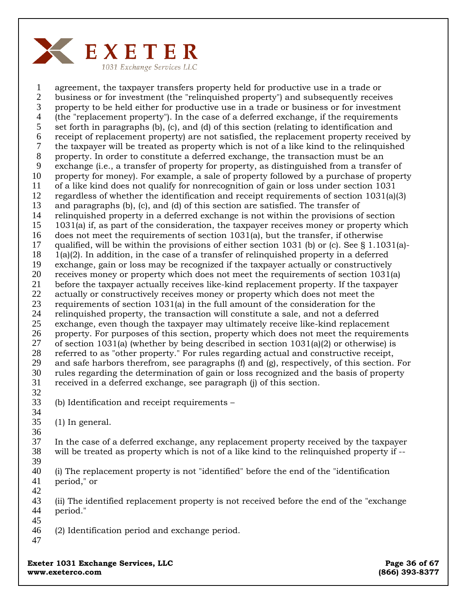

1 2 3 4 5 6 7 8 9 10 11 12 13 14 15 16 17 18 19 20 21 22 23 24 25 26 27 28 29 30 31 32 33 34 35 36 agreement, the taxpayer transfers property held for productive use in a trade or business or for investment (the "relinquished property") and subsequently receives property to be held either for productive use in a trade or business or for investment (the "replacement property"). In the case of a deferred exchange, if the requirements set forth in paragraphs (b), (c), and (d) of this section (relating to identification and receipt of replacement property) are not satisfied, the replacement property received by the taxpayer will be treated as property which is not of a like kind to the relinquished property. In order to constitute a deferred exchange, the transaction must be an exchange (i.e., a transfer of property for property, as distinguished from a transfer of property for money). For example, a sale of property followed by a purchase of property of a like kind does not qualify for nonrecognition of gain or loss under section 1031 regardless of whether the identification and receipt requirements of section 1031(a)(3) and paragraphs (b), (c), and (d) of this section are satisfied. The transfer of relinquished property in a deferred exchange is not within the provisions of section 1031(a) if, as part of the consideration, the taxpayer receives money or property which does not meet the requirements of section 1031(a), but the transfer, if otherwise qualified, will be within the provisions of either section 1031 (b) or (c). See  $\S$  1.1031(a)-1(a)(2). In addition, in the case of a transfer of relinquished property in a deferred exchange, gain or loss may be recognized if the taxpayer actually or constructively receives money or property which does not meet the requirements of section 1031(a) before the taxpayer actually receives like-kind replacement property. If the taxpayer actually or constructively receives money or property which does not meet the requirements of section 1031(a) in the full amount of the consideration for the relinquished property, the transaction will constitute a sale, and not a deferred exchange, even though the taxpayer may ultimately receive like-kind replacement property. For purposes of this section, property which does not meet the requirements of section 1031(a) (whether by being described in section  $1031(a)(2)$  or otherwise) is referred to as "other property." For rules regarding actual and constructive receipt, and safe harbors therefrom, see paragraphs (f) and (g), respectively, of this section. For rules regarding the determination of gain or loss recognized and the basis of property received in a deferred exchange, see paragraph (j) of this section. (b) Identification and receipt requirements – (1) In general.

37 38 39 In the case of a deferred exchange, any replacement property received by the taxpayer will be treated as property which is not of a like kind to the relinquished property if --

40 41 (i) The replacement property is not "identified" before the end of the "identification period," or

43 44 45 (ii) The identified replacement property is not received before the end of the "exchange period."

46 (2) Identification period and exchange period.

47

42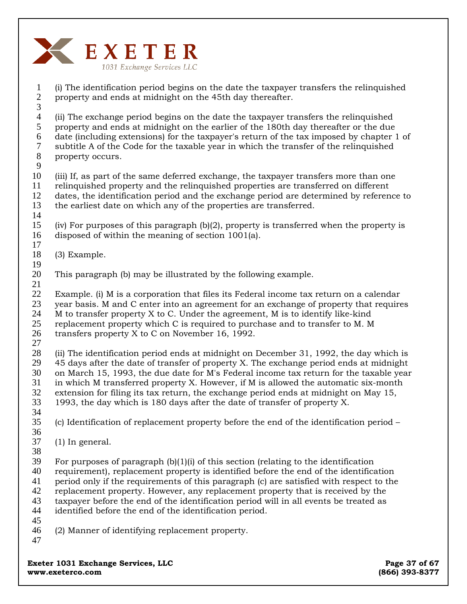

1 2 3 (i) The identification period begins on the date the taxpayer transfers the relinquished property and ends at midnight on the 45th day thereafter.

4 5 6 7 8 (ii) The exchange period begins on the date the taxpayer transfers the relinquished property and ends at midnight on the earlier of the 180th day thereafter or the due date (including extensions) for the taxpayer's return of the tax imposed by chapter 1 of subtitle A of the Code for the taxable year in which the transfer of the relinquished property occurs.

10 11 12 13 (iii) If, as part of the same deferred exchange, the taxpayer transfers more than one relinquished property and the relinquished properties are transferred on different dates, the identification period and the exchange period are determined by reference to the earliest date on which any of the properties are transferred.

15 16 17 (iv) For purposes of this paragraph (b)(2), property is transferred when the property is disposed of within the meaning of section 1001(a).

- 18 (3) Example.
- 19
- 20 21 This paragraph (b) may be illustrated by the following example.

22 23 Example. (i) M is a corporation that files its Federal income tax return on a calendar year basis. M and C enter into an agreement for an exchange of property that requires

24 M to transfer property X to C. Under the agreement, M is to identify like-kind

25 replacement property which C is required to purchase and to transfer to M. M

- 26 transfers property X to C on November 16, 1992.
- 27

9

14

28 29 30 31 32 33 34 (ii) The identification period ends at midnight on December 31, 1992, the day which is 45 days after the date of transfer of property X. The exchange period ends at midnight on March 15, 1993, the due date for M's Federal income tax return for the taxable year in which M transferred property X. However, if M is allowed the automatic six-month extension for filing its tax return, the exchange period ends at midnight on May 15, 1993, the day which is 180 days after the date of transfer of property X.

- 35 (c) Identification of replacement property before the end of the identification period –
- 36

37 (1) In general.

38

39 For purposes of paragraph  $(b)(1)(i)$  of this section (relating to the identification

40 requirement), replacement property is identified before the end of the identification

41 period only if the requirements of this paragraph (c) are satisfied with respect to the

- 42 replacement property. However, any replacement property that is received by the
- 43 44 taxpayer before the end of the identification period will in all events be treated as identified before the end of the identification period.
- 45
- 46 (2) Manner of identifying replacement property.
- 47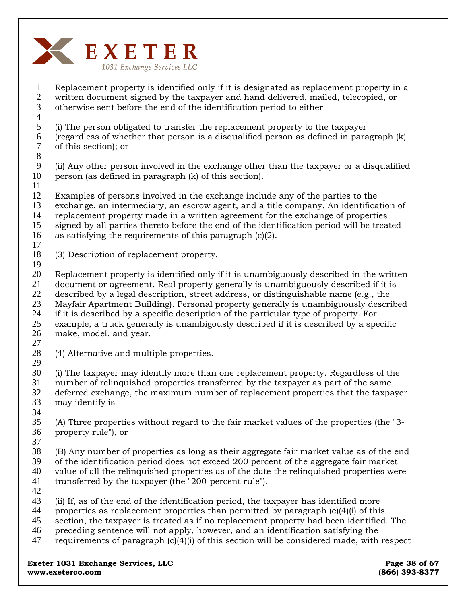

1 2 3 4 5 6 7 8 9 10 11 12 13 14 15 16 17 18 19 20 21 22 23 24 25 26 27 28 29 30 31 32 33 34 35 36 37 38 39 40 41 42 43 44 45 46 47 Replacement property is identified only if it is designated as replacement property in a written document signed by the taxpayer and hand delivered, mailed, telecopied, or otherwise sent before the end of the identification period to either -- (i) The person obligated to transfer the replacement property to the taxpayer (regardless of whether that person is a disqualified person as defined in paragraph (k) of this section); or (ii) Any other person involved in the exchange other than the taxpayer or a disqualified person (as defined in paragraph (k) of this section). Examples of persons involved in the exchange include any of the parties to the exchange, an intermediary, an escrow agent, and a title company. An identification of replacement property made in a written agreement for the exchange of properties signed by all parties thereto before the end of the identification period will be treated as satisfying the requirements of this paragraph (c)(2). (3) Description of replacement property. Replacement property is identified only if it is unambiguously described in the written document or agreement. Real property generally is unambiguously described if it is described by a legal description, street address, or distinguishable name (e.g., the Mayfair Apartment Building). Personal property generally is unambiguously described if it is described by a specific description of the particular type of property. For example, a truck generally is unambigously described if it is described by a specific make, model, and year. (4) Alternative and multiple properties. **Exeter 1031 Exchange Services, LLC Exeter 1031 Exchange Services, LLC** (i) The taxpayer may identify more than one replacement property. Regardless of the number of relinquished properties transferred by the taxpayer as part of the same deferred exchange, the maximum number of replacement properties that the taxpayer may identify is -- (A) Three properties without regard to the fair market values of the properties (the "3 property rule"), or (B) Any number of properties as long as their aggregate fair market value as of the end of the identification period does not exceed 200 percent of the aggregate fair market value of all the relinquished properties as of the date the relinquished properties were transferred by the taxpayer (the "200-percent rule"). (ii) If, as of the end of the identification period, the taxpayer has identified more properties as replacement properties than permitted by paragraph  $(c)(4)(i)$  of this section, the taxpayer is treated as if no replacement property had been identified. The preceding sentence will not apply, however, and an identification satisfying the requirements of paragraph (c)(4)(i) of this section will be considered made, with respect

**www.exeterco.com (866) 393-8377**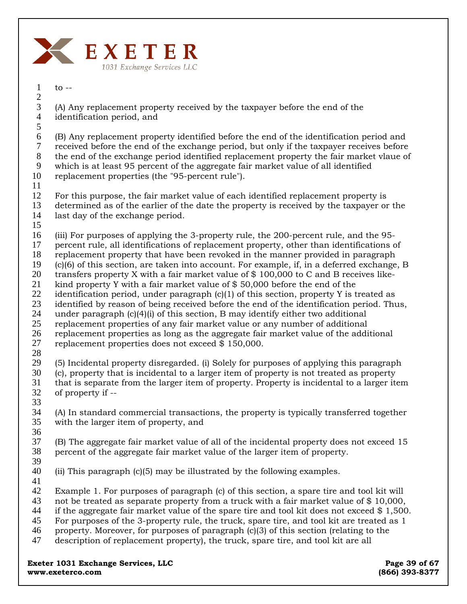

 $to --$ 1 2

(A) Any replacement property received by the taxpayer before the end of the identification period, and 3 4

5

(B) Any replacement property identified before the end of the identification period and received before the end of the exchange period, but only if the taxpayer receives before the end of the exchange period identified replacement property the fair market vlaue of which is at least 95 percent of the aggregate fair market value of all identified replacement properties (the "95-percent rule"). 6 7 8 9 10

11

For this purpose, the fair market value of each identified replacement property is determined as of the earlier of the date the property is received by the taxpayer or the 12 13

- last day of the exchange period. 14
- 15

(iii) For purposes of applying the 3-property rule, the 200-percent rule, and the 95- 16

percent rule, all identifications of replacement property, other than identifications of 17

replacement property that have been revoked in the manner provided in paragraph (c)(6) of this section, are taken into account. For example, if, in a deferred exchange, B 18 19

transfers property X with a fair market value of \$ 100,000 to C and B receives like-20

kind property Y with a fair market value of  $$50,000$  before the end of the 21

identification period, under paragraph  $(c)(1)$  of this section, property Y is treated as 22

identified by reason of being received before the end of the identification period. Thus, 23

under paragraph  $(c)(4)(i)$  of this section, B may identify either two additional 24

replacement properties of any fair market value or any number of additional 25

replacement properties as long as the aggregate fair market value of the additional 26

- replacement properties does not exceed \$ 150,000. 27
- 28

(5) Incidental property disregarded. (i) Solely for purposes of applying this paragraph 29

(c), property that is incidental to a larger item of property is not treated as property 30

- that is separate from the larger item of property. Property is incidental to a larger item of property if -- 31 32
- 33

(A) In standard commercial transactions, the property is typically transferred together with the larger item of property, and 34 35

36

(B) The aggregate fair market value of all of the incidental property does not exceed 15 percent of the aggregate fair market value of the larger item of property. 37 38

39

(ii) This paragraph (c)(5) may be illustrated by the following examples. 40

41

Example 1. For purposes of paragraph (c) of this section, a spare tire and tool kit will 42

not be treated as separate property from a truck with a fair market value of \$ 10,000, 43

if the aggregate fair market value of the spare tire and tool kit does not exceed  $$1,500$ . 44

- For purposes of the 3-property rule, the truck, spare tire, and tool kit are treated as 1 45
- property. Moreover, for purposes of paragraph (c)(3) of this section (relating to the 46
- description of replacement property), the truck, spare tire, and tool kit are all 47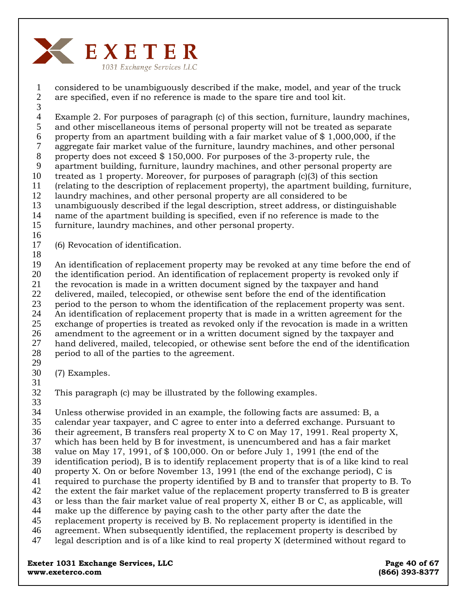

1 2 considered to be unambiguously described if the make, model, and year of the truck are specified, even if no reference is made to the spare tire and tool kit.

3

4 5 Example 2. For purposes of paragraph (c) of this section, furniture, laundry machines, and other miscellaneous items of personal property will not be treated as separate

6 property from an apartment building with a fair market value of \$ 1,000,000, if the

7 aggregate fair market value of the furniture, laundry machines, and other personal

8 property does not exceed \$ 150,000. For purposes of the 3-property rule, the

9 apartment building, furniture, laundry machines, and other personal property are

10 treated as 1 property. Moreover, for purposes of paragraph (c)(3) of this section (relating to the description of replacement property), the apartment building, furniture,

11 12

13 laundry machines, and other personal property are all considered to be unambiguously described if the legal description, street address, or distinguishable

14 name of the apartment building is specified, even if no reference is made to the

15 furniture, laundry machines, and other personal property.

- 16
- 17 (6) Revocation of identification.
- 18

19 20 21 22 23 24 25 26 An identification of replacement property may be revoked at any time before the end of the identification period. An identification of replacement property is revoked only if the revocation is made in a written document signed by the taxpayer and hand delivered, mailed, telecopied, or othewise sent before the end of the identification period to the person to whom the identification of the replacement property was sent. An identification of replacement property that is made in a written agreement for the exchange of properties is treated as revoked only if the revocation is made in a written amendment to the agreement or in a written document signed by the taxpayer and

27 28 29 hand delivered, mailed, telecopied, or othewise sent before the end of the identification period to all of the parties to the agreement.

- 30 (7) Examples.
- 31

32 This paragraph (c) may be illustrated by the following examples.

33

34 Unless otherwise provided in an example, the following facts are assumed: B, a

35 calendar year taxpayer, and C agree to enter into a deferred exchange. Pursuant to

36 37 their agreement, B transfers real property X to C on May 17, 1991. Real property X,

38 which has been held by B for investment, is unencumbered and has a fair market value on May 17, 1991, of \$ 100,000. On or before July 1, 1991 (the end of the

39 identification period), B is to identify replacement property that is of a like kind to real

40 property X. On or before November 13, 1991 (the end of the exchange period), C is

41 required to purchase the property identified by B and to transfer that property to B. To

42 43 the extent the fair market value of the replacement property transferred to B is greater

44 or less than the fair market value of real property X, either B or C, as applicable, will make up the difference by paying cash to the other party after the date the

45 replacement property is received by B. No replacement property is identified in the

46 agreement. When subsequently identified, the replacement property is described by

47 legal description and is of a like kind to real property X (determined without regard to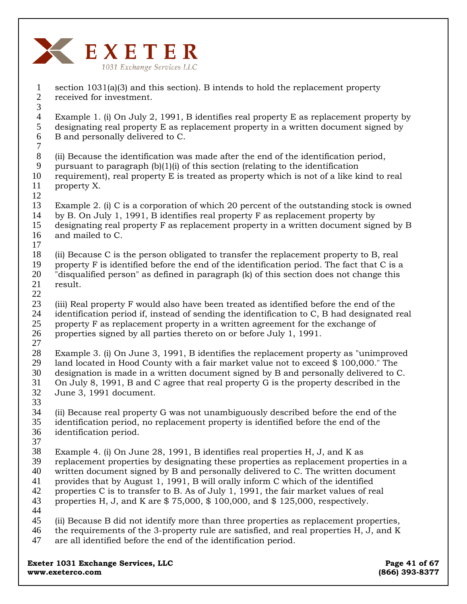

section 1031(a)(3) and this section). B intends to hold the replacement property received for investment. Example 1. (i) On July 2, 1991, B identifies real property E as replacement property by designating real property E as replacement property in a written document signed by B and personally delivered to C. (ii) Because the identification was made after the end of the identification period, pursuant to paragraph  $(b)(1)(i)$  of this section (relating to the identification requirement), real property E is treated as property which is not of a like kind to real property X. Example 2. (i) C is a corporation of which 20 percent of the outstanding stock is owned by B. On July 1, 1991, B identifies real property F as replacement property by designating real property F as replacement property in a written document signed by B and mailed to C. (ii) Because C is the person obligated to transfer the replacement property to B, real property F is identified before the end of the identification period. The fact that C is a "disqualified person" as defined in paragraph (k) of this section does not change this result. (iii) Real property F would also have been treated as identified before the end of the identification period if, instead of sending the identification to C, B had designated real property F as replacement property in a written agreement for the exchange of properties signed by all parties thereto on or before July 1, 1991. Example 3. (i) On June 3, 1991, B identifies the replacement property as "unimproved land located in Hood County with a fair market value not to exceed \$ 100,000." The designation is made in a written document signed by B and personally delivered to C. On July 8, 1991, B and C agree that real property G is the property described in the June 3, 1991 document. (ii) Because real property G was not unambiguously described before the end of the identification period, no replacement property is identified before the end of the identification period. Example 4. (i) On June 28, 1991, B identifies real properties H, J, and K as replacement properties by designating these properties as replacement properties in a written document signed by B and personally delivered to C. The written document provides that by August 1, 1991, B will orally inform C which of the identified properties C is to transfer to B. As of July 1, 1991, the fair market values of real properties H, J, and K are  $$75,000, $100,000, and $125,000, respectively.$ (ii) Because B did not identify more than three properties as replacement properties, the requirements of the 3-property rule are satisfied, and real properties H, J, and K are all identified before the end of the identification period. 1 2 3 4 5 6 7 8 9 10 11 12 13 14 15 16 17 18 19 20 21 22 23 24 25 26 27 28 29 30 31 32 33 34 35 36 37 38 39 40 41 42 43 44 45 46 47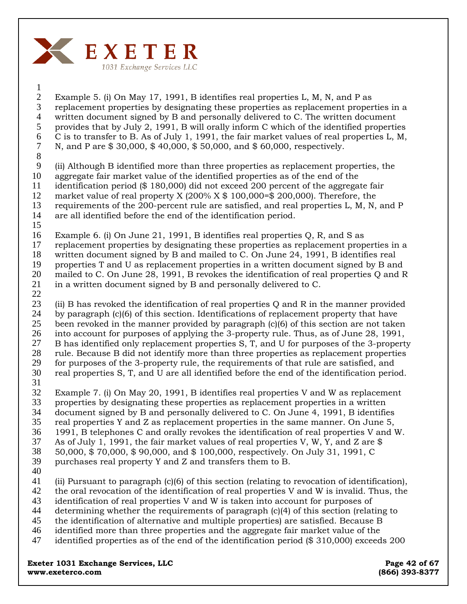

1 2

Example 5. (i) On May 17, 1991, B identifies real properties L, M, N, and P as replacement properties by designating these properties as replacement properties in a written document signed by B and personally delivered to C. The written document provides that by July 2, 1991, B will orally inform C which of the identified properties C is to transfer to B. As of July 1, 1991, the fair market values of real properties L, M, N, and P are \$ 30,000, \$ 40,000, \$ 50,000, and \$ 60,000, respectively. 3 4 5 6 7

8

(ii) Although B identified more than three properties as replacement properties, the aggregate fair market value of the identified properties as of the end of the identification period (\$ 180,000) did not exceed 200 percent of the aggregate fair market value of real property X (200%  $X$  \$ 100,000=\$ 200,000). Therefore, the requirements of the 200-percent rule are satisfied, and real properties L, M, N, and P are all identified before the end of the identification period. 9 10 11 12 13 14

- Example 6. (i) On June 21, 1991, B identifies real properties Q, R, and S as replacement properties by designating these properties as replacement properties in a written document signed by B and mailed to C. On June 24, 1991, B identifies real properties T and U as replacement properties in a written document signed by B and mailed to C. On June 28, 1991, B revokes the identification of real properties Q and R 15 16 17 18 19 20
- in a written document signed by B and personally delivered to C. 21
- 22

(ii) B has revoked the identification of real properties Q and R in the manner provided by paragraph (c)(6) of this section. Identifications of replacement property that have been revoked in the manner provided by paragraph (c)(6) of this section are not taken into account for purposes of applying the 3-property rule. Thus, as of June 28, 1991, B has identified only replacement properties S, T, and U for purposes of the 3-property rule. Because B did not identify more than three properties as replacement properties for purposes of the 3-property rule, the requirements of that rule are satisfied, and real properties S, T, and U are all identified before the end of the identification period. 23 24 25 26 27 28 29 30 31

Example 7. (i) On May 20, 1991, B identifies real properties V and W as replacement properties by designating these properties as replacement properties in a written document signed by B and personally delivered to C. On June 4, 1991, B identifies real properties Y and Z as replacement properties in the same manner. On June 5, 1991, B telephones C and orally revokes the identification of real properties V and W. As of July 1, 1991, the fair market values of real properties V, W, Y, and Z are  $\$ 50,000, \$ 70,000, \$ 90,000, and \$ 100,000, respectively. On July 31, 1991, C purchases real property Y and Z and transfers them to B. 32 33 34 35 36 37 38 39

40

(ii) Pursuant to paragraph (c)(6) of this section (relating to revocation of identification), 41

- the oral revocation of the identification of real properties V and W is invalid. Thus, the 42
- identification of real properties V and W is taken into account for purposes of 43
- determining whether the requirements of paragraph (c)(4) of this section (relating to the identification of alternative and multiple properties) are satisfied. Because B 44 45
- identified more than three properties and the aggregate fair market value of the 46
- identified properties as of the end of the identification period (\$ 310,000) exceeds 200 47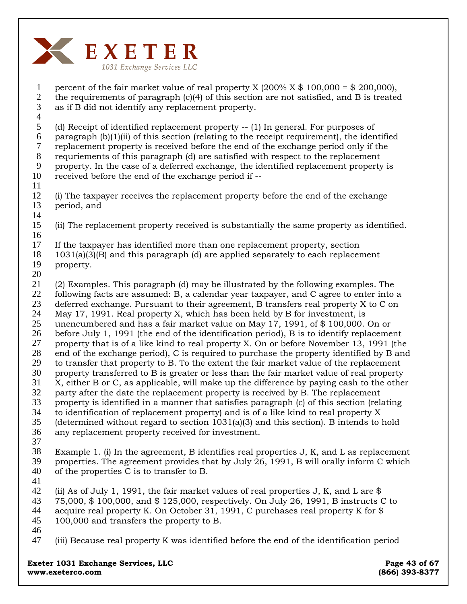

percent of the fair market value of real property X  $(200\% \times \$ 100,000 = \$ 200,000)$ , the requirements of paragraph (c)(4) of this section are not satisfied, and B is treated as if B did not identify any replacement property. (d) Receipt of identified replacement property -- (1) In general. For purposes of paragraph  $(b)(1)(ii)$  of this section (relating to the receipt requirement), the identified replacement property is received before the end of the exchange period only if the requriements of this paragraph (d) are satisfied with respect to the replacement property. In the case of a deferred exchange, the identified replacement property is received before the end of the exchange period if -- (i) The taxpayer receives the replacement property before the end of the exchange period, and (ii) The replacement property received is substantially the same property as identified. If the taxpayer has identified more than one replacement property, section 1031(a)(3)(B) and this paragraph (d) are applied separately to each replacement property. (2) Examples. This paragraph (d) may be illustrated by the following examples. The following facts are assumed: B, a calendar year taxpayer, and C agree to enter into a deferred exchange. Pursuant to their agreement, B transfers real property X to C on May 17, 1991. Real property X, which has been held by B for investment, is unencumbered and has a fair market value on May 17, 1991, of \$ 100,000. On or before July 1, 1991 (the end of the identification period), B is to identify replacement property that is of a like kind to real property X. On or before November 13, 1991 (the end of the exchange period), C is required to purchase the property identified by B and to transfer that property to B. To the extent the fair market value of the replacement property transferred to B is greater or less than the fair market value of real property X, either B or C, as applicable, will make up the difference by paying cash to the other party after the date the replacement property is received by B. The replacement property is identified in a manner that satisfies paragraph (c) of this section (relating to identification of replacement property) and is of a like kind to real property X (determined without regard to section 1031(a)(3) and this section). B intends to hold any replacement property received for investment. Example 1. (i) In the agreement, B identifies real properties J, K, and L as replacement properties. The agreement provides that by July 26, 1991, B will orally inform C which of the properties C is to transfer to B. (ii) As of July 1, 1991, the fair market values of real properties J, K, and L are \$ 75,000, \$ 100,000, and \$ 125,000, respectively. On July 26, 1991, B instructs C to acquire real property K. On October 31, 1991, C purchases real property K for \$ 100,000 and transfers the property to B. (iii) Because real property K was identified before the end of the identification period 1 2 3 4 5 6 7 8 9 10 11 12 13 14 15 16 17 18 19 20 21 22 23 24 25 26 27 28 29 30 31 32 33 34 35 36 37 38 39 40 41 42 43 44 45 46 47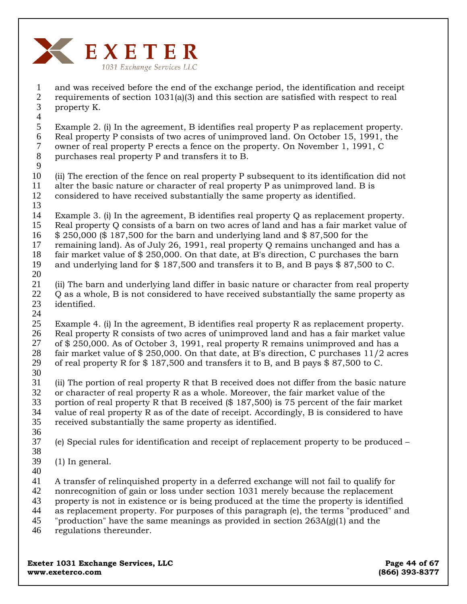

1 2 3 4 and was received before the end of the exchange period, the identification and receipt requirements of section 1031(a)(3) and this section are satisfied with respect to real property K.

5 6 7 8 Example 2. (i) In the agreement, B identifies real property P as replacement property. Real property P consists of two acres of unimproved land. On October 15, 1991, the owner of real property P erects a fence on the property. On November 1, 1991, C purchases real property P and transfers it to B.

9

10 11 12 (ii) The erection of the fence on real property P subsequent to its identification did not alter the basic nature or character of real property P as unimproved land. B is considered to have received substantially the same property as identified.

13

14 15 Example 3. (i) In the agreement, B identifies real property Q as replacement property. Real property Q consists of a barn on two acres of land and has a fair market value of

- 16 \$ 250,000 (\$ 187,500 for the barn and underlying land and \$ 87,500 for the
- 17 remaining land). As of July 26, 1991, real property Q remains unchanged and has a
- 18 fair market value of \$ 250,000. On that date, at B's direction, C purchases the barn
- 19 20 and underlying land for \$ 187,500 and transfers it to B, and B pays \$ 87,500 to C.
- 21 22 23 (ii) The barn and underlying land differ in basic nature or character from real property Q as a whole, B is not considered to have received substantially the same property as identified.
- 24

25 26 27 28 29 30 Example 4. (i) In the agreement, B identifies real property R as replacement property. Real property R consists of two acres of unimproved land and has a fair market value of \$ 250,000. As of October 3, 1991, real property R remains unimproved and has a fair market value of  $$ 250,000$ . On that date, at B's direction, C purchases 11/2 acres of real property R for \$ 187,500 and transfers it to B, and B pays \$ 87,500 to C.

31 32 33 34 35 (ii) The portion of real property R that B received does not differ from the basic nature or character of real property R as a whole. Moreover, the fair market value of the portion of real property R that B received (\$ 187,500) is 75 percent of the fair market value of real property R as of the date of receipt. Accordingly, B is considered to have received substantially the same property as identified.

- 36
- 37 38 (e) Special rules for identification and receipt of replacement property to be produced –
- 39 (1) In general.
- 40

41 A transfer of relinquished property in a deferred exchange will not fail to qualify for

- 42 nonrecognition of gain or loss under section 1031 merely because the replacement
- 43 property is not in existence or is being produced at the time the property is identified
- 44 as replacement property. For purposes of this paragraph (e), the terms "produced" and
- 45 "production" have the same meanings as provided in section 263A(g)(1) and the
- 46 regulations thereunder.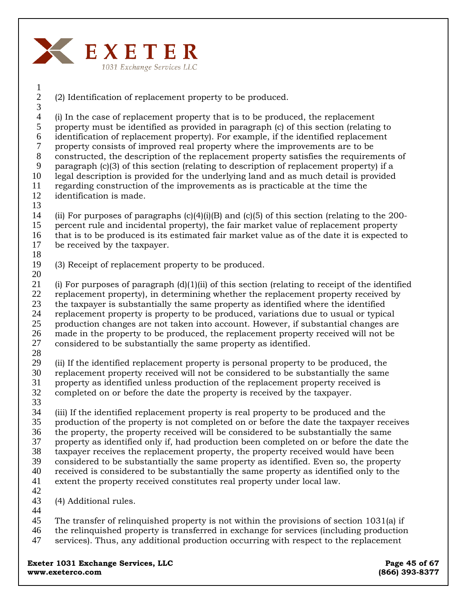

(2) Identification of replacement property to be produced.

4 5 6 7 8 9 10 11 12 (i) In the case of replacement property that is to be produced, the replacement property must be identified as provided in paragraph (c) of this section (relating to identification of replacement property). For example, if the identified replacement property consists of improved real property where the improvements are to be constructed, the description of the replacement property satisfies the requirements of paragraph (c)(3) of this section (relating to description of replacement property) if a legal description is provided for the underlying land and as much detail is provided regarding construction of the improvements as is practicable at the time the identification is made.

13

1 2 3

14 15 16 (ii) For purposes of paragraphs  $(c)(4)(i)(B)$  and  $(c)(5)$  of this section (relating to the 200percent rule and incidental property), the fair market value of replacement property that is to be produced is its estimated fair market value as of the date it is expected to be received by the taxpayer.

17 18

19 (3) Receipt of replacement property to be produced.

20

21 22 23 24 25 26 27 (i) For purposes of paragraph  $(d)(1)(ii)$  of this section (relating to receipt of the identified replacement property), in determining whether the replacement property received by the taxpayer is substantially the same property as identified where the identified replacement property is property to be produced, variations due to usual or typical production changes are not taken into account. However, if substantial changes are made in the property to be produced, the replacement property received will not be considered to be substantially the same property as identified.

28

29 30 (ii) If the identified replacement property is personal property to be produced, the replacement property received will not be considered to be substantially the same

- 31 property as identified unless production of the replacement property received is
- 32 completed on or before the date the property is received by the taxpayer.
- 33

34 35 (iii) If the identified replacement property is real property to be produced and the production of the property is not completed on or before the date the taxpayer receives

36 the property, the property received will be considered to be substantially the same

37 property as identified only if, had production been completed on or before the date the

38 39 taxpayer receives the replacement property, the property received would have been considered to be substantially the same property as identified. Even so, the property

40 received is considered to be substantially the same property as identified only to the

41 extent the property received constitutes real property under local law.

42

43 (4) Additional rules.

44

45 The transfer of relinquished property is not within the provisions of section 1031(a) if

- 46 the relinquished property is transferred in exchange for services (including production
- 47 services). Thus, any additional production occurring with respect to the replacement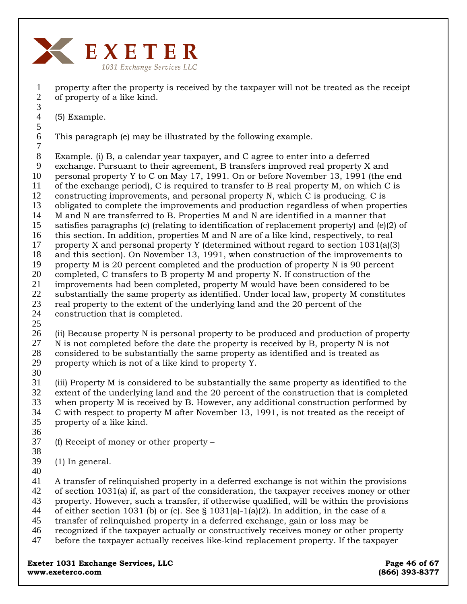

property after the property is received by the taxpayer will not be treated as the receipt of property of a like kind.

(5) Example.

6 This paragraph (e) may be illustrated by the following example.

7 8 9 10 11 12 13 14 15 16 17 18 19 20 21 22 23 24 Example. (i) B, a calendar year taxpayer, and C agree to enter into a deferred exchange. Pursuant to their agreement, B transfers improved real property X and personal property Y to C on May 17, 1991. On or before November 13, 1991 (the end of the exchange period), C is required to transfer to B real property M, on which C is constructing improvements, and personal property N, which C is producing. C is obligated to complete the improvements and production regardless of when properties M and N are transferred to B. Properties M and N are identified in a manner that satisfies paragraphs (c) (relating to identification of replacement property) and (e)(2) of this section. In addition, properties M and N are of a like kind, respectively, to real property X and personal property Y (determined without regard to section 1031(a)(3) and this section). On November 13, 1991, when construction of the improvements to property M is 20 percent completed and the production of property N is 90 percent completed, C transfers to B property M and property N. If construction of the improvements had been completed, property M would have been considered to be substantially the same property as identified. Under local law, property M constitutes real property to the extent of the underlying land and the 20 percent of the construction that is completed.

25

26 27 28 29 (ii) Because property N is personal property to be produced and production of property N is not completed before the date the property is received by B, property N is not considered to be substantially the same property as identified and is treated as property which is not of a like kind to property Y.

30

31 32 33 34 35 (iii) Property M is considered to be substantially the same property as identified to the extent of the underlying land and the 20 percent of the construction that is completed when property M is received by B. However, any additional construction performed by C with respect to property M after November 13, 1991, is not treated as the receipt of property of a like kind.

36

37 38 (f) Receipt of money or other property –

39 (1) In general.

40

41 A transfer of relinquished property in a deferred exchange is not within the provisions

42 of section 1031(a) if, as part of the consideration, the taxpayer receives money or other

43 property. However, such a transfer, if otherwise qualified, will be within the provisions

- 44 of either section 1031 (b) or (c). See § 1031(a)-1(a)(2). In addition, in the case of a
- 45 transfer of relinquished property in a deferred exchange, gain or loss may be
- 46 recognized if the taxpayer actually or constructively receives money or other property

47 before the taxpayer actually receives like-kind replacement property. If the taxpayer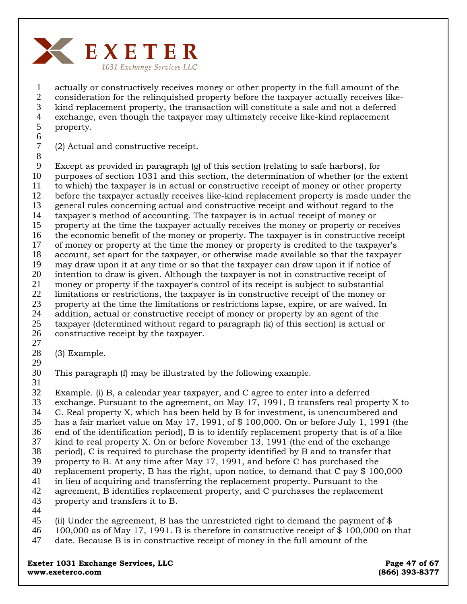

1 2 3 4 5 actually or constructively receives money or other property in the full amount of the consideration for the relinquished property before the taxpayer actually receives likekind replacement property, the transaction will constitute a sale and not a deferred exchange, even though the taxpayer may ultimately receive like-kind replacement property.

6 7

(2) Actual and constructive receipt.

8 9 10 11 12 13 14 15 16 17 18 19 20 21 22 23 24 25 26 Except as provided in paragraph (g) of this section (relating to safe harbors), for purposes of section 1031 and this section, the determination of whether (or the extent to which) the taxpayer is in actual or constructive receipt of money or other property before the taxpayer actually receives like-kind replacement property is made under the general rules concerning actual and constructive receipt and without regard to the taxpayer's method of accounting. The taxpayer is in actual receipt of money or property at the time the taxpayer actually receives the money or property or receives the economic benefit of the money or property. The taxpayer is in constructive receipt of money or property at the time the money or property is credited to the taxpayer's account, set apart for the taxpayer, or otherwise made available so that the taxpayer may draw upon it at any time or so that the taxpayer can draw upon it if notice of intention to draw is given. Although the taxpayer is not in constructive receipt of money or property if the taxpayer's control of its receipt is subject to substantial limitations or restrictions, the taxpayer is in constructive receipt of the money or property at the time the limitations or restrictions lapse, expire, or are waived. In addition, actual or constructive receipt of money or property by an agent of the taxpayer (determined without regard to paragraph (k) of this section) is actual or constructive receipt by the taxpayer.

- 27 28 (3) Example.
- 29
- 30 This paragraph (f) may be illustrated by the following example.
- 31

32 Example. (i) B, a calendar year taxpayer, and C agree to enter into a deferred

33 exchange. Pursuant to the agreement, on May 17, 1991, B transfers real property X to

34 35 C. Real property X, which has been held by B for investment, is unencumbered and has a fair market value on May 17, 1991, of \$ 100,000. On or before July 1, 1991 (the

36 end of the identification period), B is to identify replacement property that is of a like

- 37 kind to real property X. On or before November 13, 1991 (the end of the exchange
- 38 period), C is required to purchase the property identified by B and to transfer that
- 39 property to B. At any time after May 17, 1991, and before C has purchased the
- 40 replacement property, B has the right, upon notice, to demand that C pay \$ 100,000
- 41 in lieu of acquiring and transferring the replacement property. Pursuant to the
- 42 43 agreement, B identifies replacement property, and C purchases the replacement property and transfers it to B.
- 44

45 (ii) Under the agreement, B has the unrestricted right to demand the payment of \$

- 46 100,000 as of May 17, 1991. B is therefore in constructive receipt of \$ 100,000 on that
- 47 date. Because B is in constructive receipt of money in the full amount of the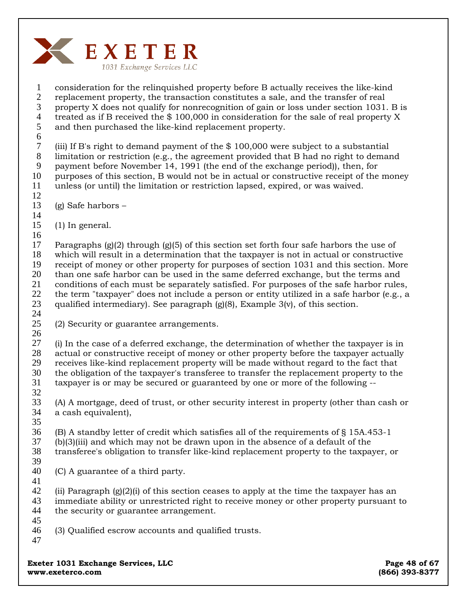

1 2 3 4 5 6 consideration for the relinquished property before B actually receives the like-kind replacement property, the transaction constitutes a sale, and the transfer of real property X does not qualify for nonrecognition of gain or loss under section 1031. B is treated as if B received the \$ 100,000 in consideration for the sale of real property X and then purchased the like-kind replacement property.

7 8 9 10 11 (iii) If B's right to demand payment of the \$ 100,000 were subject to a substantial limitation or restriction (e.g., the agreement provided that B had no right to demand payment before November 14, 1991 (the end of the exchange period)), then, for purposes of this section, B would not be in actual or constructive receipt of the money unless (or until) the limitation or restriction lapsed, expired, or was waived.

- 12
- 13 (g) Safe harbors –
- 14
- 15 16 (1) In general.

17 18 19 20 21 22 23 24 Paragraphs  $g(2)$  through  $g(5)$  of this section set forth four safe harbors the use of which will result in a determination that the taxpayer is not in actual or constructive receipt of money or other property for purposes of section 1031 and this section. More than one safe harbor can be used in the same deferred exchange, but the terms and conditions of each must be separately satisfied. For purposes of the safe harbor rules, the term "taxpayer" does not include a person or entity utilized in a safe harbor (e.g., a qualified intermediary). See paragraph  $(g)(8)$ , Example 3(v), of this section.

25 (2) Security or guarantee arrangements.

26 27 28 29 30 31 32 (i) In the case of a deferred exchange, the determination of whether the taxpayer is in actual or constructive receipt of money or other property before the taxpayer actually receives like-kind replacement property will be made without regard to the fact that the obligation of the taxpayer's transferee to transfer the replacement property to the taxpayer is or may be secured or guaranteed by one or more of the following --

33 34 (A) A mortgage, deed of trust, or other security interest in property (other than cash or a cash equivalent),

35 36 37 38 39 (B) A standby letter of credit which satisfies all of the requirements of § 15A.453-1 (b)(3)(iii) and which may not be drawn upon in the absence of a default of the transferee's obligation to transfer like-kind replacement property to the taxpayer, or

40 (C) A guarantee of a third party.

42 43 44 (ii) Paragraph  $(g(2)(i)$  of this section ceases to apply at the time the taxpayer has an immediate ability or unrestricted right to receive money or other property pursuant to the security or guarantee arrangement.

45

41

- 46 47 (3) Qualified escrow accounts and qualified trusts.
- **Exeter 1031 Exchange Services, LLC Exeter 1031 Exchange Services, LLC www.exeterco.com (866) 393-8377**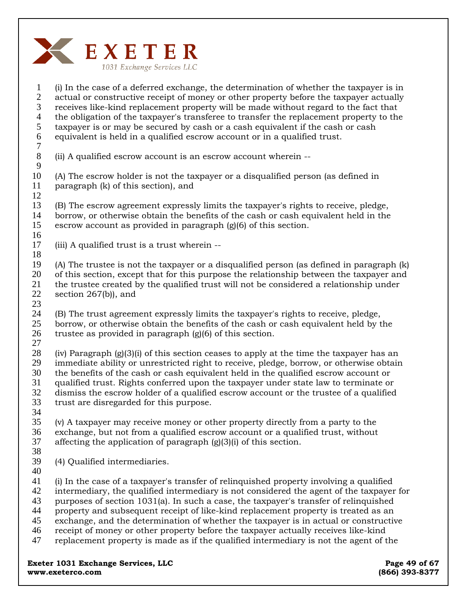

1 2 3 4 5 6 7 8 9 10 11 12 13 14 15 16 17 18 19 20 21 22 23 24 25 26 27 28 29 30 31 32 33 34 35 36 37 38 39 40 41 42 43 44 45 46 47 (i) In the case of a deferred exchange, the determination of whether the taxpayer is in actual or constructive receipt of money or other property before the taxpayer actually receives like-kind replacement property will be made without regard to the fact that the obligation of the taxpayer's transferee to transfer the replacement property to the taxpayer is or may be secured by cash or a cash equivalent if the cash or cash equivalent is held in a qualified escrow account or in a qualified trust. (ii) A qualified escrow account is an escrow account wherein -- (A) The escrow holder is not the taxpayer or a disqualified person (as defined in paragraph (k) of this section), and (B) The escrow agreement expressly limits the taxpayer's rights to receive, pledge, borrow, or otherwise obtain the benefits of the cash or cash equivalent held in the escrow account as provided in paragraph (g)(6) of this section. (iii) A qualified trust is a trust wherein -- (A) The trustee is not the taxpayer or a disqualified person (as defined in paragraph (k) of this section, except that for this purpose the relationship between the taxpayer and the trustee created by the qualified trust will not be considered a relationship under section 267(b)), and (B) The trust agreement expressly limits the taxpayer's rights to receive, pledge, borrow, or otherwise obtain the benefits of the cash or cash equivalent held by the trustee as provided in paragraph (g)(6) of this section. (iv) Paragraph  $(g)(3)(i)$  of this section ceases to apply at the time the taxpayer has an immediate ability or unrestricted right to receive, pledge, borrow, or otherwise obtain the benefits of the cash or cash equivalent held in the qualified escrow account or qualified trust. Rights conferred upon the taxpayer under state law to terminate or dismiss the escrow holder of a qualified escrow account or the trustee of a qualified trust are disregarded for this purpose. (v) A taxpayer may receive money or other property directly from a party to the exchange, but not from a qualified escrow account or a qualified trust, without affecting the application of paragraph (g)(3)(i) of this section. (4) Qualified intermediaries. (i) In the case of a taxpayer's transfer of relinquished property involving a qualified intermediary, the qualified intermediary is not considered the agent of the taxpayer for purposes of section 1031(a). In such a case, the taxpayer's transfer of relinquished property and subsequent receipt of like-kind replacement property is treated as an exchange, and the determination of whether the taxpayer is in actual or constructive receipt of money or other property before the taxpayer actually receives like-kind replacement property is made as if the qualified intermediary is not the agent of the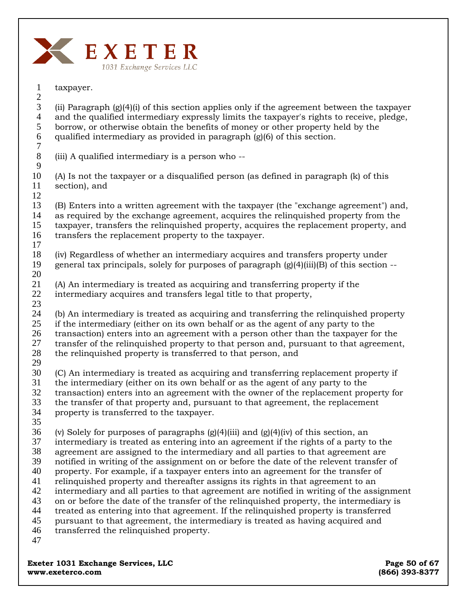

taxpayer.

(ii) Paragraph  $(g)(4)(i)$  of this section applies only if the agreement between the taxpayer and the qualified intermediary expressly limits the taxpayer's rights to receive, pledge, borrow, or otherwise obtain the benefits of money or other property held by the qualified intermediary as provided in paragraph (g)(6) of this section. 2 3 4 5 6

7 8 9

1

(iii) A qualified intermediary is a person who --

(A) Is not the taxpayer or a disqualified person (as defined in paragraph (k) of this section), and 10 11

(B) Enters into a written agreement with the taxpayer (the "exchange agreement") and, as required by the exchange agreement, acquires the relinquished property from the taxpayer, transfers the relinquished property, acquires the replacement property, and transfers the replacement property to the taxpayer. 12 13 14 15 16

- (iv) Regardless of whether an intermediary acquires and transfers property under general tax principals, solely for purposes of paragraph  $(g(4)(iii)B)$  of this section  $-$ 18 19 20
- (A) An intermediary is treated as acquiring and transferring property if the intermediary acquires and transfers legal title to that property, 21 22
- 23

17

(b) An intermediary is treated as acquiring and transferring the relinquished property if the intermediary (either on its own behalf or as the agent of any party to the transaction) enters into an agreement with a person other than the taxpayer for the 24 25 26

transfer of the relinquished property to that person and, pursuant to that agreement, the relinquished property is transferred to that person, and 27 28

29

(C) An intermediary is treated as acquiring and transferring replacement property if the intermediary (either on its own behalf or as the agent of any party to the transaction) enters into an agreement with the owner of the replacement property for the transfer of that property and, pursuant to that agreement, the replacement 30 31 32 33

- property is transferred to the taxpayer. 34
- 35

(v) Solely for purposes of paragraphs  $(g)(4)(iii)$  and  $(g)(4)(iv)$  of this section, an 36

intermediary is treated as entering into an agreement if the rights of a party to the 37

agreement are assigned to the intermediary and all parties to that agreement are 38

notified in writing of the assignment on or before the date of the relevent transfer of 39

property. For example, if a taxpayer enters into an agreement for the transfer of 40

relinquished property and thereafter assigns its rights in that agreement to an intermediary and all parties to that agreement are notified in writing of the assignment 41 42

on or before the date of the transfer of the relinquished property, the intermediary is 43

treated as entering into that agreement. If the relinquished property is transferred 44

pursuant to that agreement, the intermediary is treated as having acquired and 45

- transferred the relinquished property. 46
- 47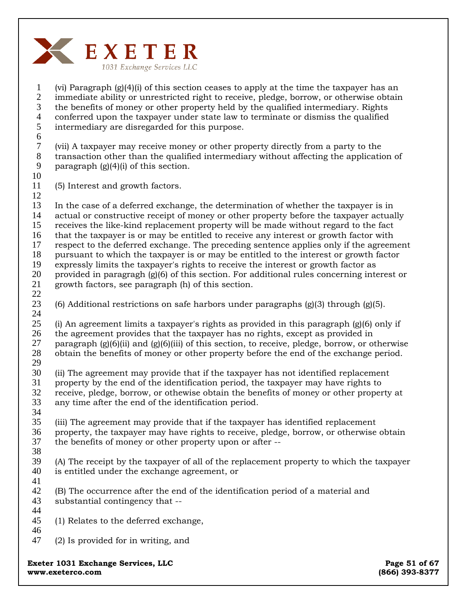

1 2 3 4 5 6 (vi) Paragraph (g)(4)(i) of this section ceases to apply at the time the taxpayer has an immediate ability or unrestricted right to receive, pledge, borrow, or otherwise obtain the benefits of money or other property held by the qualified intermediary. Rights conferred upon the taxpayer under state law to terminate or dismiss the qualified intermediary are disregarded for this purpose.

7 8 9 (vii) A taxpayer may receive money or other property directly from a party to the transaction other than the qualified intermediary without affecting the application of paragraph  $(g)(4)(i)$  of this section.

### 10 11

(5) Interest and growth factors.

12 13 14 15 16 17 18 19 20 21 22 In the case of a deferred exchange, the determination of whether the taxpayer is in actual or constructive receipt of money or other property before the taxpayer actually receives the like-kind replacement property will be made without regard to the fact that the taxpayer is or may be entitled to receive any interest or growth factor with respect to the deferred exchange. The preceding sentence applies only if the agreement pursuant to which the taxpayer is or may be entitled to the interest or growth factor expressly limits the taxpayer's rights to receive the interest or growth factor as provided in paragragh (g)(6) of this section. For additional rules concerning interest or growth factors, see paragraph (h) of this section.

23 24 (6) Additional restrictions on safe harbors under paragraphs  $(g)(3)$  through  $(g)(5)$ .

25 26 27 28 29 (i) An agreement limits a taxpayer's rights as provided in this paragraph (g)(6) only if the agreement provides that the taxpayer has no rights, except as provided in paragraph  $(g)(6)$ (ii) and  $(g)(6)$ (iii) of this section, to receive, pledge, borrow, or otherwise obtain the benefits of money or other property before the end of the exchange period.

- 30 31 32 33 34 (ii) The agreement may provide that if the taxpayer has not identified replacement property by the end of the identification period, the taxpayer may have rights to receive, pledge, borrow, or othewise obtain the benefits of money or other property at any time after the end of the identification period.
- 35 36 37 38 (iii) The agreement may provide that if the taxpayer has identified replacement property, the taxpayer may have rights to receive, pledge, borrow, or otherwise obtain the benefits of money or other property upon or after --
- 39 40 (A) The receipt by the taxpayer of all of the replacement property to which the taxpayer is entitled under the exchange agreement, or
- 41
- 42 43 (B) The occurrence after the end of the identification period of a material and substantial contingency that --
- 44 45 (1) Relates to the deferred exchange,
- 46
- 47 (2) Is provided for in writing, and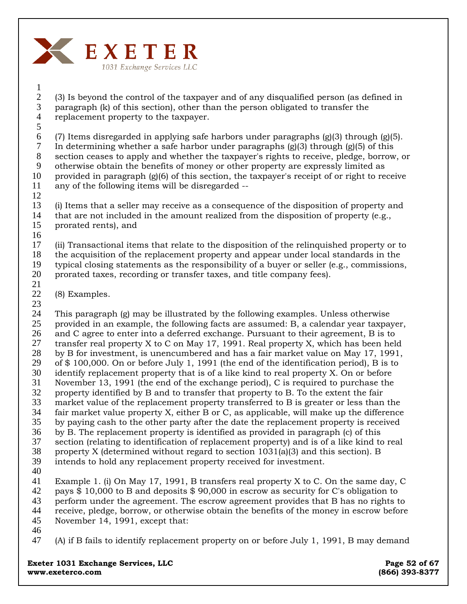

2 3 4 (3) Is beyond the control of the taxpayer and of any disqualified person (as defined in paragraph (k) of this section), other than the person obligated to transfer the replacement property to the taxpayer.

5

1

6 7 8 9 10 11 (7) Items disregarded in applying safe harbors under paragraphs  $(g)(3)$  through  $(g)(5)$ . In determining whether a safe harbor under paragraphs  $(g)(3)$  through  $(g)(5)$  of this section ceases to apply and whether the taxpayer's rights to receive, pledge, borrow, or otherwise obtain the benefits of money or other property are expressly limited as provided in paragraph (g)(6) of this section, the taxpayer's receipt of or right to receive any of the following items will be disregarded --

12

13 14 15 (i) Items that a seller may receive as a consequence of the disposition of property and that are not included in the amount realized from the disposition of property (e.g., prorated rents), and

16

17 18 19 20 (ii) Transactional items that relate to the disposition of the relinquished property or to the acquisition of the replacement property and appear under local standards in the typical closing statements as the responsibility of a buyer or seller (e.g., commissions, prorated taxes, recording or transfer taxes, and title company fees).

21

22 (8) Examples.

23

24 25 26 27 28 29 30 31 32 33 34 35 36 37 38 39 41 This paragraph (g) may be illustrated by the following examples. Unless otherwise provided in an example, the following facts are assumed: B, a calendar year taxpayer, and C agree to enter into a deferred exchange. Pursuant to their agreement, B is to transfer real property X to C on May 17, 1991. Real property X, which has been held by B for investment, is unencumbered and has a fair market value on May 17, 1991, of \$ 100,000. On or before July 1, 1991 (the end of the identification period), B is to identify replacement property that is of a like kind to real property X. On or before November 13, 1991 (the end of the exchange period), C is required to purchase the property identified by B and to transfer that property to B. To the extent the fair market value of the replacement property transferred to B is greater or less than the fair market value property X, either B or C, as applicable, will make up the difference by paying cash to the other party after the date the replacement property is received by B. The replacement property is identified as provided in paragraph (c) of this section (relating to identification of replacement property) and is of a like kind to real property X (determined without regard to section 1031(a)(3) and this section). B intends to hold any replacement property received for investment.

40

42 43 44 45 Example 1. (i) On May 17, 1991, B transfers real property X to C. On the same day, C pays \$ 10,000 to B and deposits \$ 90,000 in escrow as security for C's obligation to perform under the agreement. The escrow agreement provides that B has no rights to receive, pledge, borrow, or otherwise obtain the benefits of the money in escrow before November 14, 1991, except that:

46

47 (A) if B fails to identify replacement property on or before July 1, 1991, B may demand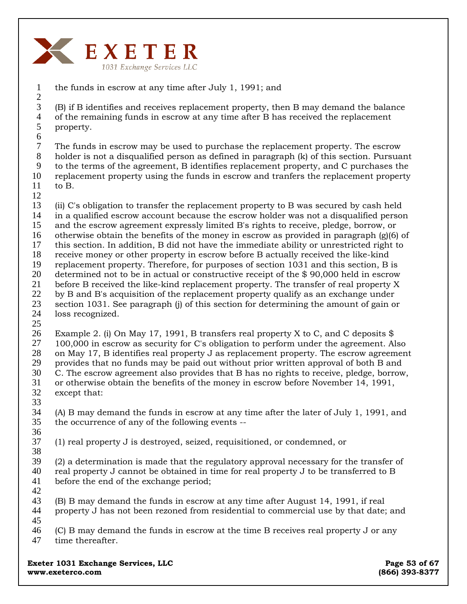

the funds in escrow at any time after July 1, 1991; and 1 2

(B) if B identifies and receives replacement property, then B may demand the balance of the remaining funds in escrow at any time after B has received the replacement property. 3 4 5 6

The funds in escrow may be used to purchase the replacement property. The escrow holder is not a disqualified person as defined in paragraph (k) of this section. Pursuant to the terms of the agreement, B identifies replacement property, and C purchases the replacement property using the funds in escrow and tranfers the replacement property to B. 7 8 9 10 11

12

(ii) C's obligation to transfer the replacement property to B was secured by cash held in a qualified escrow account because the escrow holder was not a disqualified person and the escrow agreement expressly limited B's rights to receive, pledge, borrow, or otherwise obtain the benefits of the money in escrow as provided in paragraph (g)(6) of this section. In addition, B did not have the immediate ability or unrestricted right to receive money or other property in escrow before B actually received the like-kind replacement property. Therefore, for purposes of section 1031 and this section, B is determined not to be in actual or constructive receipt of the \$ 90,000 held in escrow before B received the like-kind replacement property. The transfer of real property X by B and B's acquisition of the replacement property qualify as an exchange under section 1031. See paragraph (j) of this section for determining the amount of gain or loss recognized. 13 14 15 16 17 18 19 20 21 22 23 24 25

Example 2. (i) On May 17, 1991, B transfers real property X to C, and C deposits  $\$\$ 100,000 in escrow as security for C's obligation to perform under the agreement. Also on May 17, B identifies real property J as replacement property. The escrow agreement provides that no funds may be paid out without prior written approval of both B and C. The escrow agreement also provides that B has no rights to receive, pledge, borrow, or otherwise obtain the benefits of the money in escrow before November 14, 1991, except that: 26 27 28 29 30 31 32 33

(A) B may demand the funds in escrow at any time after the later of July 1, 1991, and the occurrence of any of the following events -- 34 35 36

(1) real property J is destroyed, seized, requisitioned, or condemned, or 37 38

(2) a determination is made that the regulatory approval necessary for the transfer of real property J cannot be obtained in time for real property J to be transferred to B before the end of the exchange period; 39 40 41

(B) B may demand the funds in escrow at any time after August 14, 1991, if real property J has not been rezoned from residential to commercial use by that date; and 42 43 44 45

(C) B may demand the funds in escrow at the time B receives real property J or any time thereafter. 46 47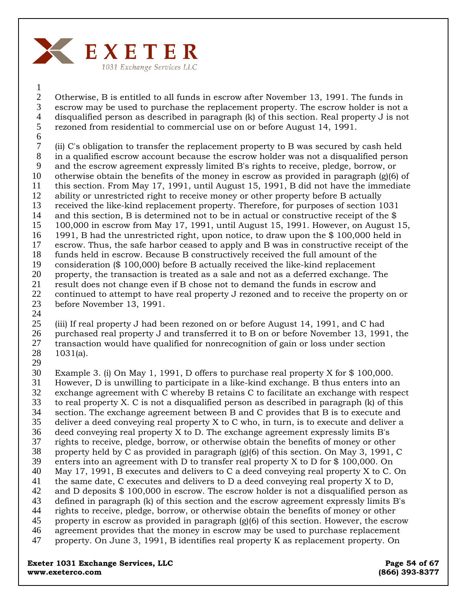

1

Otherwise, B is entitled to all funds in escrow after November 13, 1991. The funds in escrow may be used to purchase the replacement property. The escrow holder is not a disqualified person as described in paragraph (k) of this section. Real property J is not rezoned from residential to commercial use on or before August 14, 1991. 2 3 4 5 6

(ii) C's obligation to transfer the replacement property to B was secured by cash held in a qualified escrow account because the escrow holder was not a disqualified person and the escrow agreement expressly limited B's rights to receive, pledge, borrow, or otherwise obtain the benefits of the money in escrow as provided in paragraph (g)(6) of this section. From May 17, 1991, until August 15, 1991, B did not have the immediate ability or unrestricted right to receive money or other property before B actually received the like-kind replacement property. Therefore, for purposes of section 1031 and this section, B is determined not to be in actual or constructive receipt of the \$ 100,000 in escrow from May 17, 1991, until August 15, 1991. However, on August 15, 1991, B had the unrestricted right, upon notice, to draw upon the \$ 100,000 held in escrow. Thus, the safe harbor ceased to apply and B was in constructive receipt of the funds held in escrow. Because B constructively received the full amount of the consideration (\$ 100,000) before B actually received the like-kind replacement property, the transaction is treated as a sale and not as a deferred exchange. The result does not change even if B chose not to demand the funds in escrow and continued to attempt to have real property J rezoned and to receive the property on or before November 13, 1991. 7 8 9 10 11 12 13 14 15 16 17 18 19 20 21 22 23

24

(iii) If real property J had been rezoned on or before August 14, 1991, and C had purchased real property J and transferred it to B on or before November 13, 1991, the transaction would have qualified for nonrecognition of gain or loss under section 1031(a). 25 26 27 28

29

Example 3. (i) On May 1, 1991, D offers to purchase real property X for \$ 100,000. However, D is unwilling to participate in a like-kind exchange. B thus enters into an exchange agreement with C whereby B retains C to facilitate an exchange with respect to real property X. C is not a disqualified person as described in paragraph (k) of this section. The exchange agreement between B and C provides that B is to execute and deliver a deed conveying real property X to C who, in turn, is to execute and deliver a deed conveying real property X to D. The exchange agreement expressly limits B's rights to receive, pledge, borrow, or otherwise obtain the benefits of money or other property held by C as provided in paragraph (g)(6) of this section. On May 3, 1991, C enters into an agreement with D to transfer real property X to D for \$ 100,000. On May 17, 1991, B executes and delivers to C a deed conveying real property X to C. On the same date, C executes and delivers to D a deed conveying real property X to D, and D deposits \$ 100,000 in escrow. The escrow holder is not a disqualified person as defined in paragraph (k) of this section and the escrow agreement expressly limits B's rights to receive, pledge, borrow, or otherwise obtain the benefits of money or other property in escrow as provided in paragraph (g)(6) of this section. However, the escrow agreement provides that the money in escrow may be used to purchase replacement property. On June 3, 1991, B identifies real property K as replacement property. On 30 31 32 33 34 35 36 37 38 39 40 41 42 43 44 45 46 47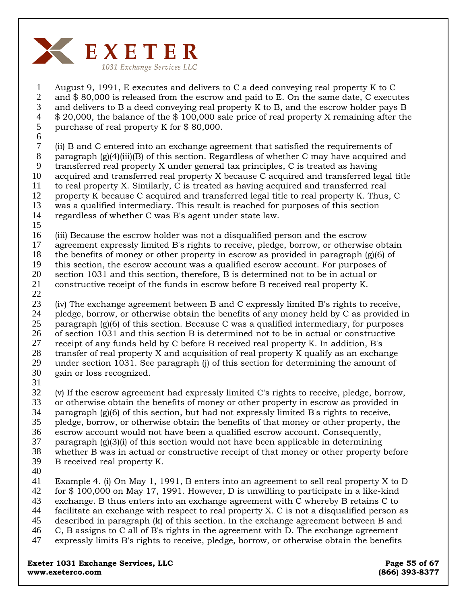

August 9, 1991, E executes and delivers to C a deed conveying real property K to C and \$ 80,000 is released from the escrow and paid to E. On the same date, C executes and delivers to B a deed conveying real property K to B, and the escrow holder pays B \$ 20,000, the balance of the \$ 100,000 sale price of real property X remaining after the purchase of real property K for \$ 80,000. 1 2 3 4 5

6

(ii) B and C entered into an exchange agreement that satisfied the requirements of paragraph  $(g)(4)(iii)(B)$  of this section. Regardless of whether C may have acquired and transferred real property X under general tax principles, C is treated as having acquired and transferred real property X because C acquired and transferred legal title to real property X. Similarly, C is treated as having acquired and transferred real property K because C acquired and transferred legal title to real property K. Thus, C was a qualified intermediary. This result is reached for purposes of this section regardless of whether C was B's agent under state law. 7 8 9 10 11 12 13 14

15

(iii) Because the escrow holder was not a disqualified person and the escrow 16

agreement expressly limited B's rights to receive, pledge, borrow, or otherwise obtain 17

the benefits of money or other property in escrow as provided in paragraph (g)(6) of 18

this section, the escrow account was a qualified escrow account. For purposes of section 1031 and this section, therefore, B is determined not to be in actual or 19 20

- constructive receipt of the funds in escrow before B received real property K. 21
- 22

(iv) The exchange agreement between B and C expressly limited B's rights to receive, pledge, borrow, or otherwise obtain the benefits of any money held by C as provided in paragraph (g)(6) of this section. Because C was a qualified intermediary, for purposes of section 1031 and this section B is determined not to be in actual or constructive receipt of any funds held by C before B received real property K. In addition, B's transfer of real property X and acquisition of real property K qualify as an exchange under section 1031. See paragraph (j) of this section for determining the amount of gain or loss recognized. 23 24 25 26 27 28 29 30

31

(v) If the escrow agreement had expressly limited C's rights to receive, pledge, borrow, or otherwise obtain the benefits of money or other property in escrow as provided in paragraph  $(g)(6)$  of this section, but had not expressly limited B's rights to receive, pledge, borrow, or otherwise obtain the benefits of that money or other property, the escrow account would not have been a qualified escrow account. Consequently, paragraph  $(g)(3)(i)$  of this section would not have been applicable in determining whether B was in actual or constructive receipt of that money or other property before B received real property K. 32 33 34 35 36 37 38 39

40

Example 4. (i) On May 1, 1991, B enters into an agreement to sell real property X to D for \$ 100,000 on May 17, 1991. However, D is unwilling to participate in a like-kind exchange. B thus enters into an exchange agreement with C whereby B retains C to 41 42 43

facilitate an exchange with respect to real property X. C is not a disqualified person as 44

described in paragraph (k) of this section. In the exchange agreement between B and 45

- C, B assigns to C all of B's rights in the agreement with D. The exchange agreement 46
- expressly limits B's rights to receive, pledge, borrow, or otherwise obtain the benefits 47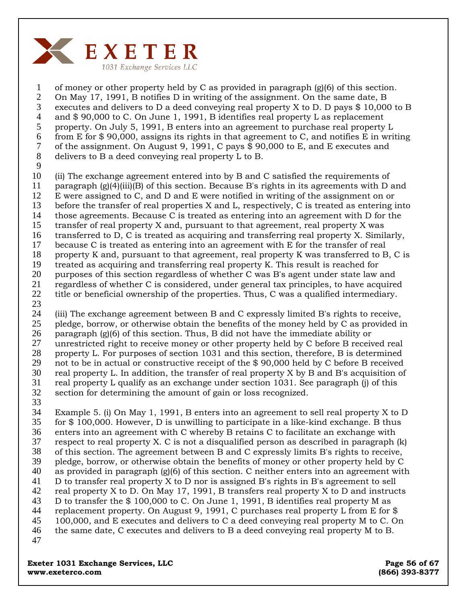

of money or other property held by C as provided in paragraph (g)(6) of this section. On May 17, 1991, B notifies D in writing of the assignment. On the same date, B executes and delivers to D a deed conveying real property X to D. D pays  $$10,000$  to B and \$ 90,000 to C. On June 1, 1991, B identifies real property L as replacement property. On July 5, 1991, B enters into an agreement to purchase real property L from E for \$ 90,000, assigns its rights in that agreement to C, and notifies E in writing of the assignment. On August 9, 1991, C pays \$ 90,000 to E, and E executes and delivers to B a deed conveying real property L to B. 1 2 3 4 5 6 7 8

9

(ii) The exchange agreement entered into by B and C satisfied the requirements of paragraph  $(g)(4)(iii)(B)$  of this section. Because B's rights in its agreements with D and E were assigned to C, and D and E were notified in writing of the assignment on or before the transfer of real properties X and L, respectively, C is treated as entering into those agreements. Because C is treated as entering into an agreement with D for the transfer of real property X and, pursuant to that agreement, real property X was transferred to D, C is treated as acquiring and transferring real property X. Similarly, because C is treated as entering into an agreement with E for the transfer of real property K and, pursuant to that agreement, real property K was transferred to B, C is treated as acquiring and transferring real property K. This result is reached for purposes of this section regardless of whether C was B's agent under state law and regardless of whether C is considered, under general tax principles, to have acquired title or beneficial ownership of the properties. Thus, C was a qualified intermediary. 10 11 12 13 14 15 16 17 18 19 20 21 22

23

(iii) The exchange agreement between B and C expressly limited B's rights to receive, pledge, borrow, or otherwise obtain the benefits of the money held by C as provided in paragraph (g)(6) of this section. Thus, B did not have the immediate ability or unrestricted right to receive money or other property held by C before B received real property L. For purposes of section 1031 and this section, therefore, B is determined not to be in actual or constructive receipt of the \$ 90,000 held by C before B received real property L. In addition, the transfer of real property X by B and B's acquisition of real property L qualify as an exchange under section 1031. See paragraph (j) of this section for determining the amount of gain or loss recognized. 24 25 26 27 28 29 30 31 32 33

Example 5. (i) On May 1, 1991, B enters into an agreement to sell real property X to D for \$ 100,000. However, D is unwilling to participate in a like-kind exchange. B thus enters into an agreement with C whereby B retains C to facilitate an exchange with respect to real property X. C is not a disqualified person as described in paragraph (k) of this section. The agreement between B and C expressly limits B's rights to receive, pledge, borrow, or otherwise obtain the benefits of money or other property held by C as provided in paragraph  $(g)(6)$  of this section. C neither enters into an agreement with D to transfer real property X to D nor is assigned B's rights in B's agreement to sell real property X to D. On May 17, 1991, B transfers real property X to D and instructs D to transfer the \$ 100,000 to C. On June 1, 1991, B identifies real property M as replacement property. On August 9, 1991, C purchases real property L from E for \$ 100,000, and E executes and delivers to C a deed conveying real property M to C. On the same date, C executes and delivers to B a deed conveying real property M to B. 34 35 36 37 38 39 40 41 42 43 44 45 46 47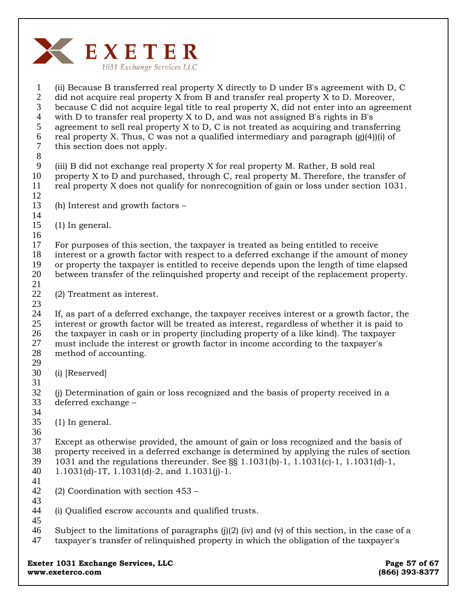

1 2 3 4 5 6 7 8 9 10 11 12 13 14 15 16 17 18 19 20 21 22 23 24 25 26 27 28 29 30 31 32 33 34 35 36 37 38 39 40 41 42 43 44 45 46 47 (ii) Because B transferred real property X directly to D under B's agreement with D, C did not acquire real property X from B and transfer real property X to D. Moreover, because C did not acquire legal title to real property X, did not enter into an agreement with D to transfer real property X to D, and was not assigned B's rights in B's agreement to sell real property X to D, C is not treated as acquiring and transferring real property X. Thus, C was not a qualified intermediary and paragraph  $(g(4))$ (i) of this section does not apply. (iii) B did not exchange real property X for real property M. Rather, B sold real property X to D and purchased, through C, real property M. Therefore, the transfer of real property X does not qualify for nonrecognition of gain or loss under section 1031. (h) Interest and growth factors – (1) In general. For purposes of this section, the taxpayer is treated as being entitled to receive interest or a growth factor with respect to a deferred exchange if the amount of money or property the taxpayer is entitled to receive depends upon the length of time elapsed between transfer of the relinquished property and receipt of the replacement property. (2) Treatment as interest. If, as part of a deferred exchange, the taxpayer receives interest or a growth factor, the interest or growth factor will be treated as interest, regardless of whether it is paid to the taxpayer in cash or in property (including property of a like kind). The taxpayer must include the interest or growth factor in income according to the taxpayer's method of accounting. (i) [Reserved] (j) Determination of gain or loss recognized and the basis of property received in a deferred exchange – (1) In general. Except as otherwise provided, the amount of gain or loss recognized and the basis of property received in a deferred exchange is determined by applying the rules of section 1031 and the regulations thereunder. See §§ 1.1031(b)-1, 1.1031(c)-1, 1.1031(d)-1, 1.1031(d)-1T, 1.1031(d)-2, and 1.1031(j)-1. (2) Coordination with section 453 – (i) Qualified escrow accounts and qualified trusts. Subject to the limitations of paragraphs  $(j)(2)$  (iv) and (v) of this section, in the case of a taxpayer's transfer of relinquished property in which the obligation of the taxpayer's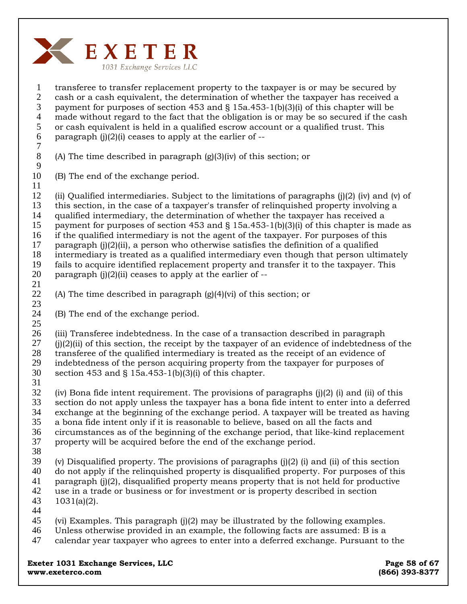

transferee to transfer replacement property to the taxpayer is or may be secured by cash or a cash equivalent, the determination of whether the taxpayer has received a payment for purposes of section 453 and  $\S$  15a.453-1(b)(3)(i) of this chapter will be made without regard to the fact that the obligation is or may be so secured if the cash or cash equivalent is held in a qualified escrow account or a qualified trust. This paragraph  $(j)(2)(i)$  ceases to apply at the earlier of  $-$ 1 2 3 4 5 6

7 8 9

(A) The time described in paragraph (g)(3)(iv) of this section; or

(B) The end of the exchange period. 10 11

(ii) Qualified intermediaries. Subject to the limitations of paragraphs  $(i)(2)$  (iv) and (v) of this section, in the case of a taxpayer's transfer of relinquished property involving a qualified intermediary, the determination of whether the taxpayer has received a payment for purposes of section 453 and  $\S$  15a.453-1(b)(3)(i) of this chapter is made as if the qualified intermediary is not the agent of the taxpayer. For purposes of this paragraph  $(i)(2)(ii)$ , a person who otherwise satisfies the definition of a qualified intermediary is treated as a qualified intermediary even though that person ultimately fails to acquire identified replacement property and transfer it to the taxpayer. This paragraph  $(i)(2)(ii)$  ceases to apply at the earlier of  $-$ 12 13 14 15 16 17 18 19 20

21 22

23

(A) The time described in paragraph (g)(4)(vi) of this section; or

(B) The end of the exchange period. 24

(iii) Transferee indebtedness. In the case of a transaction described in paragraph  $(j(2)(ii)$  of this section, the receipt by the taxpayer of an evidence of indebtedness of the transferee of the qualified intermediary is treated as the receipt of an evidence of indebtedness of the person acquiring property from the taxpayer for purposes of section 453 and § 15a.453-1(b)(3)(i) of this chapter. 25 26 27 28 29 30

31

(iv) Bona fide intent requirement. The provisions of paragraphs  $(j)(2)$  (i) and (ii) of this section do not apply unless the taxpayer has a bona fide intent to enter into a deferred exchange at the beginning of the exchange period. A taxpayer will be treated as having a bona fide intent only if it is reasonable to believe, based on all the facts and circumstances as of the beginning of the exchange period, that like-kind replacement property will be acquired before the end of the exchange period. 32 33 34 35 36 37

38

(v) Disqualified property. The provisions of paragraphs (j)(2) (i) and (ii) of this section 39

- do not apply if the relinquished property is disqualified property. For purposes of this 40
- paragraph (j)(2), disqualified property means property that is not held for productive 41
- use in a trade or business or for investment or is property described in section 1031(a)(2). 42 43
- 44
- (vi) Examples. This paragraph (j)(2) may be illustrated by the following examples. 45
- Unless otherwise provided in an example, the following facts are assumed: B is a 46
- calendar year taxpayer who agrees to enter into a deferred exchange. Pursuant to the 47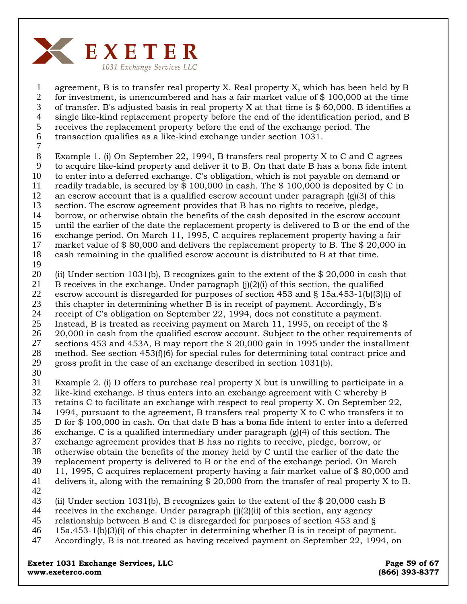

agreement, B is to transfer real property X. Real property X, which has been held by B for investment, is unencumbered and has a fair market value of  $$100,000$  at the time of transfer. B's adjusted basis in real property X at that time is \$ 60,000. B identifies a single like-kind replacement property before the end of the identification period, and B receives the replacement property before the end of the exchange period. The transaction qualifies as a like-kind exchange under section 1031. 1 2 3 4 5 6

7

Example 1. (i) On September 22, 1994, B transfers real property X to C and C agrees to acquire like-kind property and deliver it to B. On that date B has a bona fide intent to enter into a deferred exchange. C's obligation, which is not payable on demand or readily tradable, is secured by \$ 100,000 in cash. The \$ 100,000 is deposited by C in an escrow account that is a qualified escrow account under paragraph  $(g)(3)$  of this section. The escrow agreement provides that B has no rights to receive, pledge, borrow, or otherwise obtain the benefits of the cash deposited in the escrow account 8 9 10 11 12 13 14

until the earlier of the date the replacement property is delivered to B or the end of the 15

exchange period. On March 11, 1995, C acquires replacement property having a fair 16

market value of \$ 80,000 and delivers the replacement property to B. The \$ 20,000 in 17

cash remaining in the qualified escrow account is distributed to B at that time. 18

19

(ii) Under section 1031(b), B recognizes gain to the extent of the  $$20,000$  in cash that 20

B receives in the exchange. Under paragraph  $(j)(2)(i)$  of this section, the qualified escrow account is disregarded for purposes of section 453 and § 15a.453-1(b)(3)(i) of 21 22

this chapter in determining whether B is in receipt of payment. Accordingly, B's 23

- receipt of C's obligation on September 22, 1994, does not constitute a payment. 24
- Instead, B is treated as receiving payment on March 11, 1995, on receipt of the  $\$ 25
- 20,000 in cash from the qualified escrow account. Subject to the other requirements of 26

sections 453 and 453A, B may report the \$ 20,000 gain in 1995 under the installment method. See section  $453(f)(6)$  for special rules for determining total contract price and gross profit in the case of an exchange described in section 1031(b). 27 28 29

30

Example 2. (i) D offers to purchase real property X but is unwilling to participate in a like-kind exchange. B thus enters into an exchange agreement with C whereby B 31 32

retains C to facilitate an exchange with respect to real property X. On September 22, 33

1994, pursuant to the agreement, B transfers real property X to C who transfers it to 34

- D for \$100,000 in cash. On that date B has a bona fide intent to enter into a deferred 35
- exchange. C is a qualified intermediary under paragraph (g)(4) of this section. The 36
- exchange agreement provides that B has no rights to receive, pledge, borrow, or 37

otherwise obtain the benefits of the money held by C until the earlier of the date the 38

replacement property is delivered to B or the end of the exchange period. On March 39

11, 1995, C acquires replacement property having a fair market value of \$ 80,000 and 40

delivers it, along with the remaining \$ 20,000 from the transfer of real property X to B. 41 42

(ii) Under section 1031(b), B recognizes gain to the extent of the \$ 20,000 cash B 43

receives in the exchange. Under paragraph  $(j)(2)(ii)$  of this section, any agency 44

relationship between B and C is disregarded for purposes of section 453 and § 45

- 15a.453-1(b)(3)(i) of this chapter in determining whether B is in receipt of payment. 46
- Accordingly, B is not treated as having received payment on September 22, 1994, on 47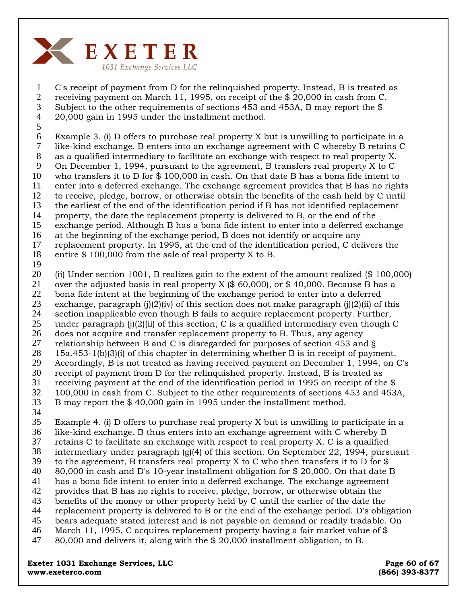

C's receipt of payment from D for the relinquished property. Instead, B is treated as receiving payment on March 11, 1995, on receipt of the \$ 20,000 in cash from C. Subject to the other requirements of sections 453 and 453A, B may report the \$ 20,000 gain in 1995 under the installment method. 1 2 3 4

5

Example 3. (i) D offers to purchase real property X but is unwilling to participate in a like-kind exchange. B enters into an exchange agreement with C whereby B retains C 6 7

- as a qualified intermediary to facilitate an exchange with respect to real property X. 8 9
- On December 1, 1994, pursuant to the agreement, B transfers real property X to C who transfers it to D for \$ 100,000 in cash. On that date B has a bona fide intent to 10
- enter into a deferred exchange. The exchange agreement provides that B has no rights 11

to receive, pledge, borrow, or otherwise obtain the benefits of the cash held by C until 12

the earliest of the end of the identification period if B has not identified replacement 13

property, the date the replacement property is delivered to B, or the end of the 14

- exchange period. Although B has a bona fide intent to enter into a deferred exchange 15
- at the beginning of the exchange period, B does not identify or acquire any 16
- replacement property. In 1995, at the end of the identification period, C delivers the 17
- entire \$ 100,000 from the sale of real property X to B. 18
- 19

(ii) Under section 1001, B realizes gain to the extent of the amount realized (\$ 100,000) over the adjusted basis in real property X (\$ 60,000), or \$ 40,000. Because B has a 20 21

- bona fide intent at the beginning of the exchange period to enter into a deferred 22
- exchange, paragraph (j)(2)(iv) of this section does not make paragraph (j)(2)(ii) of this 23
- section inapplicable even though B fails to acquire replacement property. Further, 24
- under paragraph  $(i)$ (2)(ii) of this section, C is a qualified intermediary even though C 25
- does not acquire and transfer replacement property to B. Thus, any agency 26
- relationship between B and C is disregarded for purposes of section 453 and § 15a.453-1(b)(3)(i) of this chapter in determining whether B is in receipt of payment. 27 28
- Accordingly, B is not treated as having received payment on December 1, 1994, on C's 29
- receipt of payment from D for the relinquished property. Instead, B is treated as 30
- receiving payment at the end of the identification period in 1995 on receipt of the \$ 31
- 100,000 in cash from C. Subject to the other requirements of sections 453 and 453A, 32
- B may report the \$ 40,000 gain in 1995 under the installment method. 33
- 34

Example 4. (i) D offers to purchase real property X but is unwilling to participate in a like-kind exchange. B thus enters into an exchange agreement with C whereby B 35 36

- retains C to facilitate an exchange with respect to real property X. C is a qualified 37
- intermediary under paragraph (g)(4) of this section. On September 22, 1994, pursuant 38
- to the agreement, B transfers real property X to C who then transfers it to D for \$ 39
- 80,000 in cash and D's 10-year installment obligation for \$ 20,000. On that date B 40
- has a bona fide intent to enter into a deferred exchange. The exchange agreement 41
- provides that B has no rights to receive, pledge, borrow, or otherwise obtain the 42
- benefits of the money or other property held by C until the earlier of the date the 43
- replacement property is delivered to B or the end of the exchange period. D's obligation 44
- bears adequate stated interest and is not payable on demand or readily tradable. On 45
- March 11, 1995, C acquires replacement property having a fair market value of \$ 80,000 and delivers it, along with the \$ 20,000 installment obligation, to B. 46 47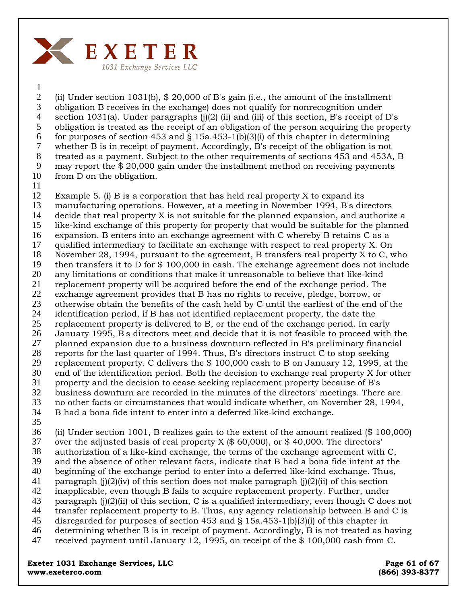

1

(ii) Under section 1031(b), \$ 20,000 of B's gain (i.e., the amount of the installment obligation B receives in the exchange) does not qualify for nonrecognition under section 1031(a). Under paragraphs  $(j)(2)$  (ii) and (iii) of this section, B's receipt of D's obligation is treated as the receipt of an obligation of the person acquiring the property for purposes of section 453 and  $\S$  15a.453-1(b)(3)(i) of this chapter in determining whether B is in receipt of payment. Accordingly, B's receipt of the obligation is not treated as a payment. Subject to the other requirements of sections 453 and 453A, B may report the \$ 20,000 gain under the installment method on receiving payments from D on the obligation. 2 3 4 5 6 7 8 9 10

11

Example 5. (i) B is a corporation that has held real property X to expand its manufacturing operations. However, at a meeting in November 1994, B's directors decide that real property X is not suitable for the planned expansion, and authorize a like-kind exchange of this property for property that would be suitable for the planned expansion. B enters into an exchange agreement with C whereby B retains C as a qualified intermediary to facilitate an exchange with respect to real property X. On November 28, 1994, pursuant to the agreement, B transfers real property X to C, who then transfers it to D for \$ 100,000 in cash. The exchange agreement does not include any limitations or conditions that make it unreasonable to believe that like-kind replacement property will be acquired before the end of the exchange period. The exchange agreement provides that B has no rights to receive, pledge, borrow, or otherwise obtain the benefits of the cash held by C until the earliest of the end of the identification period, if B has not identified replacement property, the date the replacement property is delivered to B, or the end of the exchange period. In early January 1995, B's directors meet and decide that it is not feasible to proceed with the planned expansion due to a business downturn reflected in B's preliminary financial reports for the last quarter of 1994. Thus, B's directors instruct C to stop seeking replacement property. C delivers the \$ 100,000 cash to B on January 12, 1995, at the end of the identification period. Both the decision to exchange real property X for other property and the decision to cease seeking replacement property because of B's business downturn are recorded in the minutes of the directors' meetings. There are no other facts or circumstances that would indicate whether, on November 28, 1994, B had a bona fide intent to enter into a deferred like-kind exchange. 12 13 14 15 16 17 18 19 20 21 22 23 24 25 26 27 28 29 30 31 32 33 34

35

(ii) Under section 1001, B realizes gain to the extent of the amount realized (\$ 100,000) 36

- over the adjusted basis of real property  $X$  (\$ 60,000), or \$ 40,000. The directors' authorization of a like-kind exchange, the terms of the exchange agreement with C, 37 38
- and the absence of other relevant facts, indicate that B had a bona fide intent at the 39
- beginning of the exchange period to enter into a deferred like-kind exchange. Thus, 40
- paragraph (j)(2)(iv) of this section does not make paragraph (j)(2)(ii) of this section 41
- inapplicable, even though B fails to acquire replacement property. Further, under 42
- paragraph  $(i)(2)(ii)$  of this section, C is a qualified intermediary, even though C does not 43
- transfer replacement property to B. Thus, any agency relationship between B and C is 44
- disregarded for purposes of section 453 and § 15a.453-1(b)(3)(i) of this chapter in 45
- determining whether B is in receipt of payment. Accordingly, B is not treated as having 46
- received payment until January 12, 1995, on receipt of the \$ 100,000 cash from C. 47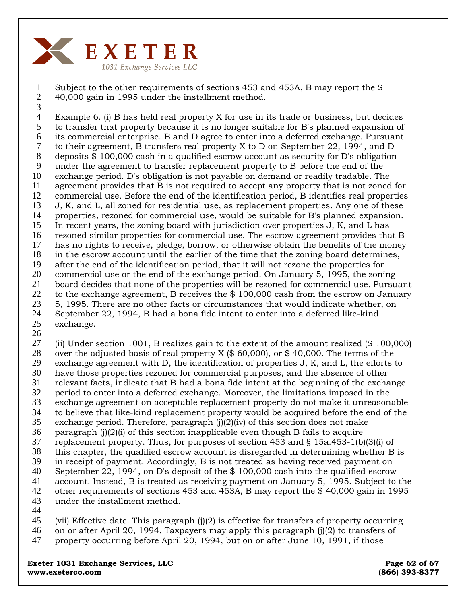

Subject to the other requirements of sections 453 and 453A, B may report the \$ 40,000 gain in 1995 under the installment method. 1 2 3

Example 6. (i) B has held real property X for use in its trade or business, but decides to transfer that property because it is no longer suitable for B's planned expansion of its commercial enterprise. B and D agree to enter into a deferred exchange. Pursuant to their agreement, B transfers real property X to D on September 22, 1994, and D deposits \$ 100,000 cash in a qualified escrow account as security for D's obligation under the agreement to transfer replacement property to B before the end of the exchange period. D's obligation is not payable on demand or readily tradable. The agreement provides that B is not required to accept any property that is not zoned for commercial use. Before the end of the identification period, B identifies real properties J, K, and L, all zoned for residential use, as replacement properties. Any one of these properties, rezoned for commercial use, would be suitable for B's planned expansion. In recent years, the zoning board with jurisdiction over properties J, K, and L has rezoned similar properties for commercial use. The escrow agreement provides that B has no rights to receive, pledge, borrow, or otherwise obtain the benefits of the money in the escrow account until the earlier of the time that the zoning board determines, after the end of the identification period, that it will not rezone the properties for commercial use or the end of the exchange period. On January 5, 1995, the zoning board decides that none of the properties will be rezoned for commercial use. Pursuant to the exchange agreement, B receives the \$ 100,000 cash from the escrow on January 5, 1995. There are no other facts or circumstances that would indicate whether, on September 22, 1994, B had a bona fide intent to enter into a deferred like-kind exchange. 4 5 6 7 8 9 10 11 12 13 14 15 16 17 18 19 20 21 22 23 24 25

26

(ii) Under section 1001, B realizes gain to the extent of the amount realized (\$ 100,000) over the adjusted basis of real property  $X$  (\$ 60,000), or \$40,000. The terms of the exchange agreement with D, the identification of properties J, K, and L, the efforts to have those properties rezoned for commercial purposes, and the absence of other relevant facts, indicate that B had a bona fide intent at the beginning of the exchange period to enter into a deferred exchange. Moreover, the limitations imposed in the exchange agreement on acceptable replacement property do not make it unreasonable to believe that like-kind replacement property would be acquired before the end of the exchange period. Therefore, paragraph  $(i)(2)(iv)$  of this section does not make paragraph (j)(2)(i) of this section inapplicable even though B fails to acquire replacement property. Thus, for purposes of section 453 and § 15a.453-1(b)(3)(i) of this chapter, the qualified escrow account is disregarded in determining whether B is in receipt of payment. Accordingly, B is not treated as having received payment on September 22, 1994, on D's deposit of the \$ 100,000 cash into the qualified escrow account. Instead, B is treated as receiving payment on January 5, 1995. Subject to the 27 28 29 30 31 32 33 34 35 36 37 38 39 40 41

42 43 44

(vii) Effective date. This paragraph (j)(2) is effective for transfers of property occurring on or after April 20, 1994. Taxpayers may apply this paragraph (j)(2) to transfers of property occurring before April 20, 1994, but on or after June 10, 1991, if those 45 46 47

other requirements of sections 453 and 453A, B may report the \$ 40,000 gain in 1995

**Exeter 1031 Exchange Services, LLC Exeter 1031 Exchange Services, LLC www.exeterco.com (866) 393-8377** 

under the installment method.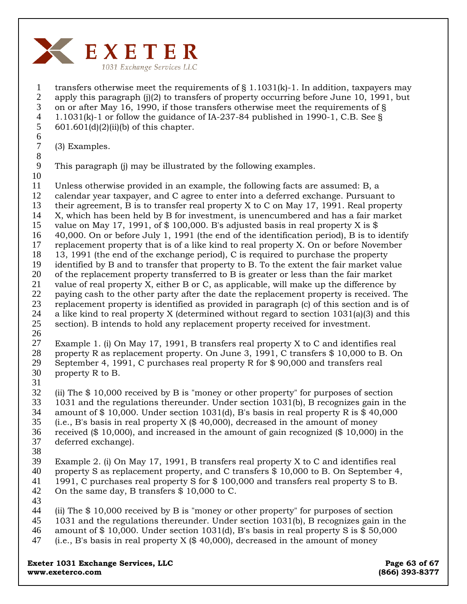

1 2 3 4 5 6 transfers otherwise meet the requirements of  $\S 1.1031(k)$ -1. In addition, taxpayers may apply this paragraph (j)(2) to transfers of property occurring before June 10, 1991, but on or after May 16, 1990, if those transfers otherwise meet the requirements of § 1.1031(k)-1 or follow the guidance of IA-237-84 published in 1990-1, C.B. See §  $601.601(d)(2)(ii)(b)$  of this chapter.

7 (3) Examples.

9 This paragraph (j) may be illustrated by the following examples.

10

8

11 Unless otherwise provided in an example, the following facts are assumed: B, a

12 calendar year taxpayer, and C agree to enter into a deferred exchange. Pursuant to

- 13 their agreement, B is to transfer real property X to C on May 17, 1991. Real property
- 14 X, which has been held by B for investment, is unencumbered and has a fair market
- 15 value on May 17, 1991, of  $$100,000$ . B's adjusted basis in real property X is  $$$
- 16 17 40,000. On or before July 1, 1991 (the end of the identification period), B is to identify
- 18 replacement property that is of a like kind to real property X. On or before November 13, 1991 (the end of the exchange period), C is required to purchase the property
- 19 identified by B and to transfer that property to B. To the extent the fair market value
- 20 of the replacement property transferred to B is greater or less than the fair market
- 21 value of real property X, either B or C, as applicable, will make up the difference by
- 22 paying cash to the other party after the date the replacement property is received. The
- 23 24 replacement property is identified as provided in paragraph (c) of this section and is of a like kind to real property X (determined without regard to section 1031(a)(3) and this
- 25 section). B intends to hold any replacement property received for investment.
- 26

27 28 29 30 Example 1. (i) On May 17, 1991, B transfers real property X to C and identifies real property R as replacement property. On June 3, 1991, C transfers \$ 10,000 to B. On September 4, 1991, C purchases real property R for \$ 90,000 and transfers real property R to B.

31

32 33 (ii) The \$ 10,000 received by B is "money or other property" for purposes of section 1031 and the regulations thereunder. Under section 1031(b), B recognizes gain in the

- 34 amount of  $$ 10,000$ . Under section 1031(d), B's basis in real property R is  $$ 40,000$
- 35 (i.e., B's basis in real property  $X$  (\$ 40,000), decreased in the amount of money
- 36 received (\$ 10,000), and increased in the amount of gain recognized (\$ 10,000) in the
- 37 deferred exchange).
- 38

39 40 41 42 Example 2. (i) On May 17, 1991, B transfers real property X to C and identifies real property S as replacement property, and C transfers \$ 10,000 to B. On September 4, 1991, C purchases real property S for \$ 100,000 and transfers real property S to B. On the same day, B transfers \$ 10,000 to C.

43

44 45 (ii) The \$ 10,000 received by B is "money or other property" for purposes of section 1031 and the regulations thereunder. Under section 1031(b), B recognizes gain in the

46 47 amount of  $$10,000$ . Under section 1031(d), B's basis in real property S is  $$50,000$ (i.e., B's basis in real property  $X$  (\$ 40,000), decreased in the amount of money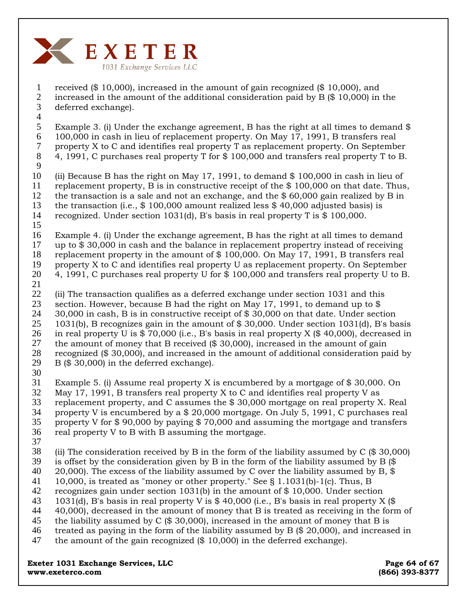

received (\$ 10,000), increased in the amount of gain recognized (\$ 10,000), and increased in the amount of the additional consideration paid by B (\$ 10,000) in the deferred exchange). 1 2 3

Example 3. (i) Under the exchange agreement, B has the right at all times to demand \$ 100,000 in cash in lieu of replacement property. On May 17, 1991, B transfers real property X to C and identifies real property T as replacement property. On September 4, 1991, C purchases real property T for \$ 100,000 and transfers real property T to B. 4 5 6 7

8 9

(ii) Because B has the right on May 17, 1991, to demand \$ 100,000 in cash in lieu of replacement property, B is in constructive receipt of the \$ 100,000 on that date. Thus, the transaction is a sale and not an exchange, and the \$ 60,000 gain realized by B in the transaction (i.e., \$ 100,000 amount realized less \$ 40,000 adjusted basis) is recognized. Under section 1031(d), B's basis in real property T is \$ 100,000. 10 11 12 13 14

Example 4. (i) Under the exchange agreement, B has the right at all times to demand up to \$ 30,000 in cash and the balance in replacement propertry instead of receiving replacement property in the amount of \$ 100,000. On May 17, 1991, B transfers real property X to C and identifies real property U as replacement property. On September 4, 1991, C purchases real property U for \$ 100,000 and transfers real property U to B. 15 16 17 18 19 20

21

(ii) The transaction qualifies as a deferred exchange under section 1031 and this section. However, because B had the right on May 17, 1991, to demand up to \$ 30,000 in cash, B is in constructive receipt of \$ 30,000 on that date. Under section 1031(b), B recognizes gain in the amount of \$ 30,000. Under section 1031(d), B's basis in real property U is \$ 70,000 (i.e., B's basis in real property X (\$ 40,000), decreased in the amount of money that B received (\$ 30,000), increased in the amount of gain recognized (\$ 30,000), and increased in the amount of additional consideration paid by B (\$ 30,000) in the deferred exchange). 22 23 24 25 26 27 28 29

30

Example 5. (i) Assume real property X is encumbered by a mortgage of \$ 30,000. On May 17, 1991, B transfers real property X to C and identifies real property V as replacement property, and C assumes the \$ 30,000 mortgage on real property X. Real property V is encumbered by a \$ 20,000 mortgage. On July 5, 1991, C purchases real property V for \$ 90,000 by paying \$ 70,000 and assuming the mortgage and transfers 31 32 33 34 35

- real property V to B with B assuming the mortgage. 36
- 37

(ii) The consideration received by B in the form of the liability assumed by C (\$ 30,000) is offset by the consideration given by B in the form of the liability assumed by B (\$ 38 39

20,000). The excess of the liability assumed by C over the liability assumed by B,  $\$ 40

10,000, is treated as "money or other property." See § 1.1031(b)-1(c). Thus, B 41

recognizes gain under section 1031(b) in the amount of \$ 10,000. Under section 42

- 1031(d), B's basis in real property V is  $$40,000$  (i.e., B's basis in real property X  $$$ 43
- 40,000), decreased in the amount of money that B is treated as receiving in the form of 44
- the liability assumed by C (\$ 30,000), increased in the amount of money that B is 45
- treated as paying in the form of the liability assumed by  $B$  (\$ 20,000), and increased in 46

the amount of the gain recognized (\$ 10,000) in the deferred exchange). 47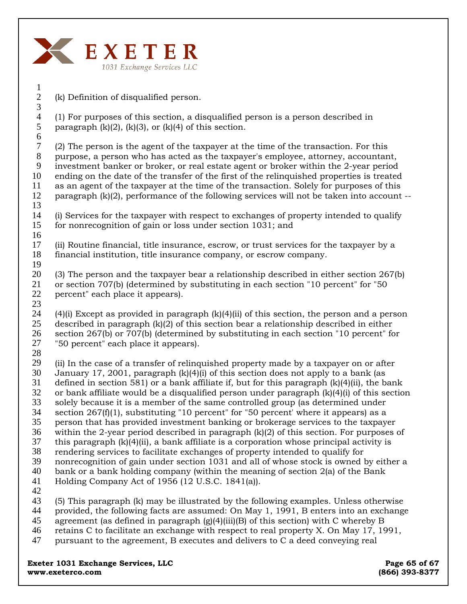

(k) Definition of disqualified person.

(1) For purposes of this section, a disqualified person is a person described in paragraph  $(k)(2)$ ,  $(k)(3)$ , or  $(k)(4)$  of this section.

7 8 9 10 11 12 13 (2) The person is the agent of the taxpayer at the time of the transaction. For this purpose, a person who has acted as the taxpayer's employee, attorney, accountant, investment banker or broker, or real estate agent or broker within the 2-year period ending on the date of the transfer of the first of the relinquished properties is treated as an agent of the taxpayer at the time of the transaction. Solely for purposes of this paragraph (k)(2), performance of the following services will not be taken into account --

14 15 16 (i) Services for the taxpayer with respect to exchanges of property intended to qualify for nonrecognition of gain or loss under section 1031; and

17 18 (ii) Routine financial, title insurance, escrow, or trust services for the taxpayer by a financial institution, title insurance company, or escrow company.

19

20 21 22 (3) The person and the taxpayer bear a relationship described in either section 267(b) or section 707(b) (determined by substituting in each section "10 percent" for "50 percent" each place it appears).

24 25 26 27  $(4)(i)$  Except as provided in paragraph  $(k)(4)(ii)$  of this section, the person and a person described in paragraph  $(k)(2)$  of this section bear a relationship described in either section 267(b) or 707(b) (determined by substituting in each section "10 percent" for "50 percent" each place it appears).

28

23

29 30 31 32 33 34 35 36 37 38 39 40 41 (ii) In the case of a transfer of relinquished property made by a taxpayer on or after January 17, 2001, paragraph  $(k)(4)(i)$  of this section does not apply to a bank (as defined in section 581) or a bank affiliate if, but for this paragraph  $(k)(4)(ii)$ , the bank or bank affiliate would be a disqualified person under paragraph  $(k)(4)(i)$  of this section solely because it is a member of the same controlled group (as determined under section  $267(f)(1)$ , substituting "10 percent" for "50 percent' where it appears) as a person that has provided investment banking or brokerage services to the taxpayer within the 2-year period described in paragraph  $(k)(2)$  of this section. For purposes of this paragraph  $(k)(4)(ii)$ , a bank affiliate is a corporation whose principal activity is rendering services to facilitate exchanges of property intended to qualify for nonrecognition of gain under section 1031 and all of whose stock is owned by either a bank or a bank holding company (within the meaning of section 2(a) of the Bank Holding Company Act of 1956 (12 U.S.C. 1841(a)).

42

43 (5) This paragraph (k) may be illustrated by the following examples. Unless otherwise

44 provided, the following facts are assumed: On May 1, 1991, B enters into an exchange

- 45 agreement (as defined in paragraph  $(g)(4)(iii)(B)$  of this section) with C whereby B
- 46 retains C to facilitate an exchange with respect to real property X. On May 17, 1991,
- 47 pursuant to the agreement, B executes and delivers to C a deed conveying real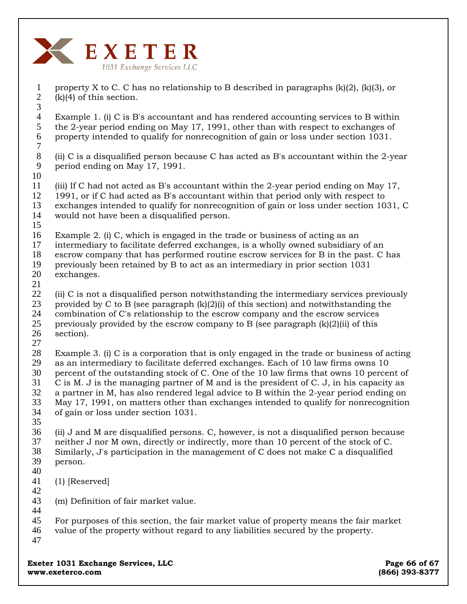

1 2 3 property X to C. C has no relationship to B described in paragraphs (k)(2), (k)(3), or  $(k)(4)$  of this section.

4 5 6 7 Example 1. (i) C is B's accountant and has rendered accounting services to B within the 2-year period ending on May 17, 1991, other than with respect to exchanges of property intended to qualify for nonrecognition of gain or loss under section 1031.

8 9 (ii) C is a disqualified person because C has acted as B's accountant within the 2-year period ending on May 17, 1991.

10 11 12 13 14 (iii) If C had not acted as B's accountant within the 2-year period ending on May 17, 1991, or if C had acted as B's accountant within that period only with respect to exchanges intended to qualify for nonrecognition of gain or loss under section 1031, C would not have been a disqualified person.

15 16 Example 2. (i) C, which is engaged in the trade or business of acting as an

17 18 intermediary to facilitate deferred exchanges, is a wholly owned subsidiary of an escrow company that has performed routine escrow services for B in the past. C has

19 20 previously been retained by B to act as an intermediary in prior section 1031 exchanges.

21

22 23 24 (ii) C is not a disqualified person notwithstanding the intermediary services previously provided by C to B (see paragraph  $(k)(2)(i)$  of this section) and notwithstanding the combination of C's relationship to the escrow company and the escrow services

25 26 previously provided by the escrow company to B (see paragraph  $(k)(2)(ii)$  of this section).

27

28 29 30 31 32 33 34 Example 3. (i) C is a corporation that is only engaged in the trade or business of acting as an intermediary to facilitate deferred exchanges. Each of 10 law firms owns 10 percent of the outstanding stock of C. One of the 10 law firms that owns 10 percent of C is M. J is the managing partner of M and is the president of C. J, in his capacity as a partner in M, has also rendered legal advice to B within the 2-year period ending on May 17, 1991, on matters other than exchanges intended to qualify for nonrecognition of gain or loss under section 1031.

35

36 37 38 39 (ii) J and M are disqualified persons. C, however, is not a disqualified person because neither J nor M own, directly or indirectly, more than 10 percent of the stock of C. Similarly, J's participation in the management of C does not make C a disqualified person.

40

41 (1) [Reserved]

42

43 44 (m) Definition of fair market value.

45 46 For purposes of this section, the fair market value of property means the fair market value of the property without regard to any liabilities secured by the property.

47